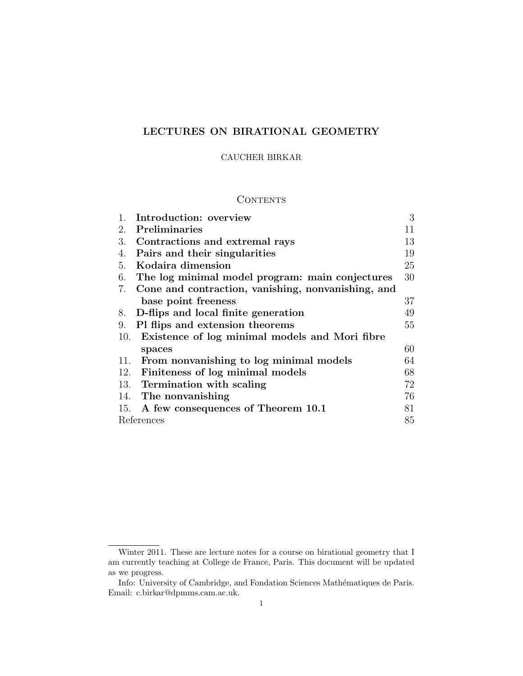# LECTURES ON BIRATIONAL GEOMETRY

## CAUCHER BIRKAR

## **CONTENTS**

|     | Introduction: overview                             | 3  |
|-----|----------------------------------------------------|----|
| 2.  | Preliminaries                                      | 11 |
| 3.  | Contractions and extremal rays                     | 13 |
| 4.  | Pairs and their singularities                      | 19 |
| 5.  | Kodaira dimension                                  | 25 |
| 6.  | The log minimal model program: main conjectures    | 30 |
| 7.  | Cone and contraction, vanishing, nonvanishing, and |    |
|     | base point freeness                                | 37 |
| 8.  | D-flips and local finite generation                | 49 |
| 9.  | Pl flips and extension theorems                    | 55 |
|     | 10. Existence of log minimal models and Mori fibre |    |
|     | spaces                                             | 60 |
| 11. | From nonvanishing to log minimal models            | 64 |
| 12. | Finiteness of log minimal models                   | 68 |
|     | 13. Termination with scaling                       | 72 |
|     | 14. The nonvanishing                               | 76 |
|     | 15. A few consequences of Theorem 10.1             | 81 |
|     | References                                         |    |

Winter 2011. These are lecture notes for a course on birational geometry that I am currently teaching at College de France, Paris. This document will be updated as we progress.

Info: University of Cambridge, and Fondation Sciences Mathématiques de Paris. Email: c.birkar@dpmms.cam.ac.uk.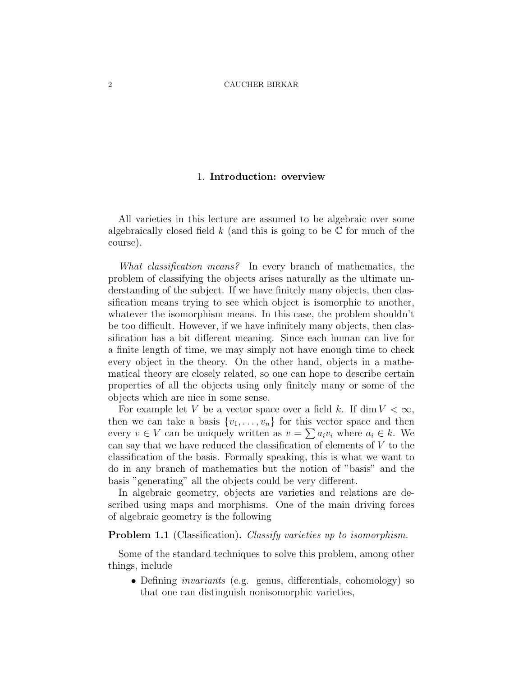## 1. Introduction: overview

All varieties in this lecture are assumed to be algebraic over some algebraically closed field k (and this is going to be  $\mathbb C$  for much of the course).

What classification means? In every branch of mathematics, the problem of classifying the objects arises naturally as the ultimate understanding of the subject. If we have finitely many objects, then classification means trying to see which object is isomorphic to another, whatever the isomorphism means. In this case, the problem shouldn't be too difficult. However, if we have infinitely many objects, then classification has a bit different meaning. Since each human can live for a finite length of time, we may simply not have enough time to check every object in the theory. On the other hand, objects in a mathematical theory are closely related, so one can hope to describe certain properties of all the objects using only finitely many or some of the objects which are nice in some sense.

For example let V be a vector space over a field k. If  $\dim V < \infty$ , then we can take a basis  $\{v_1, \ldots, v_n\}$  for this vector space and then every  $v \in V$  can be uniquely written as  $v = \sum a_i v_i$  where  $a_i \in k$ . We can say that we have reduced the classification of elements of V to the classification of the basis. Formally speaking, this is what we want to do in any branch of mathematics but the notion of "basis" and the basis "generating" all the objects could be very different.

In algebraic geometry, objects are varieties and relations are described using maps and morphisms. One of the main driving forces of algebraic geometry is the following

**Problem 1.1** (Classification). Classify varieties up to isomorphism.

Some of the standard techniques to solve this problem, among other things, include

• Defining *invariants* (e.g. genus, differentials, cohomology) so that one can distinguish nonisomorphic varieties,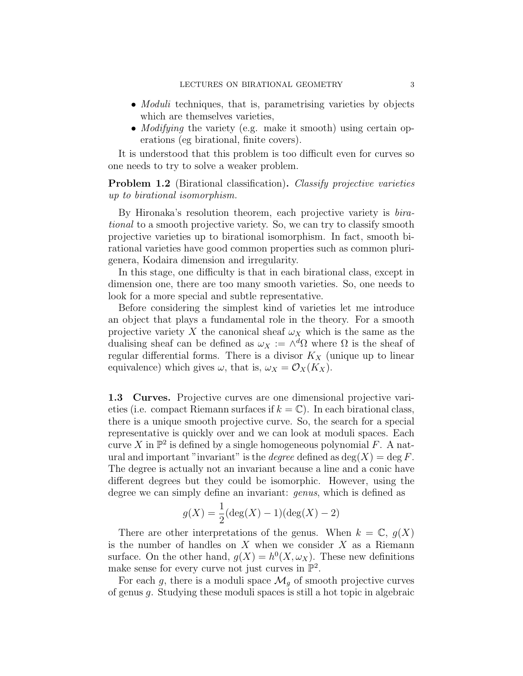- *Moduli* techniques, that is, parametrising varieties by objects which are themselves varieties,
- *Modifying* the variety (e.g. make it smooth) using certain operations (eg birational, finite covers).

It is understood that this problem is too difficult even for curves so one needs to try to solve a weaker problem.

**Problem 1.2** (Birational classification). Classify projective varieties up to birational isomorphism.

By Hironaka's resolution theorem, each projective variety is *bira*tional to a smooth projective variety. So, we can try to classify smooth projective varieties up to birational isomorphism. In fact, smooth birational varieties have good common properties such as common plurigenera, Kodaira dimension and irregularity.

In this stage, one difficulty is that in each birational class, except in dimension one, there are too many smooth varieties. So, one needs to look for a more special and subtle representative.

Before considering the simplest kind of varieties let me introduce an object that plays a fundamental role in the theory. For a smooth projective variety X the canonical sheaf  $\omega_X$  which is the same as the dualising sheaf can be defined as  $\omega_X := \wedge^d \Omega$  where  $\Omega$  is the sheaf of regular differential forms. There is a divisor  $K_X$  (unique up to linear equivalence) which gives  $\omega$ , that is,  $\omega_X = \mathcal{O}_X(K_X)$ .

1.3 Curves. Projective curves are one dimensional projective varieties (i.e. compact Riemann surfaces if  $k = \mathbb{C}$ ). In each birational class, there is a unique smooth projective curve. So, the search for a special representative is quickly over and we can look at moduli spaces. Each curve X in  $\mathbb{P}^2$  is defined by a single homogeneous polynomial F. A natural and important "invariant" is the *degree* defined as  $deg(X) = deg F$ . The degree is actually not an invariant because a line and a conic have different degrees but they could be isomorphic. However, using the degree we can simply define an invariant: *genus*, which is defined as

$$
g(X) = \frac{1}{2}(\deg(X) - 1)(\deg(X) - 2)
$$

There are other interpretations of the genus. When  $k = \mathbb{C}$ ,  $g(X)$ is the number of handles on  $X$  when we consider  $X$  as a Riemann surface. On the other hand,  $g(X) = h^0(X, \omega_X)$ . These new definitions make sense for every curve not just curves in  $\mathbb{P}^2$ .

For each g, there is a moduli space  $\mathcal{M}_g$  of smooth projective curves of genus g. Studying these moduli spaces is still a hot topic in algebraic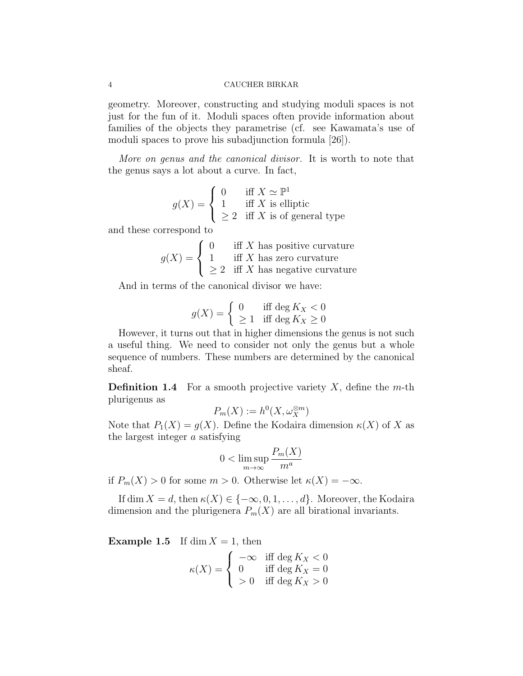geometry. Moreover, constructing and studying moduli spaces is not just for the fun of it. Moduli spaces often provide information about families of the objects they parametrise (cf. see Kawamata's use of moduli spaces to prove his subadjunction formula [26]).

More on genus and the canonical divisor. It is worth to note that the genus says a lot about a curve. In fact,

$$
g(X) = \begin{cases} 0 & \text{iff } X \simeq \mathbb{P}^1 \\ 1 & \text{iff } X \text{ is elliptic} \\ \geq 2 & \text{iff } X \text{ is of general type} \end{cases}
$$

and these correspond to

$$
g(X) = \begin{cases} 0 & \text{iff } X \text{ has positive curvature} \\ 1 & \text{iff } X \text{ has zero curvature} \\ \geq 2 & \text{iff } X \text{ has negative curvature} \end{cases}
$$

And in terms of the canonical divisor we have:

$$
g(X) = \begin{cases} 0 & \text{iff } \deg K_X < 0 \\ \ge 1 & \text{iff } \deg K_X \ge 0 \end{cases}
$$

However, it turns out that in higher dimensions the genus is not such a useful thing. We need to consider not only the genus but a whole sequence of numbers. These numbers are determined by the canonical sheaf.

**Definition 1.4** For a smooth projective variety X, define the m-th plurigenus as

$$
P_m(X) := h^0(X, \omega_X^{\otimes m})
$$

Note that  $P_1(X) = g(X)$ . Define the Kodaira dimension  $\kappa(X)$  of X as the largest integer a satisfying

$$
0 < \limsup_{m \to \infty} \frac{P_m(X)}{m^a}
$$

if  $P_m(X) > 0$  for some  $m > 0$ . Otherwise let  $\kappa(X) = -\infty$ .

If dim  $X = d$ , then  $\kappa(X) \in \{-\infty, 0, 1, \ldots, d\}$ . Moreover, the Kodaira dimension and the plurigenera  $P_m(X)$  are all birational invariants.

**Example 1.5** If dim  $X = 1$ , then

$$
\kappa(X) = \begin{cases}\n-\infty & \text{iff } \deg K_X < 0 \\
0 & \text{iff } \deg K_X = 0 \\
>0 & \text{iff } \deg K_X > 0\n\end{cases}
$$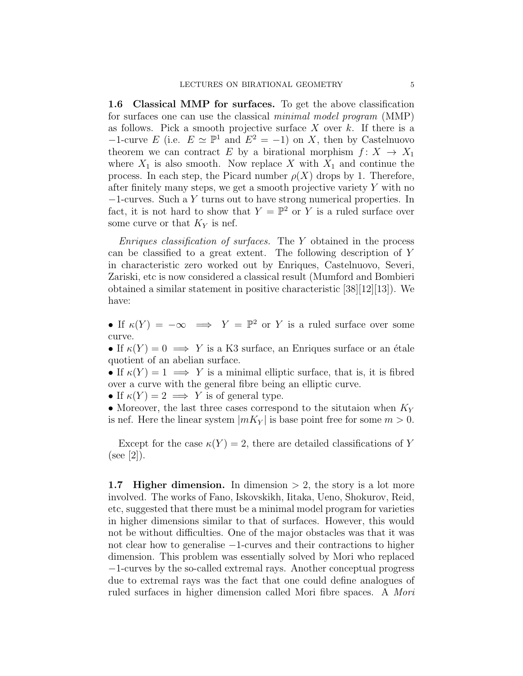1.6 Classical MMP for surfaces. To get the above classification for surfaces one can use the classical minimal model program (MMP) as follows. Pick a smooth projective surface  $X$  over  $k$ . If there is a  $-1$ -curve E (i.e.  $E \simeq \mathbb{P}^1$  and  $E^2 = -1$ ) on X, then by Castelnuovo theorem we can contract E by a birational morphism  $f: X \to X_1$ where  $X_1$  is also smooth. Now replace X with  $X_1$  and continue the process. In each step, the Picard number  $\rho(X)$  drops by 1. Therefore, after finitely many steps, we get a smooth projective variety  $Y$  with no −1-curves. Such a Y turns out to have strong numerical properties. In fact, it is not hard to show that  $Y = \mathbb{P}^2$  or Y is a ruled surface over some curve or that  $K_Y$  is nef.

*Enriques classification of surfaces.* The  $Y$  obtained in the process can be classified to a great extent. The following description of Y in characteristic zero worked out by Enriques, Castelnuovo, Severi, Zariski, etc is now considered a classical result (Mumford and Bombieri obtained a similar statement in positive characteristic  $[38][12][13]$ . We have:

• If  $\kappa(Y) = -\infty \implies Y = \mathbb{P}^2$  or Y is a ruled surface over some curve.

• If  $\kappa(Y) = 0 \implies Y$  is a K3 surface, an Enriques surface or an étale quotient of an abelian surface.

• If  $\kappa(Y) = 1 \implies Y$  is a minimal elliptic surface, that is, it is fibred over a curve with the general fibre being an elliptic curve.

• If  $\kappa(Y) = 2 \implies Y$  is of general type.

• Moreover, the last three cases correspond to the situtaion when  $K_Y$ is nef. Here the linear system  $|mK_Y|$  is base point free for some  $m > 0$ .

Except for the case  $\kappa(Y) = 2$ , there are detailed classifications of Y  $(see [2]).$ 

1.7 Higher dimension. In dimension  $> 2$ , the story is a lot more involved. The works of Fano, Iskovskikh, Iitaka, Ueno, Shokurov, Reid, etc, suggested that there must be a minimal model program for varieties in higher dimensions similar to that of surfaces. However, this would not be without difficulties. One of the major obstacles was that it was not clear how to generalise −1-curves and their contractions to higher dimension. This problem was essentially solved by Mori who replaced −1-curves by the so-called extremal rays. Another conceptual progress due to extremal rays was the fact that one could define analogues of ruled surfaces in higher dimension called Mori fibre spaces. A Mori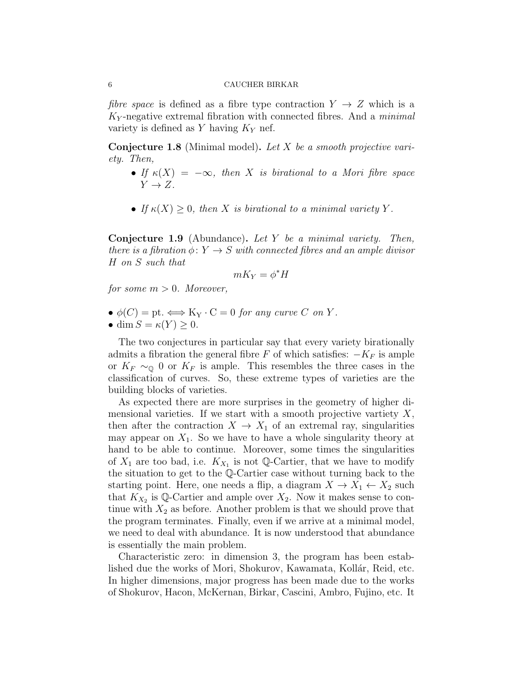fibre space is defined as a fibre type contraction  $Y \rightarrow Z$  which is a  $K_Y$ -negative extremal fibration with connected fibres. And a *minimal* variety is defined as Y having  $K_Y$  nef.

**Conjecture 1.8** (Minimal model). Let X be a smooth projective variety. Then,

- If  $\kappa(X) = -\infty$ , then X is birational to a Mori fibre space  $Y \rightarrow Z$ .
- If  $\kappa(X) \geq 0$ , then X is birational to a minimal variety Y.

**Conjecture 1.9** (Abundance). Let Y be a minimal variety. Then, there is a fibration  $\phi \colon Y \to S$  with connected fibres and an ample divisor H on S such that

$$
mK_Y = \phi^*H
$$

for some  $m > 0$ . Moreover,

- $\bullet \phi(C) = \text{pt.} \Longleftrightarrow K_Y \cdot C = 0$  for any curve C on Y.
- dim  $S = \kappa(Y) \geq 0$ .

The two conjectures in particular say that every variety birationally admits a fibration the general fibre F of which satisfies:  $-K_F$  is ample or  $K_F \sim_{\mathbb{Q}} 0$  or  $K_F$  is ample. This resembles the three cases in the classification of curves. So, these extreme types of varieties are the building blocks of varieties.

As expected there are more surprises in the geometry of higher dimensional varieties. If we start with a smooth projective vartiety  $X$ , then after the contraction  $X \to X_1$  of an extremal ray, singularities may appear on  $X_1$ . So we have to have a whole singularity theory at hand to be able to continue. Moreover, some times the singularities of  $X_1$  are too bad, i.e.  $K_{X_1}$  is not Q-Cartier, that we have to modify the situation to get to the Q-Cartier case without turning back to the starting point. Here, one needs a flip, a diagram  $X \to X_1 \leftarrow X_2$  such that  $K_{X_2}$  is Q-Cartier and ample over  $X_2$ . Now it makes sense to continue with  $X_2$  as before. Another problem is that we should prove that the program terminates. Finally, even if we arrive at a minimal model, we need to deal with abundance. It is now understood that abundance is essentially the main problem.

Characteristic zero: in dimension 3, the program has been established due the works of Mori, Shokurov, Kawamata, Kollár, Reid, etc. In higher dimensions, major progress has been made due to the works of Shokurov, Hacon, McKernan, Birkar, Cascini, Ambro, Fujino, etc. It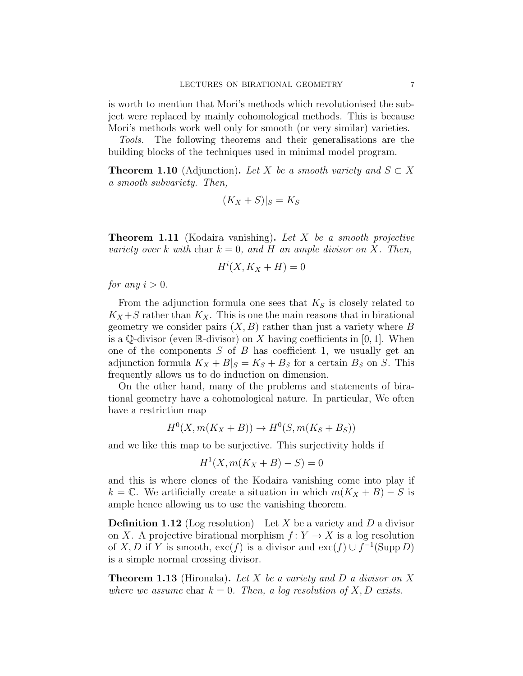is worth to mention that Mori's methods which revolutionised the subject were replaced by mainly cohomological methods. This is because Mori's methods work well only for smooth (or very similar) varieties.

Tools. The following theorems and their generalisations are the building blocks of the techniques used in minimal model program.

**Theorem 1.10** (Adjunction). Let X be a smooth variety and  $S \subset X$ a smooth subvariety. Then,

$$
(K_X + S)|_S = K_S
$$

**Theorem 1.11** (Kodaira vanishing). Let X be a smooth projective variety over k with char  $k = 0$ , and H an ample divisor on X. Then,

$$
H^i(X, K_X + H) = 0
$$

for any  $i > 0$ .

From the adjunction formula one sees that  $K<sub>S</sub>$  is closely related to  $K_X + S$  rather than  $K_X$ . This is one the main reasons that in birational geometry we consider pairs  $(X, B)$  rather than just a variety where B is a Q-divisor (even R-divisor) on X having coefficients in [0, 1]. When one of the components  $S$  of  $B$  has coefficient 1, we usually get an adjunction formula  $K_X + B|_S = K_S + B_S$  for a certain  $B_S$  on S. This frequently allows us to do induction on dimension.

On the other hand, many of the problems and statements of birational geometry have a cohomological nature. In particular, We often have a restriction map

$$
H^0(X, m(K_X + B)) \to H^0(S, m(K_S + B_S))
$$

and we like this map to be surjective. This surjectivity holds if

$$
H^{1}(X, m(K_X + B) - S) = 0
$$

and this is where clones of the Kodaira vanishing come into play if k =  $\mathbb{C}$ . We artificially create a situation in which  $m(K_X + B) - S$  is ample hence allowing us to use the vanishing theorem.

**Definition 1.12** (Log resolution) Let X be a variety and D a divisor on X. A projective birational morphism  $f: Y \to X$  is a log resolution of X, D if Y is smooth,  $\operatorname{exc}(f)$  is a divisor and  $\operatorname{exc}(f) \cup f^{-1}(\operatorname{Supp} D)$ is a simple normal crossing divisor.

**Theorem 1.13** (Hironaka). Let X be a variety and D a divisor on X where we assume char  $k = 0$ . Then, a log resolution of X, D exists.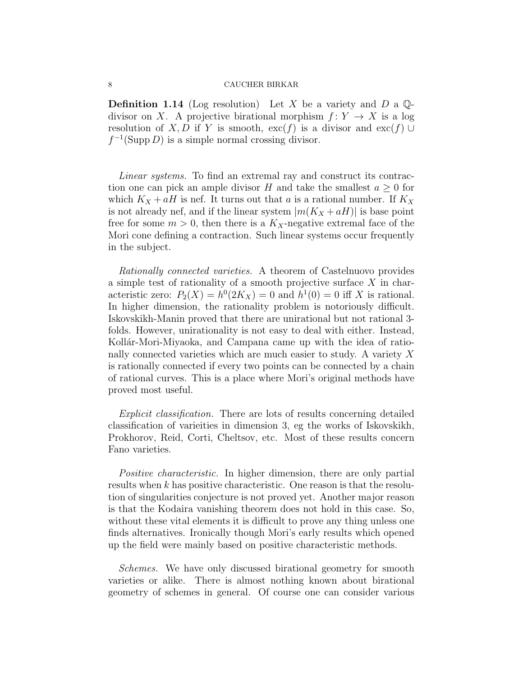**Definition 1.14** (Log resolution) Let X be a variety and D a  $\mathbb{Q}$ divisor on X. A projective birational morphism  $f: Y \to X$  is a log resolution of X, D if Y is smooth,  $\operatorname{exc}(f)$  is a divisor and  $\operatorname{exc}(f) \cup$  $f^{-1}(\text{Supp } D)$  is a simple normal crossing divisor.

Linear systems. To find an extremal ray and construct its contraction one can pick an ample divisor H and take the smallest  $a \geq 0$  for which  $K_X + aH$  is nef. It turns out that a is a rational number. If  $K_X$ is not already nef, and if the linear system  $|m(K_X+aH)|$  is base point free for some  $m > 0$ , then there is a  $K_X$ -negative extremal face of the Mori cone defining a contraction. Such linear systems occur frequently in the subject.

Rationally connected varieties. A theorem of Castelnuovo provides a simple test of rationality of a smooth projective surface X in characteristic zero:  $P_2(X) = h^0(2K_X) = 0$  and  $h^1(0) = 0$  iff X is rational. In higher dimension, the rationality problem is notoriously difficult. Iskovskikh-Manin proved that there are unirational but not rational 3 folds. However, unirationality is not easy to deal with either. Instead, Kollár-Mori-Miyaoka, and Campana came up with the idea of rationally connected varieties which are much easier to study. A variety X is rationally connected if every two points can be connected by a chain of rational curves. This is a place where Mori's original methods have proved most useful.

Explicit classification. There are lots of results concerning detailed classification of varieities in dimension 3, eg the works of Iskovskikh, Prokhorov, Reid, Corti, Cheltsov, etc. Most of these results concern Fano varieties.

Positive characteristic. In higher dimension, there are only partial results when k has positive characteristic. One reason is that the resolution of singularities conjecture is not proved yet. Another major reason is that the Kodaira vanishing theorem does not hold in this case. So, without these vital elements it is difficult to prove any thing unless one finds alternatives. Ironically though Mori's early results which opened up the field were mainly based on positive characteristic methods.

Schemes. We have only discussed birational geometry for smooth varieties or alike. There is almost nothing known about birational geometry of schemes in general. Of course one can consider various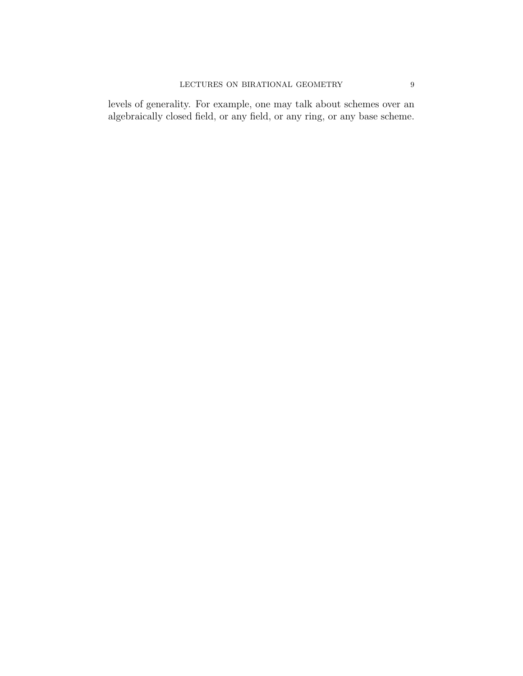levels of generality. For example, one may talk about schemes over an algebraically closed field, or any field, or any ring, or any base scheme.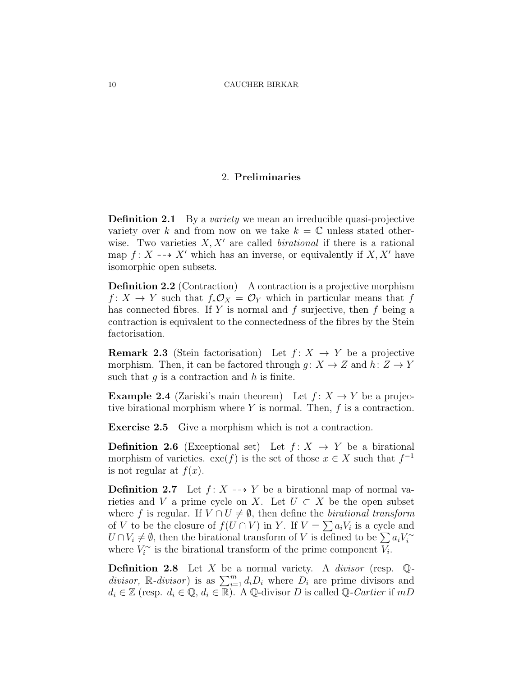## 2. Preliminaries

**Definition 2.1** By a variety we mean an irreducible quasi-projective variety over k and from now on we take  $k = \mathbb{C}$  unless stated otherwise. Two varieties  $X, X'$  are called *birational* if there is a rational map  $f: X \dashrightarrow X'$  which has an inverse, or equivalently if  $X, X'$  have isomorphic open subsets.

Definition 2.2 (Contraction) A contraction is a projective morphism  $f: X \to Y$  such that  $f_*\mathcal{O}_X = \mathcal{O}_Y$  which in particular means that f has connected fibres. If  $Y$  is normal and  $f$  surjective, then  $f$  being a contraction is equivalent to the connectedness of the fibres by the Stein factorisation.

**Remark 2.3** (Stein factorisation) Let  $f: X \rightarrow Y$  be a projective morphism. Then, it can be factored through  $g: X \to Z$  and  $h: Z \to Y$ such that  $g$  is a contraction and  $h$  is finite.

**Example 2.4** (Zariski's main theorem) Let  $f: X \to Y$  be a projective birational morphism where  $Y$  is normal. Then,  $f$  is a contraction.

Exercise 2.5 Give a morphism which is not a contraction.

**Definition 2.6** (Exceptional set) Let  $f: X \rightarrow Y$  be a birational morphism of varieties.  $\operatorname{exc}(f)$  is the set of those  $x \in X$  such that  $f^{-1}$ is not regular at  $f(x)$ .

**Definition 2.7** Let  $f: X \dashrightarrow Y$  be a birational map of normal varieties and V a prime cycle on X. Let  $U \subset X$  be the open subset where f is regular. If  $V \cap U \neq \emptyset$ , then define the *birational transform* of V to be the closure of  $f(U \cap V)$  in Y. If  $V = \sum a_i V_i$  is a cycle and  $U \cap V_i \neq \emptyset$ , then the birational transform of V is defined to be  $\sum a_i V_i^{\sim}$ where  $V_i^{\sim}$  is the birational transform of the prime component  $V_i$ .

**Definition 2.8** Let X be a normal variety. A *divisor* (resp.  $\mathbb{Q}$ divisor,  $\mathbb{R}$ -divisor) is as  $\sum_{i=1}^{m} d_i D_i$  where  $D_i$  are prime divisors and  $d_i \in \mathbb{Z}$  (resp.  $d_i \in \mathbb{Q}, d_i \in \mathbb{R}$ ). A Q-divisor D is called Q-Cartier if mD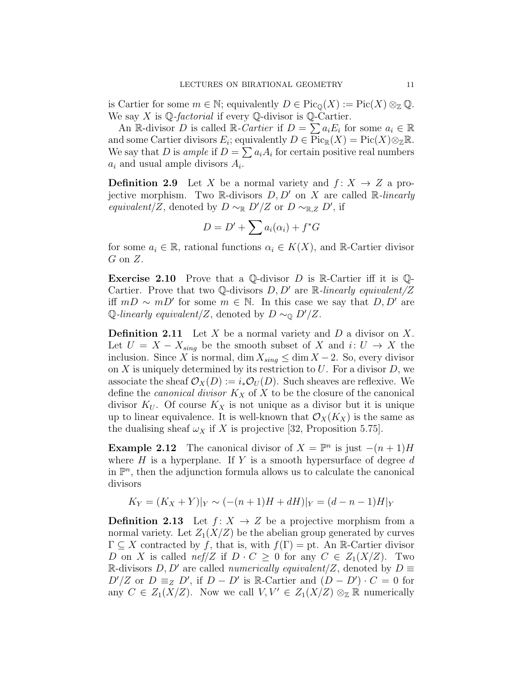is Cartier for some  $m \in \mathbb{N}$ ; equivalently  $D \in Pic_{\mathbb{O}}(X) := Pic(X) \otimes_{\mathbb{Z}} \mathbb{Q}$ . We say  $X$  is  $\mathbb{Q}$ -factorial if every  $\mathbb{Q}$ -divisor is  $\mathbb{Q}$ -Cartier.

An R-divisor D is called R-Cartier if  $D = \sum a_i E_i$  for some  $a_i \in \mathbb{R}$ and some Cartier divisors  $E_i$ ; equivalently  $D \in \operatorname{Pic}_{\mathbb{R}}(X) = \operatorname{Pic}(X) \otimes_{\mathbb{Z}} \mathbb{R}$ . We say that D is ample if  $D = \sum a_i A_i$  for certain positive real numbers  $a_i$  and usual ample divisors  $A_i$ .

**Definition 2.9** Let X be a normal variety and  $f: X \rightarrow Z$  a projective morphism. Two R-divisors  $D, D'$  on X are called R-linearly equivalent/Z, denoted by  $D \sim_{\mathbb{R}} D'/Z$  or  $D \sim_{\mathbb{R},Z} D'$ , if

$$
D = D' + \sum a_i(\alpha_i) + f^*G
$$

for some  $a_i \in \mathbb{R}$ , rational functions  $\alpha_i \in K(X)$ , and  $\mathbb{R}$ -Cartier divisor  $G$  on  $Z$ .

**Exercise 2.10** Prove that a Q-divisor D is R-Cartier iff it is Q-Cartier. Prove that two Q-divisors  $D, D'$  are R-linearly equivalent/Z iff  $mD \sim mD'$  for some  $m \in \mathbb{N}$ . In this case we say that  $D, D'$  are Q-linearly equivalent/Z, denoted by  $D \sim_{\mathbb{Q}} D'/Z$ .

**Definition 2.11** Let X be a normal variety and D a divisor on X. Let  $U = X - X_{sing}$  be the smooth subset of X and  $i: U \to X$  the inclusion. Since X is normal, dim  $X_{sing} \leq \dim X - 2$ . So, every divisor on X is uniquely determined by its restriction to  $U$ . For a divisor  $D$ , we associate the sheaf  $\mathcal{O}_X(D) := i_* \mathcal{O}_U(D)$ . Such sheaves are reflexive. We define the *canonical divisor*  $K_X$  of X to be the closure of the canonical divisor  $K_U$ . Of course  $K_X$  is not unique as a divisor but it is unique up to linear equivalence. It is well-known that  $\mathcal{O}_X(K_X)$  is the same as the dualising sheaf  $\omega_X$  if X is projective [32, Proposition 5.75].

**Example 2.12** The canonical divisor of  $X = \mathbb{P}^n$  is just  $-(n+1)H$ where  $H$  is a hyperplane. If Y is a smooth hypersurface of degree  $d$ in  $\mathbb{P}^n$ , then the adjunction formula allows us to calculate the canonical divisors

$$
K_Y = (K_X + Y)|_Y \sim (-(n+1)H + dH)|_Y = (d - n - 1)H|_Y
$$

**Definition 2.13** Let  $f: X \rightarrow Z$  be a projective morphism from a normal variety. Let  $Z_1(X/Z)$  be the abelian group generated by curves  $\Gamma \subseteq X$  contracted by f, that is, with  $f(\Gamma) =$  pt. An R-Cartier divisor D on X is called nef |Z if  $D \cdot C \geq 0$  for any  $C \in Z_1(X/Z)$ . Two R-divisors D, D' are called *numerically equivalent*/Z, denoted by  $D \equiv$  $D'/Z$  or  $D \equiv_Z D'$ , if  $D - D'$  is R-Cartier and  $(D - D') \cdot C = 0$  for any  $C \in Z_1(X/Z)$ . Now we call  $V, V' \in Z_1(X/Z) \otimes_{\mathbb{Z}} \mathbb{R}$  numerically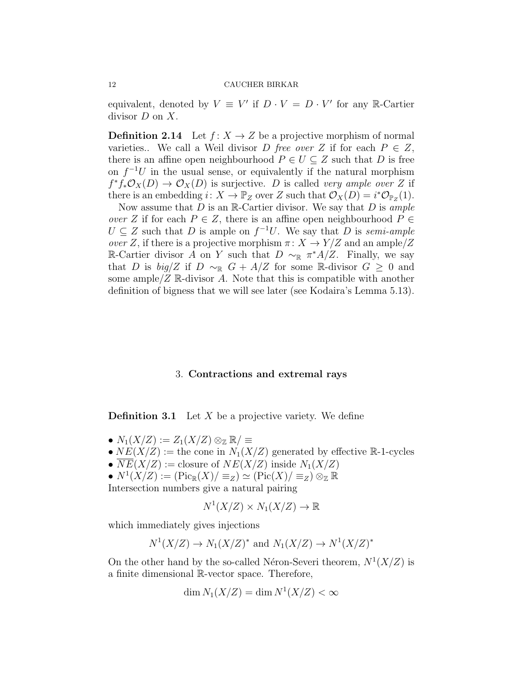equivalent, denoted by  $V \equiv V'$  if  $D \cdot V = D \cdot V'$  for any R-Cartier divisor  $D$  on  $X$ .

**Definition 2.14** Let  $f: X \to Z$  be a projective morphism of normal varieties.. We call a Weil divisor D free over Z if for each  $P \in Z$ , there is an affine open neighbourhood  $P \in U \subseteq Z$  such that D is free on  $f^{-1}U$  in the usual sense, or equivalently if the natural morphism  $f^*f_*\mathcal{O}_X(D) \to \mathcal{O}_X(D)$  is surjective. D is called very ample over Z if there is an embedding  $i: X \to \mathbb{P}_Z$  over Z such that  $\mathcal{O}_X(D) = i^*\mathcal{O}_{\mathbb{P}_Z}(1)$ .

Now assume that  $D$  is an  $\mathbb{R}$ -Cartier divisor. We say that  $D$  is ample *over* Z if for each  $P \in \mathbb{Z}$ , there is an affine open neighbourhood  $P \in \mathbb{Z}$  $U \subseteq Z$  such that D is ample on  $f^{-1}U$ . We say that D is semi-ample over Z, if there is a projective morphism  $\pi: X \to Y/Z$  and an ample/Z R-Cartier divisor A on Y such that  $D \sim_{\mathbb{R}} \pi^* A/Z$ . Finally, we say that D is  $big/Z$  if D  $\sim_{\mathbb{R}} G + A/Z$  for some R-divisor  $G \geq 0$  and some ample/ $Z \mathbb{R}$ -divisor A. Note that this is compatible with another definition of bigness that we will see later (see Kodaira's Lemma 5.13).

#### 3. Contractions and extremal rays

**Definition 3.1** Let  $X$  be a projective variety. We define

- $N_1(X/Z) := Z_1(X/Z) \otimes_{\mathbb{Z}} \mathbb{R}/\equiv$
- $NE(X/Z) :=$  the cone in  $N_1(X/Z)$  generated by effective R-1-cycles
- $\overline{NE}(X/Z) := \text{closure of } NE(X/Z) \text{ inside } N_1(X/Z)$
- $N^1(X/Z) := (\operatorname{Pic}_{\mathbb{R}}(X)/ \equiv_Z) \simeq (\operatorname{Pic}(X)/ \equiv_Z) \otimes_{\mathbb{Z}} \mathbb{R}$

Intersection numbers give a natural pairing

$$
N^1(X/Z) \times N_1(X/Z) \to \mathbb{R}
$$

which immediately gives injections

$$
N^1(X/Z) \to N_1(X/Z)^*
$$
 and  $N_1(X/Z) \to N^1(X/Z)^*$ 

On the other hand by the so-called Néron-Severi theorem,  $N^1(X/Z)$  is a finite dimensional R-vector space. Therefore,

$$
\dim N_1(X/Z) = \dim N^1(X/Z) < \infty
$$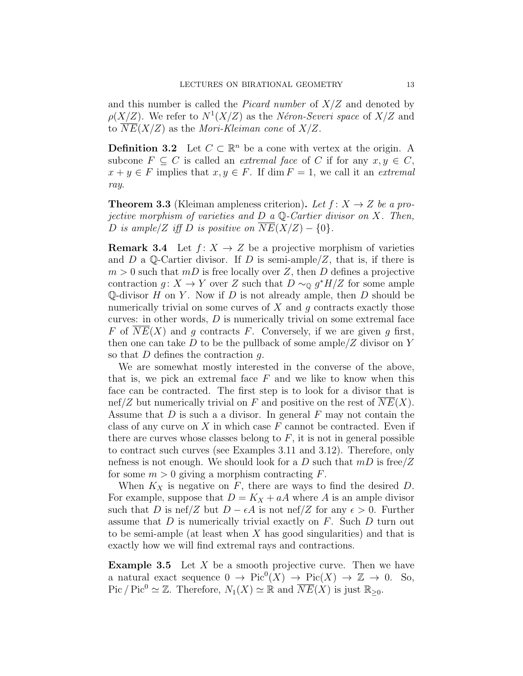and this number is called the *Picard number* of  $X/Z$  and denoted by  $\rho(X/Z)$ . We refer to  $N^1(X/Z)$  as the Néron-Severi space of  $X/Z$  and to  $\overline{NE}(X/Z)$  as the *Mori-Kleiman cone* of  $X/Z$ .

**Definition 3.2** Let  $C \subset \mathbb{R}^n$  be a cone with vertex at the origin. A subcone  $F \subseteq C$  is called an *extremal face* of C if for any  $x, y \in C$ ,  $x + y \in F$  implies that  $x, y \in F$ . If dim  $F = 1$ , we call it an *extremal* ray.

**Theorem 3.3** (Kleiman ampleness criterion). Let  $f: X \rightarrow Z$  be a projective morphism of varieties and  $D$  a  $\mathbb Q$ -Cartier divisor on X. Then, D is ample/Z iff D is positive on  $NE(X/Z) - \{0\}$ .

**Remark 3.4** Let  $f: X \to Z$  be a projective morphism of varieties and D a Q-Cartier divisor. If D is semi-ample/Z, that is, if there is  $m > 0$  such that  $mD$  is free locally over Z, then D defines a projective contraction  $g: X \to Y$  over Z such that  $D \sim_{\mathbb{Q}} g^* H/Z$  for some ample Q-divisor  $H$  on  $Y$ . Now if  $D$  is not already ample, then  $D$  should be numerically trivial on some curves of  $X$  and  $q$  contracts exactly those curves: in other words,  $D$  is numerically trivial on some extremal face F of  $NE(X)$  and g contracts F. Conversely, if we are given g first, then one can take D to be the pullback of some ample  $Z$  divisor on Y so that  $D$  defines the contraction  $q$ .

We are somewhat mostly interested in the converse of the above, that is, we pick an extremal face  $F$  and we like to know when this face can be contracted. The first step is to look for a divisor that is nef/Z but numerically trivial on F and positive on the rest of  $\overline{NE}(X)$ . Assume that  $D$  is such a a divisor. In general  $F$  may not contain the class of any curve on  $X$  in which case  $F$  cannot be contracted. Even if there are curves whose classes belong to  $F$ , it is not in general possible to contract such curves (see Examples 3.11 and 3.12). Therefore, only nefness is not enough. We should look for a D such that  $mD$  is free/Z for some  $m > 0$  giving a morphism contracting F.

When  $K_X$  is negative on  $F$ , there are ways to find the desired  $D$ . For example, suppose that  $D = K_X + aA$  where A is an ample divisor such that D is nef/Z but  $D - \epsilon A$  is not nef/Z for any  $\epsilon > 0$ . Further assume that  $D$  is numerically trivial exactly on  $F$ . Such  $D$  turn out to be semi-ample (at least when  $X$  has good singularities) and that is exactly how we will find extremal rays and contractions.

**Example 3.5** Let  $X$  be a smooth projective curve. Then we have a natural exact sequence  $0 \to Pic^0(X) \to Pic(X) \to \mathbb{Z} \to 0$ . So, Pic / Pic<sup>0</sup>  $\simeq \mathbb{Z}$ . Therefore,  $N_1(X) \simeq \mathbb{R}$  and  $\overline{NE}(X)$  is just  $\mathbb{R}_{\geq 0}$ .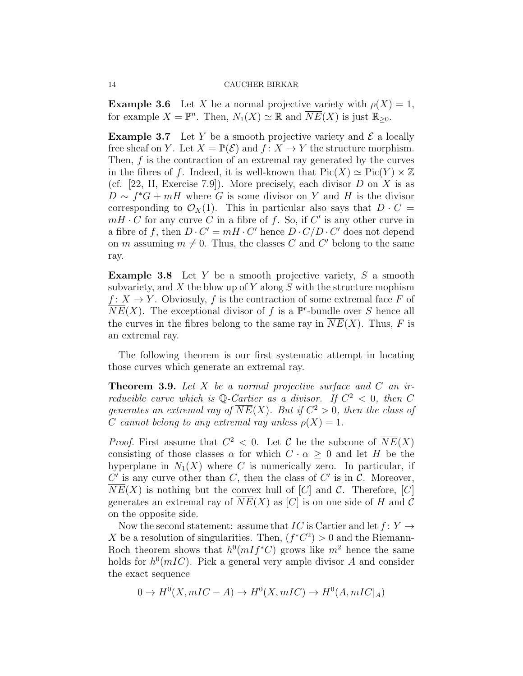**Example 3.6** Let X be a normal projective variety with  $\rho(X) = 1$ , for example  $X = \mathbb{P}^n$ . Then,  $N_1(X) \simeq \mathbb{R}$  and  $\overline{NE}(X)$  is just  $\mathbb{R}_{\geq 0}$ .

**Example 3.7** Let Y be a smooth projective variety and  $\mathcal{E}$  a locally free sheaf on Y. Let  $X = \mathbb{P}(\mathcal{E})$  and  $f: X \to Y$  the structure morphism. Then, f is the contraction of an extremal ray generated by the curves in the fibres of f. Indeed, it is well-known that  $Pic(X) \simeq Pic(Y) \times \mathbb{Z}$ (cf. [22, II, Exercise 7.9]). More precisely, each divisor  $D$  on  $X$  is as  $D \sim f^*G + mH$  where G is some divisor on Y and H is the divisor corresponding to  $\mathcal{O}_X(1)$ . This in particular also says that  $D \cdot C =$  $mH \cdot C$  for any curve C in a fibre of f. So, if C' is any other curve in a fibre of f, then  $D \cdot C' = mH \cdot C'$  hence  $D \cdot C/D \cdot C'$  does not depend on m assuming  $m \neq 0$ . Thus, the classes C and C' belong to the same ray.

**Example 3.8** Let  $Y$  be a smooth projective variety,  $S$  a smooth subvariety, and  $X$  the blow up of Y along  $S$  with the structure mophism  $f: X \to Y$ . Obviosuly, f is the contraction of some extremal face F of  $\overline{NE}(X)$ . The exceptional divisor of f is a  $\mathbb{P}^r$ -bundle over S hence all the curves in the fibres belong to the same ray in  $\overline{NE}(X)$ . Thus, F is an extremal ray.

The following theorem is our first systematic attempt in locating those curves which generate an extremal ray.

**Theorem 3.9.** Let X be a normal projective surface and C an irreducible curve which is Q-Cartier as a divisor. If  $C^2 < 0$ , then C generates an extremal ray of  $\overline{NE}(X)$ . But if  $C^2 > 0$ , then the class of C cannot belong to any extremal ray unless  $\rho(X) = 1$ .

*Proof.* First assume that  $C^2 < 0$ . Let C be the subcone of  $\overline{NE}(X)$ consisting of those classes  $\alpha$  for which  $C \cdot \alpha \geq 0$  and let H be the hyperplane in  $N_1(X)$  where C is numerically zero. In particular, if  $C'$  is any curve other than  $C$ , then the class of  $C'$  is in  $C$ . Moreover,  $NE(X)$  is nothing but the convex hull of [C] and C. Therefore, [C] generates an extremal ray of  $NE(X)$  as  $[C]$  is on one side of H and C on the opposite side.

Now the second statement: assume that IC is Cartier and let  $f: Y \rightarrow$ X be a resolution of singularities. Then,  $(f^*C^2) > 0$  and the Riemann-Roch theorem shows that  $h^0(mIf^*C)$  grows like  $m^2$  hence the same holds for  $h^0(mIC)$ . Pick a general very ample divisor A and consider the exact sequence

$$
0 \to H^0(X, mIC - A) \to H^0(X, mIC) \to H^0(A, mIC|_A)
$$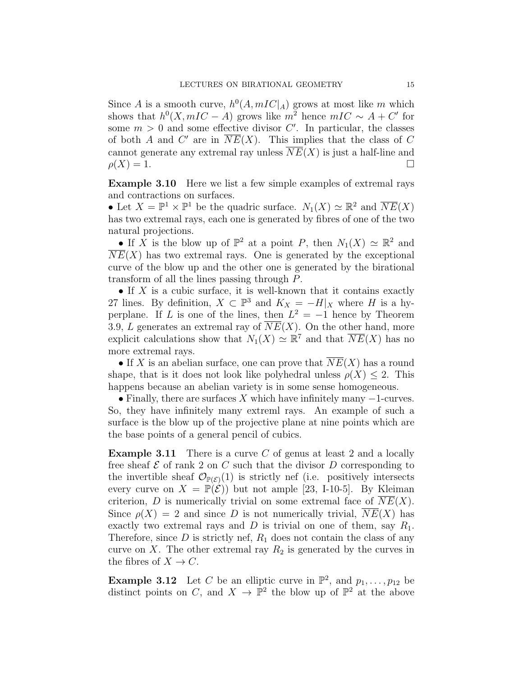Since A is a smooth curve,  $h^0(A, mIC|_A)$  grows at most like m which shows that  $h^0(X, mIC - A)$  grows like  $m^2$  hence  $mIC \sim A + C'$  for some  $m > 0$  and some effective divisor  $C'$ . In particular, the classes of both A and C' are in  $\overline{NE}(X)$ . This implies that the class of C cannot generate any extremal ray unless  $\overline{NE}(X)$  is just a half-line and  $\rho(X) = 1.$ 

Example 3.10 Here we list a few simple examples of extremal rays and contractions on surfaces.

• Let  $X = \mathbb{P}^1 \times \mathbb{P}^1$  be the quadric surface.  $N_1(X) \simeq \mathbb{R}^2$  and  $\overline{NE}(X)$ has two extremal rays, each one is generated by fibres of one of the two natural projections.

• If X is the blow up of  $\mathbb{P}^2$  at a point P, then  $N_1(X) \simeq \mathbb{R}^2$  and  $NE(X)$  has two extremal rays. One is generated by the exceptional curve of the blow up and the other one is generated by the birational transform of all the lines passing through P.

 $\bullet$  If X is a cubic surface, it is well-known that it contains exactly 27 lines. By definition,  $X \subset \mathbb{P}^3$  and  $K_X = -H|_X$  where H is a hyperplane. If L is one of the lines, then  $L^2 = -1$  hence by Theorem 3.9, L generates an extremal ray of  $\overline{NE}(X)$ . On the other hand, more explicit calculations show that  $N_1(X) \simeq \mathbb{R}^7$  and that  $\overline{NE}(X)$  has no more extremal rays.

• If X is an abelian surface, one can prove that  $\overline{NE}(X)$  has a round shape, that is it does not look like polyhedral unless  $\rho(X) \leq 2$ . This happens because an abelian variety is in some sense homogeneous.

• Finally, there are surfaces X which have infinitely many  $-1$ -curves. So, they have infinitely many extreml rays. An example of such a surface is the blow up of the projective plane at nine points which are the base points of a general pencil of cubics.

**Example 3.11** There is a curve C of genus at least 2 and a locally free sheaf  $\mathcal E$  of rank 2 on C such that the divisor D corresponding to the invertible sheaf  $\mathcal{O}_{\mathbb{P}(\mathcal{E})}(1)$  is strictly nef (i.e. positively intersects every curve on  $X = \mathbb{P}(\mathcal{E})$  but not ample [23, I-10-5]. By Kleiman criterion, D is numerically trivial on some extremal face of  $NE(X)$ . Since  $\rho(X) = 2$  and since D is not numerically trivial,  $NE(X)$  has exactly two extremal rays and D is trivial on one of them, say  $R_1$ . Therefore, since  $D$  is strictly nef,  $R_1$  does not contain the class of any curve on X. The other extremal ray  $R_2$  is generated by the curves in the fibres of  $X \to C$ .

**Example 3.12** Let C be an elliptic curve in  $\mathbb{P}^2$ , and  $p_1, \ldots, p_{12}$  be distinct points on C, and  $X \to \mathbb{P}^2$  the blow up of  $\mathbb{P}^2$  at the above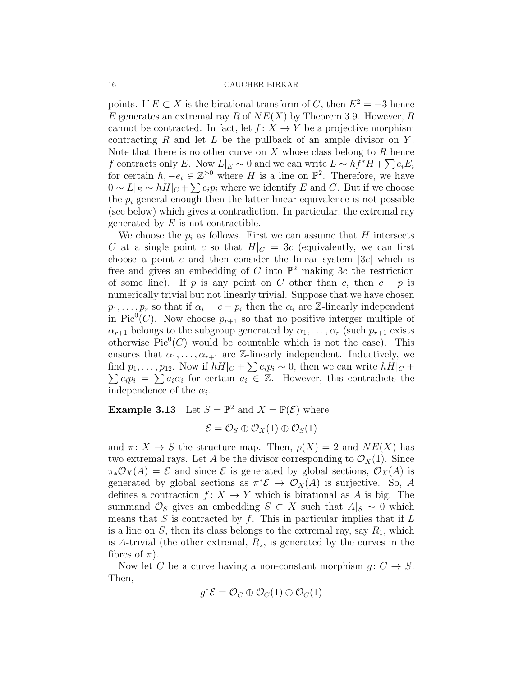points. If  $E \subset X$  is the birational transform of C, then  $E^2 = -3$  hence E generates an extremal ray R of  $NE(X)$  by Theorem 3.9. However, R cannot be contracted. In fact, let  $f: X \to Y$  be a projective morphism contracting  $R$  and let  $L$  be the pullback of an ample divisor on  $Y$ . Note that there is no other curve on  $X$  whose class belong to  $R$  hence f contracts only E. Now  $L|_E \sim 0$  and we can write  $L \sim hf^*H + \sum e_i E_i$ for certain  $h, -e_i \in \mathbb{Z}^{>0}$  where H is a line on  $\mathbb{P}^2$ . Therefore, we have  $0 \sim L|_E \sim hH|_C + \sum e_i p_i$  where we identify E and C. But if we choose the  $p_i$  general enough then the latter linear equivalence is not possible (see below) which gives a contradiction. In particular, the extremal ray generated by  $E$  is not contractible.

We choose the  $p_i$  as follows. First we can assume that H intersects C at a single point c so that  $H|_C = 3c$  (equivalently, we can first choose a point c and then consider the linear system  $|3c|$  which is free and gives an embedding of C into  $\mathbb{P}^2$  making 3c the restriction of some line). If p is any point on C other than c, then  $c - p$  is numerically trivial but not linearly trivial. Suppose that we have chosen  $p_1, \ldots, p_r$  so that if  $\alpha_i = c - p_i$  then the  $\alpha_i$  are Z-linearly independent in Pic<sup>0</sup>(C). Now choose  $p_{r+1}$  so that no positive interger multiple of  $\alpha_{r+1}$  belongs to the subgroup generated by  $\alpha_1, \ldots, \alpha_r$  (such  $p_{r+1}$  exists otherwise  $Pic^0(C)$  would be countable which is not the case). This ensures that  $\alpha_1, \ldots, \alpha_{r+1}$  are Z-linearly independent. Inductively, we find  $p_1, \ldots, p_{12}$ . Now if  $hH|_C + \sum_{i} e_i p_i \sim 0$ , then we can write  $hH|_C +$  $\sum e_i p_i = \sum a_i \alpha_i$  for certain  $a_i \in \mathbb{Z}$ . However, this contradicts the independence of the  $\alpha_i$ .

**Example 3.13** Let  $S = \mathbb{P}^2$  and  $X = \mathbb{P}(\mathcal{E})$  where

$$
\mathcal{E} = \mathcal{O}_S \oplus \mathcal{O}_X(1) \oplus \mathcal{O}_S(1)
$$

and  $\pi: X \to S$  the structure map. Then,  $\rho(X) = 2$  and  $\overline{NE}(X)$  has two extremal rays. Let A be the divisor corresponding to  $\mathcal{O}_X(1)$ . Since  $\pi_*\mathcal{O}_X(A) = \mathcal{E}$  and since  $\mathcal{E}$  is generated by global sections,  $\mathcal{O}_X(A)$  is generated by global sections as  $\pi^*\mathcal{E} \to \mathcal{O}_X(A)$  is surjective. So, A defines a contraction  $f: X \to Y$  which is birational as A is big. The summand  $\mathcal{O}_S$  gives an embedding  $S \subset X$  such that  $A|_S \sim 0$  which means that  $S$  is contracted by  $f$ . This in particular implies that if  $L$ is a line on  $S$ , then its class belongs to the extremal ray, say  $R_1$ , which is A-trivial (the other extremal,  $R_2$ , is generated by the curves in the fibres of  $\pi$ ).

Now let C be a curve having a non-constant morphism  $g: C \to S$ . Then,

$$
g^*\mathcal{E} = \mathcal{O}_C \oplus \mathcal{O}_C(1) \oplus \mathcal{O}_C(1)
$$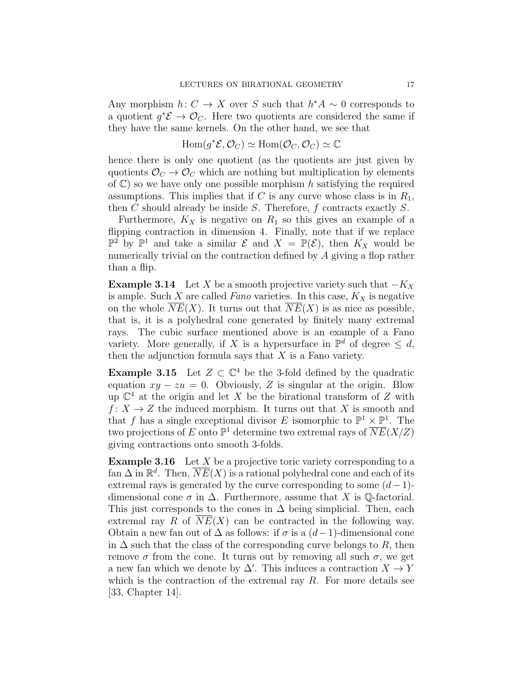Any morphism  $h: C \to X$  over S such that  $h^*A \sim 0$  corresponds to a quotient  $g^*\mathcal{E} \to \mathcal{O}_C$ . Here two quotients are considered the same if they have the same kernels. On the other hand, we see that

$$
\operatorname{Hom}(g^*\mathcal{E},\mathcal{O}_C) \simeq \operatorname{Hom}(\mathcal{O}_C,\mathcal{O}_C) \simeq \mathbb{C}
$$

hence there is only one quotient (as the quotients are just given by quotients  $\mathcal{O}_C \rightarrow \mathcal{O}_C$  which are nothing but multiplication by elements of  $\mathbb{C}$ ) so we have only one possible morphism h satisfying the required assumptions. This implies that if C is any curve whose class is in  $R_1$ , then C should already be inside S. Therefore,  $f$  contracts exactly  $S$ .

Furthermore,  $K_X$  is negative on  $R_1$  so this gives an example of a flipping contraction in dimension 4. Finally, note that if we replace  $\mathbb{P}^2$  by  $\mathbb{P}^1$  and take a similar  $\mathcal{E}$  and  $X = \mathbb{P}(\mathcal{E})$ , then  $K_X$  would be numerically trivial on the contraction defined by A giving a flop rather than a flip.

**Example 3.14** Let X be a smooth projective variety such that  $-K_X$ is ample. Such  $X$  are called Fano varieties. In this case,  $K_X$  is negative on the whole  $NE(X)$ . It turns out that  $\overline{NE}(X)$  is as nice as possible, that is, it is a polyhedral cone generated by finitely many extremal rays. The cubic surface mentioned above is an example of a Fano variety. More generally, if X is a hypersurface in  $\mathbb{P}^d$  of degree  $\leq d$ , then the adjunction formula says that  $X$  is a Fano variety.

**Example 3.15** Let  $Z \subset \mathbb{C}^4$  be the 3-fold defined by the quadratic equation  $xy - zu = 0$ . Obviously, Z is singular at the origin. Blow up  $\mathbb{C}^4$  at the origin and let X be the birational transform of Z with  $f: X \to Z$  the induced morphism. It turns out that X is smooth and that f has a single exceptional divisor E isomorphic to  $\mathbb{P}^1 \times \mathbb{P}^1$ . The two projections of E onto  $\mathbb{P}^1$  determine two extremal rays of  $\overline{NE}(X/Z)$ giving contractions onto smooth 3-folds.

**Example 3.16** Let X be a projective toric variety corresponding to a fan  $\Delta$  in  $\mathbb{R}^d$ . Then,  $\overline{NE}(X)$  is a rational polyhedral cone and each of its extremal rays is generated by the curve corresponding to some  $(d-1)$ dimensional cone  $\sigma$  in  $\Delta$ . Furthermore, assume that X is Q-factorial. This just corresponds to the cones in  $\Delta$  being simplicial. Then, each extremal ray R of  $\overline{NE}(X)$  can be contracted in the following way. Obtain a new fan out of  $\Delta$  as follows: if  $\sigma$  is a  $(d-1)$ -dimensional cone in  $\Delta$  such that the class of the corresponding curve belongs to R, then remove  $\sigma$  from the cone. It turns out by removing all such  $\sigma$ , we get a new fan which we denote by  $\Delta'$ . This induces a contraction  $X \to Y$ which is the contraction of the extremal ray  $R$ . For more details see [33, Chapter 14].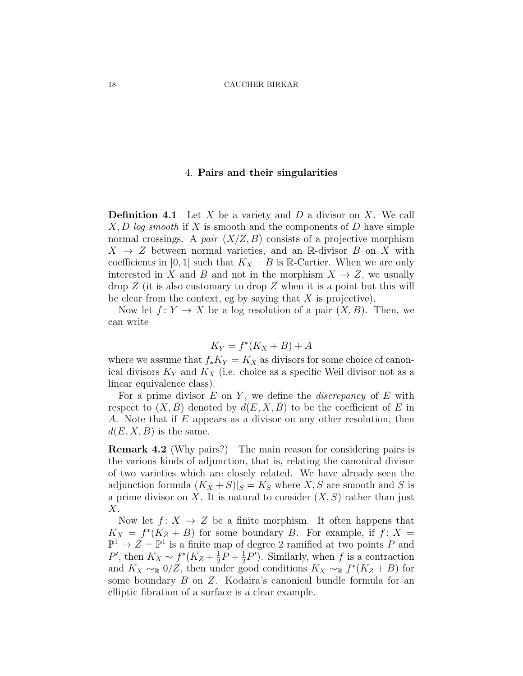## 4. Pairs and their singularities

**Definition 4.1** Let X be a variety and D a divisor on X. We call  $X, D \log smooth$  if X is smooth and the components of D have simple normal crossings. A pair  $(X/Z, B)$  consists of a projective morphism  $X \rightarrow Z$  between normal varieties, and an R-divisor B on X with coefficients in [0, 1] such that  $K_X + B$  is R-Cartier. When we are only interested in X and B and not in the morphism  $X \to Z$ , we usually  $\text{drop } Z$  (it is also customary to drop Z when it is a point but this will be clear from the context, eg by saying that  $X$  is projective).

Now let  $f: Y \to X$  be a log resolution of a pair  $(X, B)$ . Then, we can write

$$
K_Y = f^*(K_X + B) + A
$$

where we assume that  $f_*K_Y = K_X$  as divisors for some choice of canonical divisors  $K_Y$  and  $K_X$  (i.e. choice as a specific Weil divisor not as a linear equivalence class).

For a prime divisor  $E$  on  $Y$ , we define the *discrepancy* of  $E$  with respect to  $(X, B)$  denoted by  $d(E, X, B)$  to be the coefficient of E in A. Note that if E appears as a divisor on any other resolution, then  $d(E, X, B)$  is the same.

Remark 4.2 (Why pairs?) The main reason for considering pairs is the various kinds of adjunction, that is, relating the canonical divisor of two varieties which are closely related. We have already seen the adjunction formula  $(K_X + S)|_S = K_S$  where X, S are smooth and S is a prime divisor on X. It is natural to consider  $(X, S)$  rather than just X.

Now let  $f: X \to Z$  be a finite morphism. It often happens that  $K_X = f^*(K_Z + B)$  for some boundary B. For example, if  $f: X =$  $\mathbb{P}^1 \to Z = \mathbb{P}^1$  is a finite map of degree 2 ramified at two points P and P', then  $K_X \sim f^*(K_Z + \frac{1}{2})$  $\frac{1}{2}P + \frac{1}{2}$  $\frac{1}{2}P'$ ). Similarly, when f is a contraction and  $K_X \sim \mathbb{R}$  0/Z, then under good conditions  $K_X \sim \mathbb{R}$   $f^*(K_Z + B)$  for some boundary B on Z. Kodaira's canonical bundle formula for an elliptic fibration of a surface is a clear example.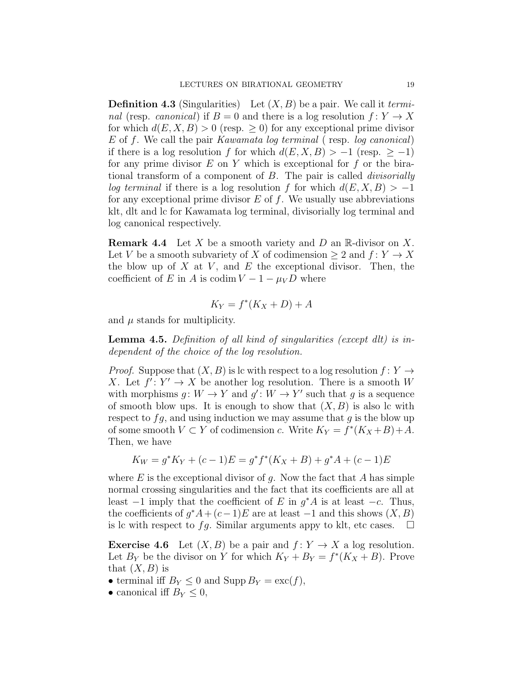**Definition 4.3** (Singularities) Let  $(X, B)$  be a pair. We call it *termi*nal (resp. canonical) if  $B = 0$  and there is a log resolution  $f: Y \to X$ for which  $d(E, X, B) > 0$  (resp.  $\geq 0$ ) for any exceptional prime divisor E of f. We call the pair Kawamata log terminal ( resp. log canonical) if there is a log resolution f for which  $d(E, X, B) > -1$  (resp.  $\geq -1$ ) for any prime divisor  $E$  on  $Y$  which is exceptional for  $f$  or the birational transform of a component of B. The pair is called divisorially log terminal if there is a log resolution f for which  $d(E, X, B) > -1$ for any exceptional prime divisor  $E$  of  $f$ . We usually use abbreviations klt, dlt and lc for Kawamata log terminal, divisorially log terminal and log canonical respectively.

**Remark 4.4** Let X be a smooth variety and D an R-divisor on X. Let V be a smooth subvariety of X of codimension  $\geq 2$  and  $f: Y \to X$ the blow up of  $X$  at  $V$ , and  $E$  the exceptional divisor. Then, the coefficient of E in A is codim  $V - 1 - \mu_V D$  where

$$
K_Y = f^*(K_X + D) + A
$$

and  $\mu$  stands for multiplicity.

Lemma 4.5. Definition of all kind of singularities (except dlt) is independent of the choice of the log resolution.

*Proof.* Suppose that  $(X, B)$  is lc with respect to a log resolution  $f: Y \rightarrow Y$ X. Let  $f' : Y' \to X$  be another log resolution. There is a smooth W with morphisms  $g: W \to Y$  and  $g': W \to Y'$  such that g is a sequence of smooth blow ups. It is enough to show that  $(X, B)$  is also lc with respect to  $fg$ , and using induction we may assume that  $g$  is the blow up of some smooth  $V \subset Y$  of codimension c. Write  $K_Y = f^*(K_X + B) + A$ . Then, we have

$$
K_W = g^* K_Y + (c - 1)E = g^* f^* (K_X + B) + g^* A + (c - 1)E
$$

where  $E$  is the exceptional divisor of  $g$ . Now the fact that  $A$  has simple normal crossing singularities and the fact that its coefficients are all at least  $-1$  imply that the coefficient of E in  $g^*A$  is at least  $-c$ . Thus, the coefficients of  $g^*A + (c-1)E$  are at least  $-1$  and this shows  $(X, B)$ is lc with respect to fg. Similar arguments appy to klt, etc cases.  $\Box$ 

**Exercise 4.6** Let  $(X, B)$  be a pair and  $f: Y \to X$  a log resolution. Let  $B_Y$  be the divisor on Y for which  $K_Y + B_Y = f^*(K_X + B)$ . Prove that  $(X, B)$  is

- terminal iff  $B_Y \leq 0$  and Supp  $B_Y = \text{exc}(f)$ ,
- canonical iff  $B_Y \leq 0$ ,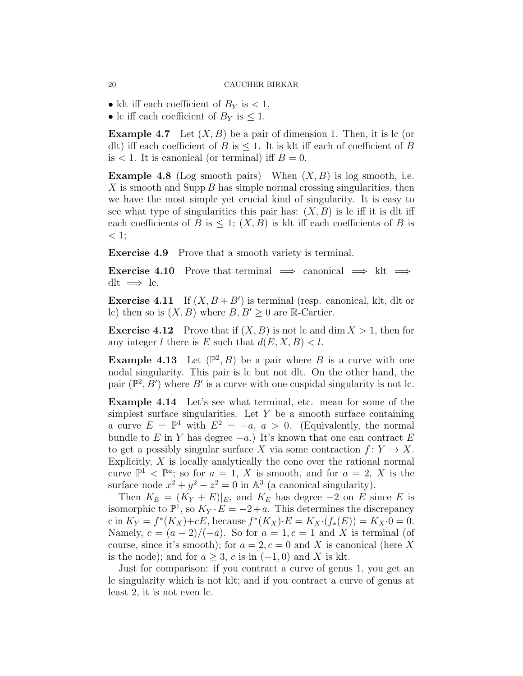• klt iff each coefficient of  $B_Y$  is  $\lt 1$ ,

• lc iff each coefficient of  $B_Y$  is  $\leq 1$ .

**Example 4.7** Let  $(X, B)$  be a pair of dimension 1. Then, it is lc (or dlt) iff each coefficient of B is  $\leq 1$ . It is klt iff each of coefficient of B is  $< 1$ . It is canonical (or terminal) iff  $B = 0$ .

**Example 4.8** (Log smooth pairs) When  $(X, B)$  is log smooth, i.e. X is smooth and Supp  $B$  has simple normal crossing singularities, then we have the most simple yet crucial kind of singularity. It is easy to see what type of singularities this pair has:  $(X, B)$  is lc iff it is dlt iff each coefficients of B is  $\leq$  1;  $(X, B)$  is klt iff each coefficients of B is  $\langle 1;$ 

Exercise 4.9 Prove that a smooth variety is terminal.

**Exercise 4.10** Prove that terminal  $\implies$  canonical  $\implies$  klt  $\implies$ dlt  $\implies$  lc.

**Exercise 4.11** If  $(X, B + B')$  is terminal (resp. canonical, klt, dlt or lc) then so is  $(X, B)$  where  $B, B' \geq 0$  are R-Cartier.

**Exercise 4.12** Prove that if  $(X, B)$  is not lc and dim  $X > 1$ , then for any integer l there is E such that  $d(E, X, B) < l$ .

**Example 4.13** Let  $(\mathbb{P}^2, B)$  be a pair where B is a curve with one nodal singularity. This pair is lc but not dlt. On the other hand, the pair  $(\mathbb{P}^2, B')$  where B' is a curve with one cuspidal singularity is not lc.

Example 4.14 Let's see what terminal, etc. mean for some of the simplest surface singularities. Let  $Y$  be a smooth surface containing a curve  $E = \mathbb{P}^1$  with  $E^2 = -a, a > 0$ . (Equivalently, the normal bundle to E in Y has degree  $-a$ .) It's known that one can contract E to get a possibly singular surface X via some contraction  $f: Y \to X$ . Explicitly,  $X$  is locally analytically the cone over the rational normal curve  $\mathbb{P}^1$  <  $\mathbb{P}^a$ ; so for  $a = 1, X$  is smooth, and for  $a = 2, X$  is the surface node  $x^2 + y^2 - z^2 = 0$  in  $\mathbb{A}^3$  (a canonical singularity).

Then  $K_E = (K_Y + E)|_E$ , and  $K_E$  has degree  $-2$  on E since E is isomorphic to  $\mathbb{P}^1$ , so  $K_Y \cdot E = -2 + a$ . This determines the discrepancy c in  $K_Y = f^*(K_X)+cE$ , because  $f^*(K_X) \cdot E = K_X \cdot (f_*(E)) = K_X \cdot 0 = 0$ . Namely,  $c = (a-2)/(-a)$ . So for  $a = 1, c = 1$  and X is terminal (of course, since it's smooth); for  $a = 2, c = 0$  and X is canonical (here X is the node); and for  $a \geq 3$ , c is in  $(-1,0)$  and X is klt.

Just for comparison: if you contract a curve of genus 1, you get an lc singularity which is not klt; and if you contract a curve of genus at least 2, it is not even lc.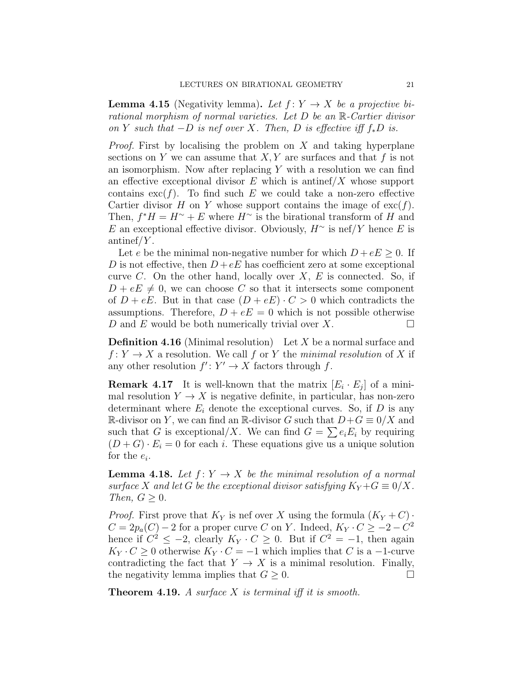**Lemma 4.15** (Negativity lemma). Let  $f: Y \to X$  be a projective birational morphism of normal varieties. Let D be an R-Cartier divisor on Y such that  $-D$  is nef over X. Then, D is effective iff  $f_*D$  is.

*Proof.* First by localising the problem on  $X$  and taking hyperplane sections on Y we can assume that  $X, Y$  are surfaces and that f is not an isomorphism. Now after replacing  $Y$  with a resolution we can find an effective exceptional divisor  $E$  which is antinef  $/X$  whose support contains  $\operatorname{exc}(f)$ . To find such E we could take a non-zero effective Cartier divisor H on Y whose support contains the image of  $\operatorname{exc}(f)$ . Then,  $f^*H = H^{\sim} + E$  where  $H^{\sim}$  is the birational transform of H and E an exceptional effective divisor. Obviously,  $H^{\sim}$  is nef/Y hence E is antinef/ $Y$ .

Let e be the minimal non-negative number for which  $D + eE \geq 0$ . If D is not effective, then  $D + eE$  has coefficient zero at some exceptional curve  $C$ . On the other hand, locally over  $X, E$  is connected. So, if  $D + eE \neq 0$ , we can choose C so that it intersects some component of  $D + eE$ . But in that case  $(D + eE) \cdot C > 0$  which contradicts the assumptions. Therefore,  $D + eE = 0$  which is not possible otherwise D and E would be both numerically trivial over X.

**Definition 4.16** (Minimal resolution) Let X be a normal surface and  $f: Y \to X$  a resolution. We call f or Y the minimal resolution of X if any other resolution  $f' : Y' \to X$  factors through f.

**Remark 4.17** It is well-known that the matrix  $[E_i \cdot E_j]$  of a minimal resolution  $Y \to X$  is negative definite, in particular, has non-zero determinant where  $E_i$  denote the exceptional curves. So, if D is any R-divisor on Y, we can find an R-divisor G such that  $D+G\equiv 0/X$  and such that G is exceptional/X. We can find  $G = \sum e_i E_i$  by requiring  $(D+G) \cdot E_i = 0$  for each i. These equations give us a unique solution for the  $e_i$ .

**Lemma 4.18.** Let  $f: Y \to X$  be the minimal resolution of a normal surface X and let G be the exceptional divisor satisfying  $K_Y + G \equiv 0/X$ . Then,  $G \geq 0$ .

*Proof.* First prove that  $K_Y$  is nef over X using the formula  $(K_Y + C)$ .  $C = 2p_a(C) - 2$  for a proper curve C on Y. Indeed,  $K_Y \cdot C \ge -2 - C^2$ hence if  $C^2 \leq -2$ , clearly  $K_Y \cdot C \geq 0$ . But if  $C^2 = -1$ , then again  $K_Y \cdot C \geq 0$  otherwise  $K_Y \cdot C = -1$  which implies that C is a -1-curve contradicting the fact that  $Y \to X$  is a minimal resolution. Finally, the negativity lemma implies that  $G \geq 0$ .

**Theorem 4.19.** A surface  $X$  is terminal iff it is smooth.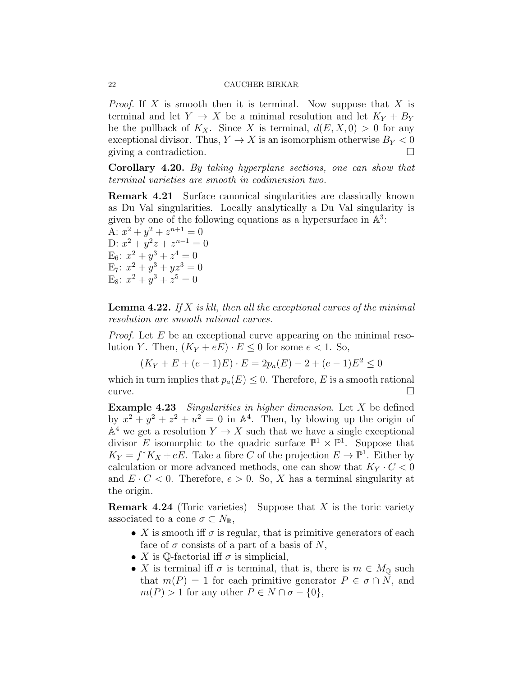*Proof.* If X is smooth then it is terminal. Now suppose that X is terminal and let  $Y \to X$  be a minimal resolution and let  $K_Y + B_Y$ be the pullback of  $K_X$ . Since X is terminal,  $d(E, X, 0) > 0$  for any exceptional divisor. Thus,  $Y \to X$  is an isomorphism otherwise  $B_Y < 0$ giving a contradiction.

Corollary 4.20. By taking hyperplane sections, one can show that terminal varieties are smooth in codimension two.

Remark 4.21 Surface canonical singularities are classically known as Du Val singularities. Locally analytically a Du Val singularity is given by one of the following equations as a hypersurface in  $A<sup>3</sup>$ :

A:  $x^2 + y^2 + z^{n+1} = 0$ D:  $x^2 + y^2z + z^{n-1} = 0$ E<sub>6</sub>:  $x^2 + y^3 + z^4 = 0$ E<sub>7</sub>:  $x^2 + y^3 + yz^3 = 0$ E<sub>8</sub>:  $x^2 + y^3 + z^5 = 0$ 

**Lemma 4.22.** If  $X$  is klt, then all the exceptional curves of the minimal resolution are smooth rational curves.

*Proof.* Let  $E$  be an exceptional curve appearing on the minimal resolution Y. Then,  $(K_Y + eE) \cdot E \leq 0$  for some  $e < 1$ . So,

 $(K_Y + E + (e-1)E) \cdot E = 2p_a(E) - 2 + (e-1)E^2 \leq 0$ 

which in turn implies that  $p_a(E) \leq 0$ . Therefore, E is a smooth rational curve.  $\Box$ 

**Example 4.23** Singularities in higher dimension. Let  $X$  be defined by  $x^2 + y^2 + z^2 + u^2 = 0$  in  $\mathbb{A}^4$ . Then, by blowing up the origin of  $\mathbb{A}^4$  we get a resolution  $Y \to X$  such that we have a single exceptional divisor E isomorphic to the quadric surface  $\mathbb{P}^1 \times \mathbb{P}^1$ . Suppose that  $K_Y = f^*K_X + eE$ . Take a fibre C of the projection  $E \to \mathbb{P}^1$ . Either by calculation or more advanced methods, one can show that  $K_Y \cdot C < 0$ and  $E \cdot C < 0$ . Therefore,  $e > 0$ . So, X has a terminal singularity at the origin.

**Remark 4.24** (Toric varieties) Suppose that X is the toric variety associated to a cone  $\sigma \subset N_{\mathbb{R}},$ 

- X is smooth iff  $\sigma$  is regular, that is primitive generators of each face of  $\sigma$  consists of a part of a basis of N,
- X is Q-factorial iff  $\sigma$  is simplicial,
- X is terminal iff  $\sigma$  is terminal, that is, there is  $m \in M_{\mathbb{Q}}$  such that  $m(P) = 1$  for each primitive generator  $P \in \sigma \cap N$ , and  $m(P) > 1$  for any other  $P \in N \cap \sigma - \{0\},\$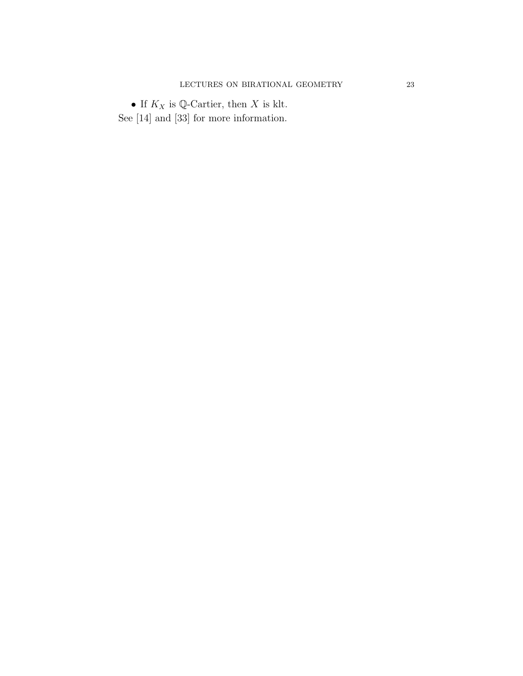$\bullet$  If  $K_X$  is Q-Cartier, then  $X$  is klt. See [14] and [33] for more information.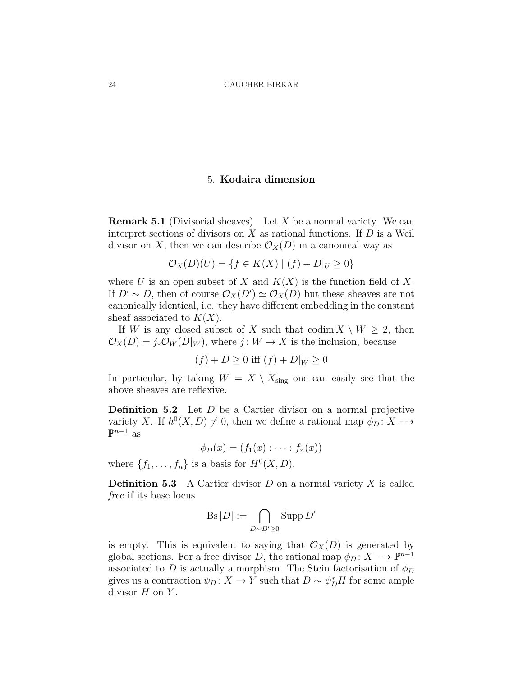## 5. Kodaira dimension

**Remark 5.1** (Divisorial sheaves) Let X be a normal variety. We can interpret sections of divisors on  $X$  as rational functions. If  $D$  is a Weil divisor on X, then we can describe  $\mathcal{O}_X(D)$  in a canonical way as

$$
\mathcal{O}_X(D)(U) = \{ f \in K(X) \mid (f) + D|_U \ge 0 \}
$$

where U is an open subset of X and  $K(X)$  is the function field of X. If  $D' \sim D$ , then of course  $\mathcal{O}_X(D') \simeq \mathcal{O}_X(D)$  but these sheaves are not canonically identical, i.e. they have different embedding in the constant sheaf associated to  $K(X)$ .

If W is any closed subset of X such that  $\text{codim } X \setminus W \geq 2$ , then  $\mathcal{O}_X(D) = j_* \mathcal{O}_W(D|_W)$ , where  $j: W \to X$  is the inclusion, because

$$
(f) + D \ge 0
$$
 iff  $(f) + D|_W \ge 0$ 

In particular, by taking  $W = X \setminus X_{sing}$  one can easily see that the above sheaves are reflexive.

**Definition 5.2** Let  $D$  be a Cartier divisor on a normal projective variety X. If  $h^0(X, D) \neq 0$ , then we define a rational map  $\phi_D : X \dashrightarrow$  $\mathbb{P}^{n-1}$  as

 $\phi_D(x) = (f_1(x) : \cdots : f_n(x))$ 

where  $\{f_1, \ldots, f_n\}$  is a basis for  $H^0(X, D)$ .

**Definition 5.3** A Cartier divisor  $D$  on a normal variety  $X$  is called free if its base locus

$$
\operatorname{Bs}|D| := \bigcap_{D \sim D' \ge 0} \operatorname{Supp} D'
$$

is empty. This is equivalent to saying that  $\mathcal{O}_X(D)$  is generated by global sections. For a free divisor D, the rational map  $\phi_D: X \dashrightarrow \mathbb{P}^{n-1}$ associated to D is actually a morphism. The Stein factorisation of  $\phi_D$ gives us a contraction  $\psi_D: X \to Y$  such that  $D \sim \psi_D^* H$  for some ample divisor  $H$  on  $Y$ .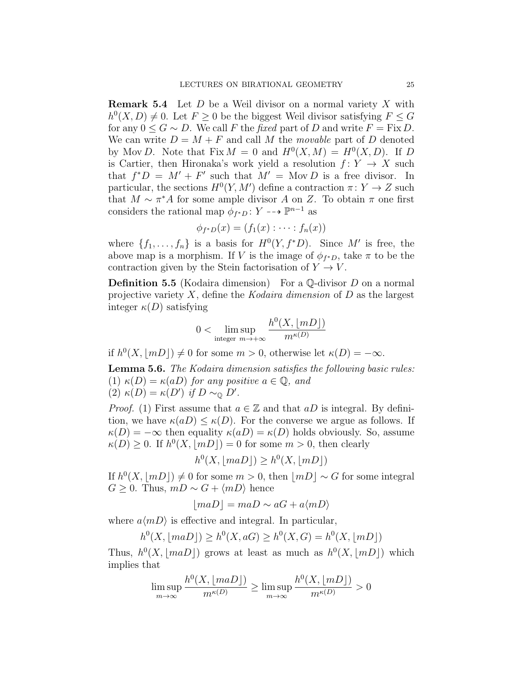**Remark 5.4** Let  $D$  be a Weil divisor on a normal variety  $X$  with  $h^0(X, D) \neq 0$ . Let  $F \geq 0$  be the biggest Weil divisor satisfying  $F \leq G$ for any  $0 \le G \sim D$ . We call F the fixed part of D and write  $F = Fix D$ . We can write  $D = M + F$  and call M the movable part of D denoted by Mov D. Note that  $Fix M = 0$  and  $H^0(X, M) = H^0(X, D)$ . If D is Cartier, then Hironaka's work yield a resolution  $f: Y \to X$  such that  $f^*D = M' + F'$  such that  $M' = \text{Mov } D$  is a free divisor. In particular, the sections  $H^0(Y, M')$  define a contraction  $\pi: Y \to Z$  such that  $M \sim \pi^* A$  for some ample divisor A on Z. To obtain  $\pi$  one first considers the rational map  $\phi_{f^*D}$ :  $Y \dashrightarrow \mathbb{P}^{n-1}$  as

$$
\phi_{f^*D}(x)=(f_1(x):\cdots:f_n(x))
$$

where  $\{f_1, \ldots, f_n\}$  is a basis for  $H^0(Y, f^*D)$ . Since M' is free, the above map is a morphism. If V is the image of  $\phi_{f^*D}$ , take  $\pi$  to be the contraction given by the Stein factorisation of  $Y \to V$ .

**Definition 5.5** (Kodaira dimension) For a  $\mathbb{O}$ -divisor D on a normal projective variety  $X$ , define the Kodaira dimension of  $D$  as the largest integer  $\kappa(D)$  satisfying

$$
0 < \limsup_{\text{integer } m \to +\infty} \frac{h^0(X, \lfloor mD \rfloor)}{m^{\kappa(D)}}
$$

if  $h^0(X, |mD|) \neq 0$  for some  $m > 0$ , otherwise let  $\kappa(D) = -\infty$ .

Lemma 5.6. The Kodaira dimension satisfies the following basic rules: (1)  $\kappa(D) = \kappa(aD)$  for any positive  $a \in \mathbb{Q}$ , and (2)  $\kappa(D) = \kappa(D')$  if  $D \sim_{\mathbb{Q}} D'$ .

*Proof.* (1) First assume that  $a \in \mathbb{Z}$  and that aD is integral. By definition, we have  $\kappa(aD) \leq \kappa(D)$ . For the converse we argue as follows. If  $\kappa(D) = -\infty$  then equality  $\kappa(aD) = \kappa(D)$  holds obviously. So, assume  $\kappa(D) \geq 0$ . If  $h^0(X, \lfloor mD \rfloor) = 0$  for some  $m > 0$ , then clearly

$$
h^0(X, \lfloor maD \rfloor) \ge h^0(X, \lfloor mD \rfloor)
$$

If  $h^0(X, |mD|) \neq 0$  for some  $m > 0$ , then  $|mD| \sim G$  for some integral  $G \geq 0$ . Thus,  $mD \sim G + \langle mD \rangle$  hence

$$
\lfloor maD \rfloor = maD \sim aG + a\langle mD \rangle
$$

where  $a\langle mD \rangle$  is effective and integral. In particular,

$$
h^{0}(X, \lfloor maD \rfloor) \geq h^{0}(X, aG) \geq h^{0}(X, G) = h^{0}(X, \lfloor mD \rfloor)
$$

Thus,  $h^0(X, \lfloor maD \rfloor)$  grows at least as much as  $h^0(X, \lfloor mD \rfloor)$  which implies that

$$
\limsup_{m \to \infty} \frac{h^0(X, \lfloor maD \rfloor)}{m^{\kappa(D)}} \ge \limsup_{m \to \infty} \frac{h^0(X, \lfloor mD \rfloor)}{m^{\kappa(D)}} > 0
$$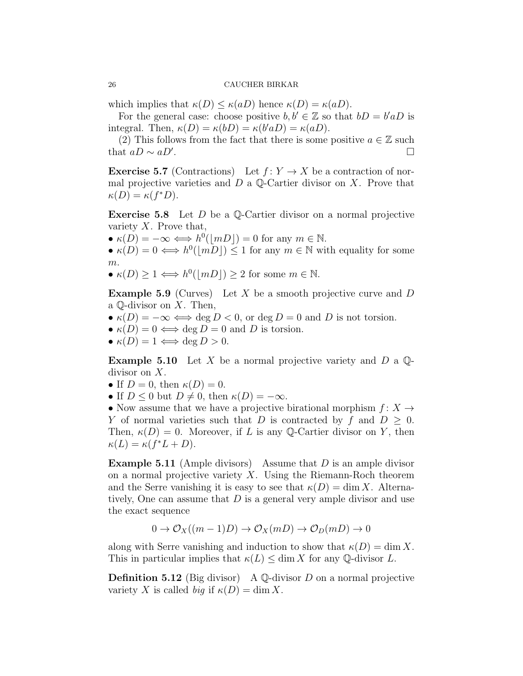which implies that  $\kappa(D) \leq \kappa(aD)$  hence  $\kappa(D) = \kappa(aD)$ .

For the general case: choose positive  $b, b' \in \mathbb{Z}$  so that  $bD = b'aD$  is integral. Then,  $\kappa(D) = \kappa(bD) = \kappa(b'aD) = \kappa(aD)$ .

(2) This follows from the fact that there is some positive  $a \in \mathbb{Z}$  such that  $aD \sim aD'$ . .

**Exercise 5.7** (Contractions) Let  $f: Y \to X$  be a contraction of normal projective varieties and  $D$  a  $\mathbb{Q}$ -Cartier divisor on X. Prove that  $\kappa(D) = \kappa(f^*D).$ 

**Exercise 5.8** Let  $D$  be a Q-Cartier divisor on a normal projective variety  $X$ . Prove that,

•  $\kappa(D) = -\infty \Longleftrightarrow h^0(|mD|) = 0$  for any  $m \in \mathbb{N}$ .

•  $\kappa(D) = 0 \iff h^0(\lfloor mD \rfloor) \leq 1$  for any  $m \in \mathbb{N}$  with equality for some m.

•  $\kappa(D) \geq 1 \Longleftrightarrow h^0(|mD|) \geq 2$  for some  $m \in \mathbb{N}$ .

**Example 5.9** (Curves) Let X be a smooth projective curve and D a  $\mathbb Q$ -divisor on X. Then,

- $\kappa(D) = -\infty \Longleftrightarrow \deg D < 0$ , or  $\deg D = 0$  and D is not torsion.
- $\kappa(D) = 0 \iff \deg D = 0$  and D is torsion.
- $\kappa(D) = 1 \Longleftrightarrow \deg D > 0.$

**Example 5.10** Let X be a normal projective variety and D a  $\mathbb{Q}$ divisor on X.

- If  $D=0$ , then  $\kappa(D)=0$ .
- If  $D \leq 0$  but  $D \neq 0$ , then  $\kappa(D) = -\infty$ .

• Now assume that we have a projective birational morphism  $f: X \rightarrow$ Y of normal varieties such that D is contracted by f and  $D > 0$ . Then,  $\kappa(D) = 0$ . Moreover, if L is any Q-Cartier divisor on Y, then  $\kappa(L) = \kappa(f^*L + D).$ 

**Example 5.11** (Ample divisors) Assume that  $D$  is an ample divisor on a normal projective variety  $X$ . Using the Riemann-Roch theorem and the Serre vanishing it is easy to see that  $\kappa(D) = \dim X$ . Alternatively, One can assume that  $D$  is a general very ample divisor and use the exact sequence

$$
0 \to \mathcal{O}_X((m-1)D) \to \mathcal{O}_X(mD) \to \mathcal{O}_D(mD) \to 0
$$

along with Serre vanishing and induction to show that  $\kappa(D) = \dim X$ . This in particular implies that  $\kappa(L) \leq \dim X$  for any Q-divisor L.

**Definition 5.12** (Big divisor) A  $\mathbb{Q}$ -divisor D on a normal projective variety X is called *big* if  $\kappa(D) = \dim X$ .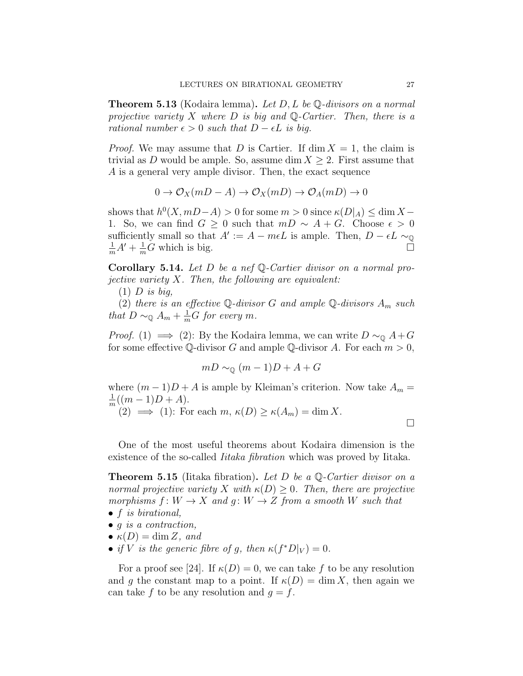**Theorem 5.13** (Kodaira lemma). Let  $D, L$  be  $\mathbb{Q}$ -divisors on a normal projective variety X where D is big and Q-Cartier. Then, there is a rational number  $\epsilon > 0$  such that  $D - \epsilon L$  is big.

*Proof.* We may assume that D is Cartier. If  $\dim X = 1$ , the claim is trivial as D would be ample. So, assume dim  $X \geq 2$ . First assume that A is a general very ample divisor. Then, the exact sequence

$$
0 \to \mathcal{O}_X(mD - A) \to \mathcal{O}_X(mD) \to \mathcal{O}_A(mD) \to 0
$$

shows that  $h^0(X, mD-A) > 0$  for some  $m > 0$  since  $\kappa(D|_A) \le \dim X -$ 1. So, we can find  $G \geq 0$  such that  $mD \sim A + G$ . Choose  $\epsilon > 0$ sufficiently small so that  $A' := A - m\epsilon L$  is ample. Then,  $D - \epsilon L \sim_{\mathbb{Q}}$  $\frac{1}{m}A' + \frac{1}{m}\tilde{G}$  which is big.

Corollary 5.14. Let D be a nef Q-Cartier divisor on a normal projective variety  $X$ . Then, the following are equivalent:

 $(1)$  D is big,

(2) there is an effective  $\mathbb Q$ -divisor G and ample  $\mathbb Q$ -divisors  $A_m$  such that  $D \sim_{\mathbb{Q}} A_m + \frac{1}{m} G$  for every m.

*Proof.* (1)  $\implies$  (2): By the Kodaira lemma, we can write  $D \sim_{\mathbb{Q}} A + G$ for some effective Q-divisor G and ample Q-divisor A. For each  $m > 0$ ,

$$
mD \sim_{\mathbb{Q}} (m-1)D + A + G
$$

where  $(m-1)D+A$  is ample by Kleiman's criterion. Now take  $A_m =$ 1  $\frac{1}{m}((m-1)D+A).$ 

(2)  $\implies$  (1): For each  $m, \kappa(D) \geq \kappa(A_m) = \dim X$ .

 $\Box$ 

One of the most useful theorems about Kodaira dimension is the existence of the so-called *Iitaka fibration* which was proved by Iitaka.

**Theorem 5.15** (Iitaka fibration). Let D be a  $\mathbb{Q}$ -Cartier divisor on a normal projective variety X with  $\kappa(D) \geq 0$ . Then, there are projective morphisms  $f: W \to X$  and  $g: W \to Z$  from a smooth W such that

- $\bullet$  f is birational,
- $g$  is a contraction,
- $\kappa(D) = \dim Z$ , and
- if V is the generic fibre of g, then  $\kappa(f^*D|_V)=0$ .

For a proof see [24]. If  $\kappa(D) = 0$ , we can take f to be any resolution and g the constant map to a point. If  $\kappa(D) = \dim X$ , then again we can take f to be any resolution and  $g = f$ .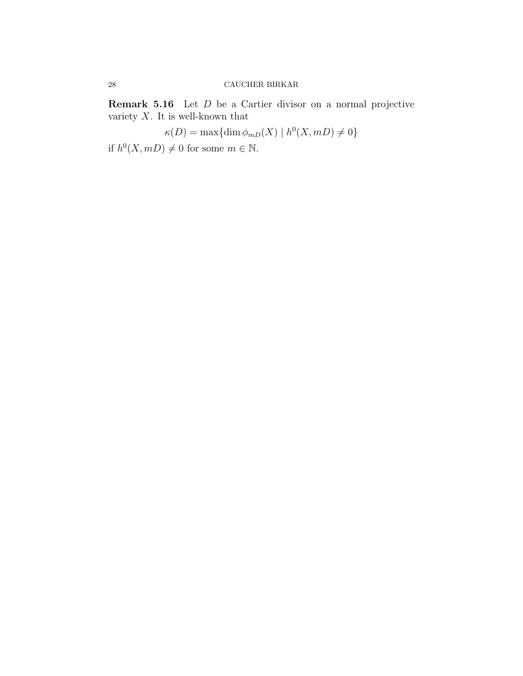Remark 5.16 Let D be a Cartier divisor on a normal projective variety  $X.$  It is well-known that

 $\kappa(D) = \max\{\dim \phi_{mD}(X) \mid h^0(X, mD) \neq 0\}$ 

if  $h^0(X, mD) \neq 0$  for some  $m \in \mathbb{N}$ .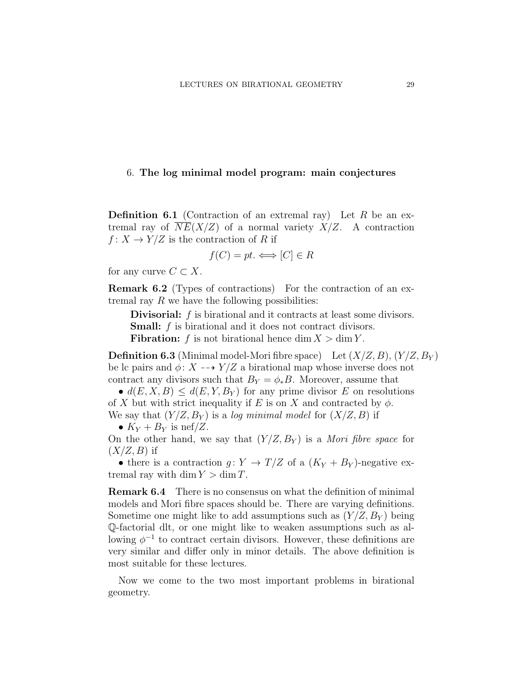## 6. The log minimal model program: main conjectures

**Definition 6.1** (Contraction of an extremal ray) Let R be an extremal ray of  $\overline{NE}(X/Z)$  of a normal variety  $X/Z$ . A contraction  $f: X \to Y/Z$  is the contraction of R if

$$
f(C) = pt. \Longleftrightarrow [C] \in R
$$

for any curve  $C \subset X$ .

Remark 6.2 (Types of contractions) For the contraction of an extremal ray  $R$  we have the following possibilities:

Divisorial: f is birational and it contracts at least some divisors. **Small:** f is birational and it does not contract divisors. **Fibration:** f is not birational hence dim  $X > \dim Y$ .

**Definition 6.3** (Minimal model-Mori fibre space) Let  $(X/Z, B)$ ,  $(Y/Z, B_Y)$ be lc pairs and  $\phi: X \dashrightarrow Y/Z$  a birational map whose inverse does not contract any divisors such that  $B_Y = \phi_* B$ . Moreover, assume that

•  $d(E, X, B) \leq d(E, Y, B_Y)$  for any prime divisor E on resolutions of X but with strict inequality if E is on X and contracted by  $\phi$ . We say that  $(Y/Z, B_Y)$  is a log minimal model for  $(X/Z, B)$  if

•  $K_Y + B_Y$  is nef/Z.

On the other hand, we say that  $(Y/Z, B_Y)$  is a *Mori fibre space* for  $(X/Z, B)$  if

• there is a contraction  $g: Y \to T/Z$  of a  $(K_Y + B_Y)$ -negative extremal ray with dim  $Y > \dim T$ .

Remark 6.4 There is no consensus on what the definition of minimal models and Mori fibre spaces should be. There are varying definitions. Sometime one might like to add assumptions such as  $(Y/Z, B_Y)$  being Q-factorial dlt, or one might like to weaken assumptions such as allowing  $\phi^{-1}$  to contract certain divisors. However, these definitions are very similar and differ only in minor details. The above definition is most suitable for these lectures.

Now we come to the two most important problems in birational geometry.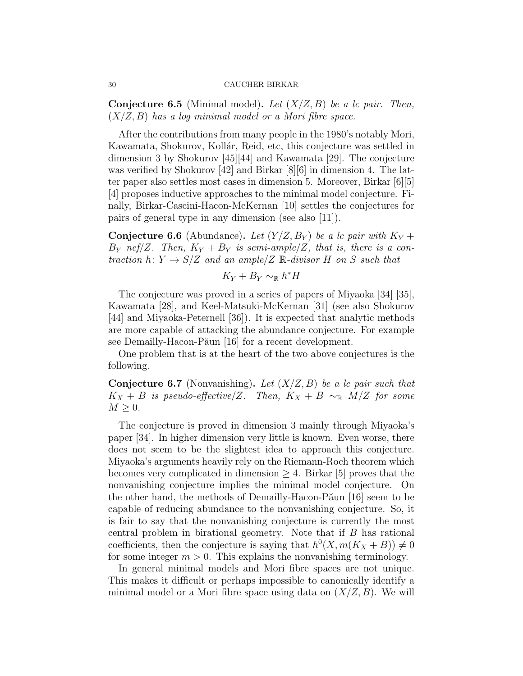**Conjecture 6.5** (Minimal model). Let  $(X/Z, B)$  be a lc pair. Then,  $(X/Z, B)$  has a log minimal model or a Mori fibre space.

After the contributions from many people in the 1980's notably Mori, Kawamata, Shokurov, Kollár, Reid, etc, this conjecture was settled in dimension 3 by Shokurov [45][44] and Kawamata [29]. The conjecture was verified by Shokurov [42] and Birkar [8][6] in dimension 4. The latter paper also settles most cases in dimension 5. Moreover, Birkar [6][5] [4] proposes inductive approaches to the minimal model conjecture. Finally, Birkar-Cascini-Hacon-McKernan [10] settles the conjectures for pairs of general type in any dimension (see also [11]).

**Conjecture 6.6** (Abundance). Let  $(Y/Z, B_Y)$  be a lc pair with  $K_Y$  +  $B_Y$  nef/Z. Then,  $K_Y + B_Y$  is semi-ample/Z, that is, there is a contraction  $h: Y \to S/Z$  and an ample/Z  $\mathbb{R}$ -divisor H on S such that

$$
K_Y+B_Y\sim_{\mathbb{R}}h^*H
$$

The conjecture was proved in a series of papers of Miyaoka [34] [35], Kawamata [28], and Keel-Matsuki-McKernan [31] (see also Shokurov [44] and Miyaoka-Peternell [36]). It is expected that analytic methods are more capable of attacking the abundance conjecture. For example see Demailly-Hacon-Păun [16] for a recent development.

One problem that is at the heart of the two above conjectures is the following.

**Conjecture 6.7** (Nonvanishing). Let  $(X/Z, B)$  be a lc pair such that  $K_X + B$  is pseudo-effective/Z. Then,  $K_X + B \sim_{\mathbb{R}} M/Z$  for some  $M \geq 0$ .

The conjecture is proved in dimension 3 mainly through Miyaoka's paper [34]. In higher dimension very little is known. Even worse, there does not seem to be the slightest idea to approach this conjecture. Miyaoka's arguments heavily rely on the Riemann-Roch theorem which becomes very complicated in dimension  $\geq 4$ . Birkar [5] proves that the nonvanishing conjecture implies the minimal model conjecture. On the other hand, the methods of Demailly-Hacon-Păun [16] seem to be capable of reducing abundance to the nonvanishing conjecture. So, it is fair to say that the nonvanishing conjecture is currently the most central problem in birational geometry. Note that if B has rational coefficients, then the conjecture is saying that  $h^0(X, m(K_X + B)) \neq 0$ for some integer  $m > 0$ . This explains the nonvanishing terminology.

In general minimal models and Mori fibre spaces are not unique. This makes it difficult or perhaps impossible to canonically identify a minimal model or a Mori fibre space using data on  $(X/Z, B)$ . We will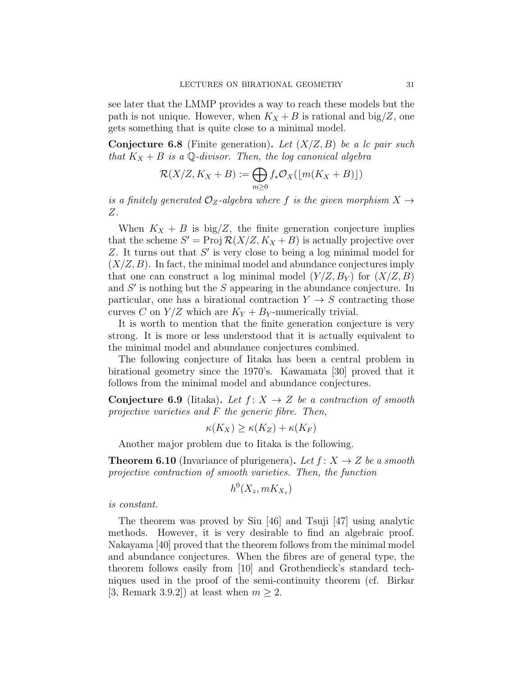see later that the LMMP provides a way to reach these models but the path is not unique. However, when  $K_X + B$  is rational and big/Z, one gets something that is quite close to a minimal model.

**Conjecture 6.8** (Finite generation). Let  $(X/Z, B)$  be a lc pair such that  $K_X + B$  is a Q-divisor. Then, the log canonical algebra

$$
\mathcal{R}(X/Z, K_X + B) := \bigoplus_{m \ge 0} f_* \mathcal{O}_X(\lfloor m(K_X + B) \rfloor)
$$

is a finitely generated  $\mathcal{O}_Z$ -algebra where f is the given morphism  $X \rightarrow$ Z.

When  $K_X + B$  is big/Z, the finite generation conjecture implies that the scheme  $S' = \text{Proj } \mathcal{R}(X/Z, K_X + B)$  is actually projective over  $Z$ . It turns out that  $S'$  is very close to being a log minimal model for  $(X/Z, B)$ . In fact, the minimal model and abundance conjectures imply that one can construct a log minimal model  $(Y/Z, B_Y)$  for  $(X/Z, B)$ and  $S'$  is nothing but the  $S$  appearing in the abundance conjecture. In particular, one has a birational contraction  $Y \rightarrow S$  contracting those curves C on  $Y/Z$  which are  $K_Y + B_Y$ -numerically trivial.

It is worth to mention that the finite generation conjecture is very strong. It is more or less understood that it is actually equivalent to the minimal model and abundance conjectures combined.

The following conjecture of Iitaka has been a central problem in birational geometry since the 1970's. Kawamata [30] proved that it follows from the minimal model and abundance conjectures.

**Conjecture 6.9** (Iitaka). Let  $f: X \rightarrow Z$  be a contraction of smooth projective varieties and F the generic fibre. Then,

$$
\kappa(K_X) \ge \kappa(K_Z) + \kappa(K_F)
$$

Another major problem due to Iitaka is the following.

**Theorem 6.10** (Invariance of plurigenera). Let  $f: X \rightarrow Z$  be a smooth projective contraction of smooth varieties. Then, the function

$$
h^0(X_z, mK_{X_z})
$$

is constant.

The theorem was proved by Siu [46] and Tsuji [47] using analytic methods. However, it is very desirable to find an algebraic proof. Nakayama [40] proved that the theorem follows from the minimal model and abundance conjectures. When the fibres are of general type, the theorem follows easily from [10] and Grothendieck's standard techniques used in the proof of the semi-continuity theorem (cf. Birkar [3, Remark 3.9.2]) at least when  $m > 2$ .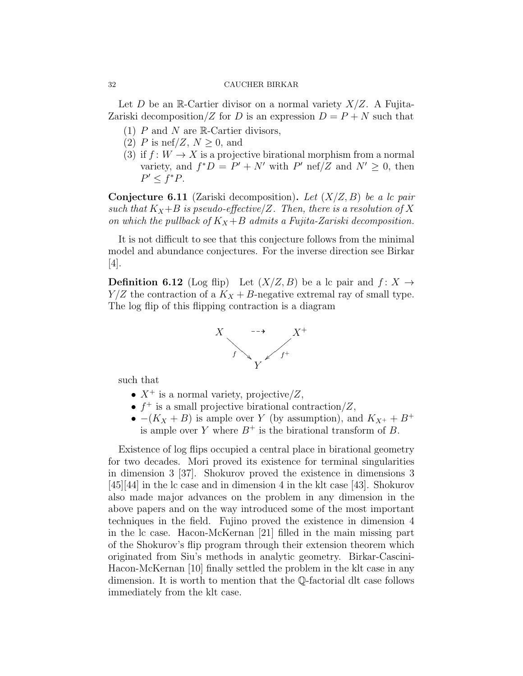Let D be an R-Cartier divisor on a normal variety  $X/Z$ . A Fujita-Zariski decomposition/Z for D is an expression  $D = P + N$  such that

- (1)  $P$  and  $N$  are  $\mathbb{R}$ -Cartier divisors,
- (2) P is nef/Z,  $N \geq 0$ , and
- (3) if  $f: W \to X$  is a projective birational morphism from a normal variety, and  $f^*D = P' + N'$  with P' nef/Z and  $N' \geq 0$ , then  $P' \leq f^*P$ .

**Conjecture 6.11** (Zariski decomposition). Let  $(X/Z, B)$  be a lc pair such that  $K_X+B$  is pseudo-effective/Z. Then, there is a resolution of X on which the pullback of  $K_X + B$  admits a Fujita-Zariski decomposition.

It is not difficult to see that this conjecture follows from the minimal model and abundance conjectures. For the inverse direction see Birkar  $|4|$ .

**Definition 6.12** (Log flip) Let  $(X/Z, B)$  be a lc pair and  $f: X \rightarrow$  $Y/Z$  the contraction of a  $K_X + B$ -negative extremal ray of small type. The log flip of this flipping contraction is a diagram



such that

- $X^+$  is a normal variety, projective/Z,
- $f^+$  is a small projective birational contraction/Z,
- $-(K_X + B)$  is ample over Y (by assumption), and  $K_{X^+} + B^+$ is ample over Y where  $B^+$  is the birational transform of B.

Existence of log flips occupied a central place in birational geometry for two decades. Mori proved its existence for terminal singularities in dimension 3 [37]. Shokurov proved the existence in dimensions 3 [45][44] in the lc case and in dimension 4 in the klt case [43]. Shokurov also made major advances on the problem in any dimension in the above papers and on the way introduced some of the most important techniques in the field. Fujino proved the existence in dimension 4 in the lc case. Hacon-McKernan [21] filled in the main missing part of the Shokurov's flip program through their extension theorem which originated from Siu's methods in analytic geometry. Birkar-Cascini-Hacon-McKernan [10] finally settled the problem in the klt case in any dimension. It is worth to mention that the Q-factorial dlt case follows immediately from the klt case.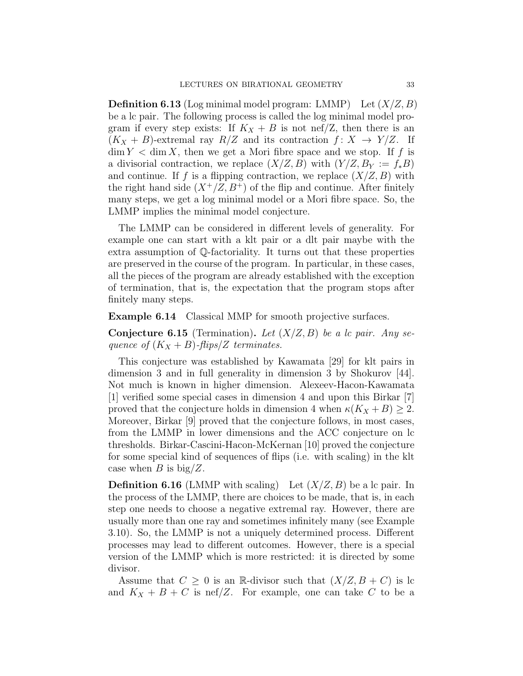**Definition 6.13** (Log minimal model program: LMMP) Let  $(X/Z, B)$ be a lc pair. The following process is called the log minimal model program if every step exists: If  $K_X + B$  is not nef/Z, then there is an  $(K_X + B)$ -extremal ray  $R/Z$  and its contraction  $f: X \to Y/Z$ . If  $\dim Y < \dim X$ , then we get a Mori fibre space and we stop. If f is a divisorial contraction, we replace  $(X/Z, B)$  with  $(Y/Z, B_Y := f_*B)$ and continue. If f is a flipping contraction, we replace  $(X/Z, B)$  with the right hand side  $(X^+/Z, B^+)$  of the flip and continue. After finitely many steps, we get a log minimal model or a Mori fibre space. So, the LMMP implies the minimal model conjecture.

The LMMP can be considered in different levels of generality. For example one can start with a klt pair or a dlt pair maybe with the extra assumption of Q-factoriality. It turns out that these properties are preserved in the course of the program. In particular, in these cases, all the pieces of the program are already established with the exception of termination, that is, the expectation that the program stops after finitely many steps.

Example 6.14 Classical MMP for smooth projective surfaces.

**Conjecture 6.15** (Termination). Let  $(X/Z, B)$  be a lc pair. Any sequence of  $(K_X + B)$ -flips/Z terminates.

This conjecture was established by Kawamata [29] for klt pairs in dimension 3 and in full generality in dimension 3 by Shokurov [44]. Not much is known in higher dimension. Alexeev-Hacon-Kawamata [1] verified some special cases in dimension 4 and upon this Birkar [7] proved that the conjecture holds in dimension 4 when  $\kappa(K_X + B) \geq 2$ . Moreover, Birkar [9] proved that the conjecture follows, in most cases, from the LMMP in lower dimensions and the ACC conjecture on lc thresholds. Birkar-Cascini-Hacon-McKernan [10] proved the conjecture for some special kind of sequences of flips (i.e. with scaling) in the klt case when B is  $big/Z$ .

**Definition 6.16** (LMMP with scaling) Let  $(X/Z, B)$  be a lc pair. In the process of the LMMP, there are choices to be made, that is, in each step one needs to choose a negative extremal ray. However, there are usually more than one ray and sometimes infinitely many (see Example 3.10). So, the LMMP is not a uniquely determined process. Different processes may lead to different outcomes. However, there is a special version of the LMMP which is more restricted: it is directed by some divisor.

Assume that  $C \geq 0$  is an R-divisor such that  $(X/Z, B + C)$  is lc and  $K_X + B + C$  is nef/Z. For example, one can take C to be a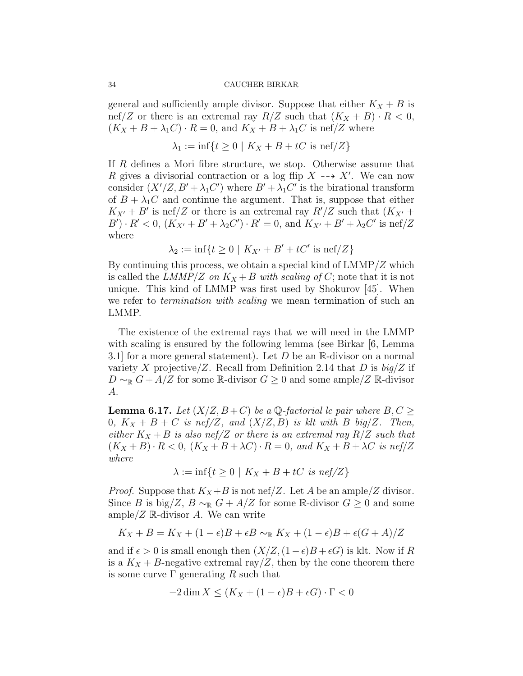general and sufficiently ample divisor. Suppose that either  $K_X + B$  is nef/Z or there is an extremal ray  $R/Z$  such that  $(K_X + B) \cdot R < 0$ ,  $(K_X + B + \lambda_1 C) \cdot R = 0$ , and  $K_X + B + \lambda_1 C$  is nef/Z where

$$
\lambda_1 := \inf\{t \ge 0 \mid K_X + B + tC \text{ is nef}/Z\}
$$

If R defines a Mori fibre structure, we stop. Otherwise assume that R gives a divisorial contraction or a log flip  $X \dashrightarrow X'$ . We can now consider  $(X'/Z, B' + \lambda_1 C')$  where  $B' + \lambda_1 C'$  is the birational transform of  $B + \lambda_1 C$  and continue the argument. That is, suppose that either  $K_{X'} + B'$  is nef/Z or there is an extremal ray  $R'/Z$  such that  $(K_{X'} +$  $B'$ ) ·  $R' < 0$ ,  $(K_{X'} + B' + \lambda_2 C')$  ·  $R' = 0$ , and  $K_{X'} + B' + \lambda_2 C'$  is nef/Z where

$$
\lambda_2 := \inf\{t \ge 0 \mid K_{X'} + B' + tC' \text{ is nef}/Z\}
$$

By continuing this process, we obtain a special kind of  $LMMP/Z$  which is called the LMMP/Z on  $K_X + B$  with scaling of C; note that it is not unique. This kind of LMMP was first used by Shokurov [45]. When we refer to termination with scaling we mean termination of such an LMMP.

The existence of the extremal rays that we will need in the LMMP with scaling is ensured by the following lemma (see Birkar  $[6, \text{Lemma}]$ 3.1] for a more general statement). Let  $D$  be an  $\mathbb R$ -divisor on a normal variety X projective/Z. Recall from Definition 2.14 that D is  $big/Z$  if  $D \sim_{\mathbb{R}} G + A/Z$  for some  $\mathbb{R}$ -divisor  $G \geq 0$  and some ample/Z  $\mathbb{R}$ -divisor A.

**Lemma 6.17.** Let  $(X/Z, B+C)$  be a Q-factorial lc pair where  $B, C \geq$ 0,  $K_X + B + C$  is nef/Z, and  $(X/Z, B)$  is klt with B big/Z. Then, either  $K_X + B$  is also nef/Z or there is an extremal ray  $R/Z$  such that  $(K_X + B) \cdot R < 0$ ,  $(K_X + B + \lambda C) \cdot R = 0$ , and  $K_X + B + \lambda C$  is nef/Z where

$$
\lambda := \inf\{t \ge 0 \mid K_X + B + tC \text{ is nef}/Z\}
$$

*Proof.* Suppose that  $K_X + B$  is not nef/Z. Let A be an ample/Z divisor. Since B is big/Z,  $B \sim_{\mathbb{R}} G + A/Z$  for some R-divisor  $G \geq 0$  and some ample/ $Z \mathbb{R}$ -divisor A. We can write

$$
K_X + B = K_X + (1 - \epsilon)B + \epsilon B \sim_{\mathbb{R}} K_X + (1 - \epsilon)B + \epsilon(G + A)/Z
$$

and if  $\epsilon > 0$  is small enough then  $(X/Z,(1-\epsilon)B + \epsilon G)$  is klt. Now if R is a  $K_X + B$ -negative extremal ray/Z, then by the cone theorem there is some curve  $\Gamma$  generating R such that

$$
-2\dim X \le (K_X + (1 - \epsilon)B + \epsilon G) \cdot \Gamma < 0
$$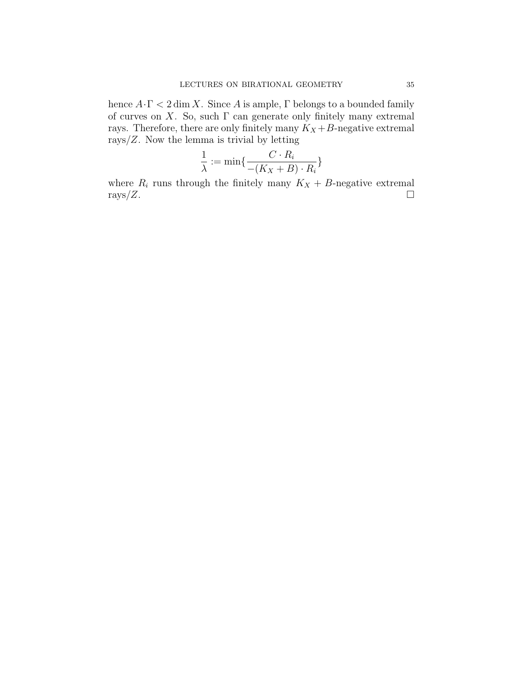hence  $A \cdot \Gamma < 2 \dim X$ . Since A is ample,  $\Gamma$  belongs to a bounded family of curves on X. So, such  $\Gamma$  can generate only finitely many extremal rays. Therefore, there are only finitely many  $K_X+B\text{-negative extremal}$ rays/ $Z$ . Now the lemma is trivial by letting

$$
\frac{1}{\lambda} := \min\{\frac{C \cdot R_i}{-(K_X + B) \cdot R_i}\}
$$

where  $R_i$  runs through the finitely many  $K_X + B$ -negative extremal  $\text{rays}/Z$ .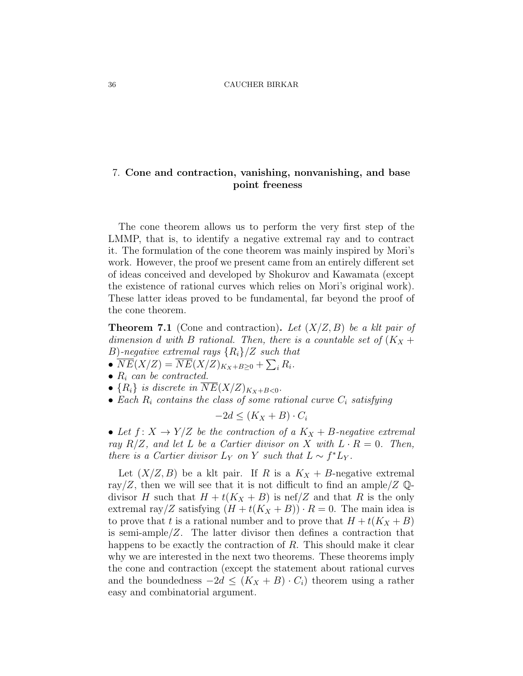# 7. Cone and contraction, vanishing, nonvanishing, and base point freeness

The cone theorem allows us to perform the very first step of the LMMP, that is, to identify a negative extremal ray and to contract it. The formulation of the cone theorem was mainly inspired by Mori's work. However, the proof we present came from an entirely different set of ideas conceived and developed by Shokurov and Kawamata (except the existence of rational curves which relies on Mori's original work). These latter ideas proved to be fundamental, far beyond the proof of the cone theorem.

**Theorem 7.1** (Cone and contraction). Let  $(X/Z, B)$  be a klt pair of dimension d with B rational. Then, there is a countable set of  $(K_X +$ B)-negative extremal rays  $\{R_i\}/Z$  such that

- $\overline{NE}(X/Z) = \overline{NE}(X/Z)_{K_X+B\geq 0} + \sum_i R_i.$
- $R_i$  can be contracted.
- $\{R_i\}$  is discrete in  $NE(X/Z)_{K_X+B<0}$ .
- Each  $R_i$  contains the class of some rational curve  $C_i$  satisfying

$$
-2d \le (K_X + B) \cdot C_i
$$

• Let  $f: X \to Y/Z$  be the contraction of a  $K_X + B$ -negative extremal ray  $R/Z$ , and let L be a Cartier divisor on X with  $L \cdot R = 0$ . Then, there is a Cartier divisor  $L_Y$  on Y such that  $L \sim f^* L_Y$ .

Let  $(X/Z, B)$  be a klt pair. If R is a  $K_X + B$ -negative extremal ray/Z, then we will see that it is not difficult to find an ample/Z  $\mathbb{Q}$ divisor H such that  $H + t(K_X + B)$  is nef/Z and that R is the only extremal ray/Z satisfying  $(H + t(K_X + B)) \cdot R = 0$ . The main idea is to prove that t is a rational number and to prove that  $H + t(K_X + B)$ is semi-ample/Z. The latter divisor then defines a contraction that happens to be exactly the contraction of  $R$ . This should make it clear why we are interested in the next two theorems. These theorems imply the cone and contraction (except the statement about rational curves and the boundedness  $-2d \leq (K_X + B) \cdot C_i$  theorem using a rather easy and combinatorial argument.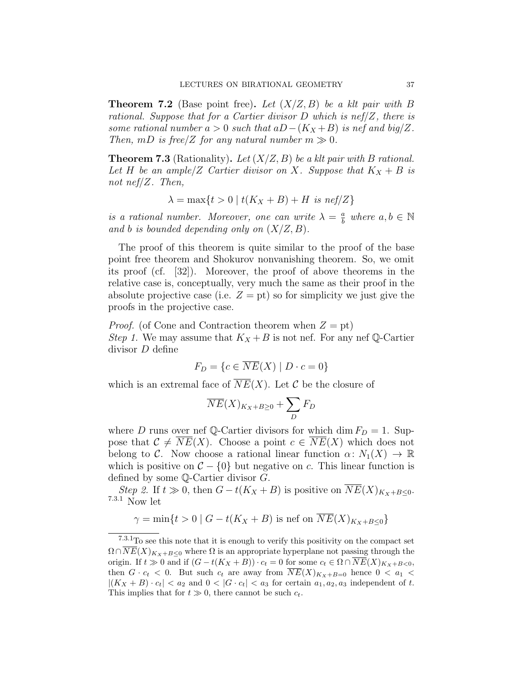**Theorem 7.2** (Base point free). Let  $(X/Z, B)$  be a klt pair with B rational. Suppose that for a Cartier divisor  $D$  which is nef/ $Z$ , there is some rational number  $a > 0$  such that  $aD-(K_X+B)$  is nef and big/Z. Then, mD is free/Z for any natural number  $m \gg 0$ .

**Theorem 7.3** (Rationality). Let  $(X/Z, B)$  be a klt pair with B rational. Let H be an ample/Z Cartier divisor on X. Suppose that  $K_X + B$  is not nef/Z. Then,

$$
\lambda = \max\{t > 0 \mid t(K_X + B) + H \text{ is nef}/Z\}
$$

is a rational number. Moreover, one can write  $\lambda = \frac{a}{b}$  $\frac{a}{b}$  where  $a, b \in \mathbb{N}$ and b is bounded depending only on  $(X/Z, B)$ .

The proof of this theorem is quite similar to the proof of the base point free theorem and Shokurov nonvanishing theorem. So, we omit its proof (cf. [32]). Moreover, the proof of above theorems in the relative case is, conceptually, very much the same as their proof in the absolute projective case (i.e.  $Z = pt$ ) so for simplicity we just give the proofs in the projective case.

*Proof.* (of Cone and Contraction theorem when  $Z = pt$ ) Step 1. We may assume that  $K_X + B$  is not nef. For any nef Q-Cartier divisor D define

$$
F_D = \{c \in \overline{NE}(X) \mid D \cdot c = 0\}
$$

which is an extremal face of  $NE(X)$ . Let C be the closure of

$$
\overline{NE}(X)_{K_X+B\geq 0} + \sum_D F_D
$$

where D runs over nef Q-Cartier divisors for which dim  $F_D = 1$ . Suppose that  $C \neq \overline{NE}(X)$ . Choose a point  $c \in \overline{NE}(X)$  which does not belong to C. Now choose a rational linear function  $\alpha\colon N_1(X) \to \mathbb{R}$ which is positive on  $C - \{0\}$  but negative on c. This linear function is defined by some Q-Cartier divisor G.

Step 2. If  $t \gg 0$ , then  $G - t(K_X + B)$  is positive on  $\overline{NE}(X)_{K_X+B\leq 0}$ . 7.3.1 Now let

$$
\gamma = \min\{t > 0 \mid G - t(K_X + B) \text{ is nef on } \overline{NE}(X)_{K_X + B \le 0}\}
$$

 $7.3.1\mathrm{To}$  see this note that it is enough to verify this positivity on the compact set  $\Omega \cap \overline{NE}(X)_{K_X+B\leq 0}$  where  $\Omega$  is an appropriate hyperplane not passing through the origin. If  $t \gg 0$  and if  $(G - t(K_X + B)) \cdot c_t = 0$  for some  $c_t \in \Omega \cap \overline{NE}(X)_{K_X + B < 0}$ , then  $G \cdot c_t < 0$ . But such  $c_t$  are away from  $\overline{NE}(X)_{K_X+B=0}$  hence  $0 < a_1 <$  $|(K_X + B) \cdot c_t| < a_2$  and  $0 < |G \cdot c_t| < a_3$  for certain  $a_1, a_2, a_3$  independent of t. This implies that for  $t \gg 0$ , there cannot be such  $c_t$ .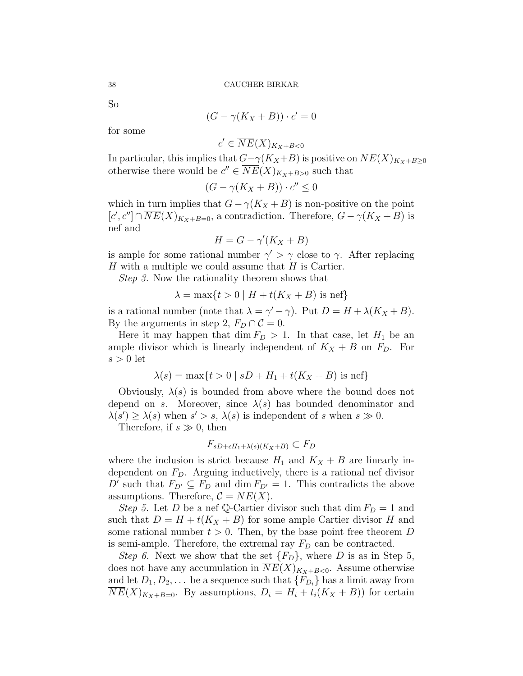So

$$
(G - \gamma(K_X + B)) \cdot c' = 0
$$

for some

 $c' \in \overline{NE}(X)_{K_X+B<0}$ 

In particular, this implies that  $G-\gamma(K_X+B)$  is positive on  $\overline{NE}(X)_{K_X+B\geq 0}$ otherwise there would be  $c'' \in \overline{NE}(X)_{K_X+B>0}$  such that

$$
(G - \gamma(K_X + B)) \cdot c'' \le 0
$$

which in turn implies that  $G - \gamma(K_X + B)$  is non-positive on the point  $[c', c'] \cap \overline{NE}(X)_{K_X+B=0}$ , a contradiction. Therefore,  $G - \gamma(K_X + B)$  is nef and

$$
H = G - \gamma'(K_X + B)
$$

is ample for some rational number  $\gamma' > \gamma$  close to  $\gamma$ . After replacing  $H$  with a multiple we could assume that  $H$  is Cartier.

Step 3. Now the rationality theorem shows that

$$
\lambda = \max\{t > 0 \mid H + t(K_X + B) \text{ is nef}\}
$$

is a rational number (note that  $\lambda = \gamma' - \gamma$ ). Put  $D = H + \lambda(K_X + B)$ . By the arguments in step 2,  $F_D \cap C = 0$ .

Here it may happen that dim  $F_D > 1$ . In that case, let  $H_1$  be an ample divisor which is linearly independent of  $K_X + B$  on  $F_D$ . For  $s > 0$  let

$$
\lambda(s) = \max\{t > 0 \mid sD + H_1 + t(K_X + B) \text{ is nef}\}
$$

Obviously,  $\lambda(s)$  is bounded from above where the bound does not depend on s. Moreover, since  $\lambda(s)$  has bounded denominator and  $\lambda(s') \geq \lambda(s)$  when  $s' > s$ ,  $\lambda(s)$  is independent of s when  $s \gg 0$ .

Therefore, if  $s \gg 0$ , then

$$
F_{sD+\epsilon H_1+\lambda(s)(K_X+B)} \subset F_D
$$

where the inclusion is strict because  $H_1$  and  $K_X + B$  are linearly independent on  $F<sub>D</sub>$ . Arguing inductively, there is a rational nef divisor D' such that  $F_{D'} \subseteq F_D$  and dim  $F_{D'} = 1$ . This contradicts the above assumptions. Therefore,  $C = NE(X)$ .

Step 5. Let D be a nef Q-Cartier divisor such that dim  $F_D = 1$  and such that  $D = H + t(K_X + B)$  for some ample Cartier divisor H and some rational number  $t > 0$ . Then, by the base point free theorem D is semi-ample. Therefore, the extremal ray  $F_D$  can be contracted.

Step 6. Next we show that the set  ${F_D}$ , where D is as in Step 5, does not have any accumulation in  $\overline{NE}(X)_{K_X+B<0}$ . Assume otherwise and let  $D_1, D_2, \ldots$  be a sequence such that  $\{F_{D_i}\}\$  has a limit away from  $NE(X)_{K_X+B=0}$ . By assumptions,  $D_i = H_i + t_i(K_X + B)$  for certain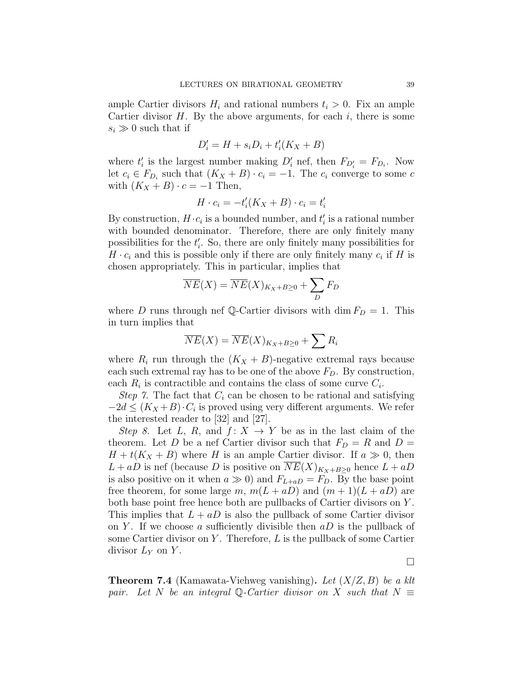ample Cartier divisors  $H_i$  and rational numbers  $t_i > 0$ . Fix an ample Cartier divisor  $H$ . By the above arguments, for each  $i$ , there is some  $s_i \gg 0$  such that if

$$
D_i' = H + s_i D_i + t_i'(K_X + B)
$$

where  $t'_{i}$  is the largest number making  $D'_{i}$  nef, then  $F_{D'_{i}} = F_{D_{i}}$ . Now let  $c_i \in F_{D_i}$  such that  $(K_X + B) \cdot c_i = -1$ . The  $c_i$  converge to some c with  $(K_X + B) \cdot c = -1$  Then,

$$
H \cdot c_i = -t_i'(K_X + B) \cdot c_i = t_i'
$$

By construction,  $H \cdot c_i$  is a bounded number, and  $t'_i$  is a rational number with bounded denominator. Therefore, there are only finitely many possibilities for the  $t_i'$ . So, there are only finitely many possibilities for  $H \cdot c_i$  and this is possible only if there are only finitely many  $c_i$  if H is chosen appropriately. This in particular, implies that

$$
\overline{NE}(X) = \overline{NE}(X)_{K_X + B \ge 0} + \sum_{D} F_D
$$

where D runs through nef Q-Cartier divisors with dim  $F_D = 1$ . This in turn implies that

$$
\overline{NE}(X) = \overline{NE}(X)_{K_X + B \ge 0} + \sum R_i
$$

where  $R_i$  run through the  $(K_X + B)$ -negative extremal rays because each such extremal ray has to be one of the above  $F<sub>D</sub>$ . By construction, each  $R_i$  is contractible and contains the class of some curve  $C_i$ .

Step 7. The fact that  $C_i$  can be chosen to be rational and satisfying  $-2d \leq (K_X + B) \cdot C_i$  is proved using very different arguments. We refer the interested reader to [32] and [27].

Step 8. Let L, R, and  $f: X \to Y$  be as in the last claim of the theorem. Let D be a nef Cartier divisor such that  $F_D = R$  and  $D =$  $H + t(K_X + B)$  where H is an ample Cartier divisor. If  $a \gg 0$ , then  $L + aD$  is nef (because D is positive on  $\overline{NE}(X)_{K_X+B\geq 0}$  hence  $L + aD$ is also positive on it when  $a \gg 0$ ) and  $F_{L+aD} = F_D$ . By the base point free theorem, for some large m,  $m(L + aD)$  and  $(m + 1)(L + aD)$  are both base point free hence both are pullbacks of Cartier divisors on Y . This implies that  $L + aD$  is also the pullback of some Cartier divisor on Y. If we choose a sufficiently divisible then  $aD$  is the pullback of some Cartier divisor on Y. Therefore,  $L$  is the pullback of some Cartier divisor  $L_Y$  on Y.

 $\Box$ 

**Theorem 7.4** (Kamawata-Viehweg vanishing). Let  $(X/Z, B)$  be a klt pair. Let N be an integral Q-Cartier divisor on X such that  $N \equiv$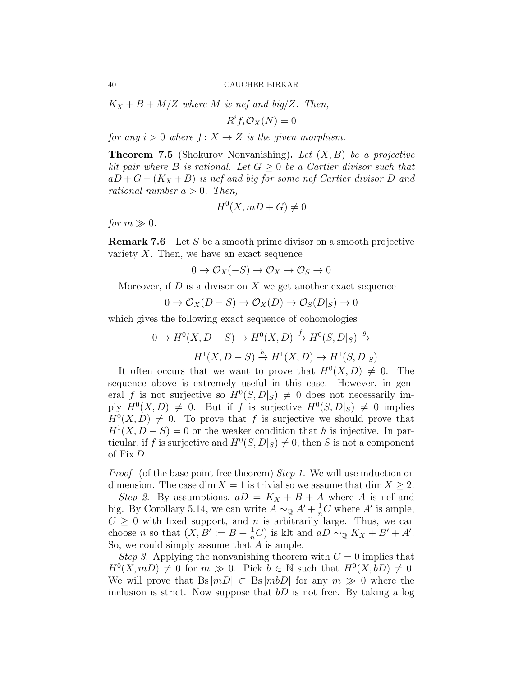$K_X + B + M/Z$  where M is nef and big/Z. Then,

 $R^i f_* \mathcal{O}_X(N) = 0$ 

for any  $i > 0$  where  $f: X \rightarrow Z$  is the given morphism.

**Theorem 7.5** (Shokurov Nonvanishing). Let  $(X, B)$  be a projective klt pair where B is rational. Let  $G \geq 0$  be a Cartier divisor such that  $aD+G-(K_X+B)$  is nef and big for some nef Cartier divisor D and rational number  $a > 0$ . Then,

$$
H^0(X, mD + G) \neq 0
$$

for  $m \gg 0$ .

**Remark 7.6** Let S be a smooth prime divisor on a smooth projective variety  $X$ . Then, we have an exact sequence

$$
0 \to \mathcal{O}_X(-S) \to \mathcal{O}_X \to \mathcal{O}_S \to 0
$$

Moreover, if  $D$  is a divisor on  $X$  we get another exact sequence

$$
0 \to \mathcal{O}_X(D-S) \to \mathcal{O}_X(D) \to \mathcal{O}_S(D|_S) \to 0
$$

which gives the following exact sequence of cohomologies

$$
0 \to H^0(X, D - S) \to H^0(X, D) \xrightarrow{f} H^0(S, D|_S) \xrightarrow{g} H^1(X, D - S) \xrightarrow{h} H^1(X, D) \to H^1(S, D|_S)
$$

It often occurs that we want to prove that  $H^0(X, D) \neq 0$ . The sequence above is extremely useful in this case. However, in general f is not surjective so  $H^0(S, D|_S) \neq 0$  does not necessarily imply  $H^0(X, D) \neq 0$ . But if f is surjective  $H^0(S, D|_S) \neq 0$  implies  $H^0(X, D) \neq 0$ . To prove that f is surjective we should prove that  $H<sup>1</sup>(X, D - S) = 0$  or the weaker condition that h is injective. In particular, if f is surjective and  $H^0(S, D|_S) \neq 0$ , then S is not a component of Fix D.

*Proof.* (of the base point free theorem) *Step 1*. We will use induction on dimension. The case dim  $X = 1$  is trivial so we assume that dim  $X \geq 2$ .

Step 2. By assumptions,  $aD = K_X + B + A$  where A is nef and big. By Corollary 5.14, we can write  $A \sim_{\mathbb{Q}} A' + \frac{1}{n}C$  where A' is ample,  $C \geq 0$  with fixed support, and *n* is arbitrarily large. Thus, we can choose *n* so that  $(X, B' := B + \frac{1}{n}C)$  is klt and  $aD \sim_{\mathbb{Q}} K_X + B' + A'$ . So, we could simply assume that  $A$  is ample.

*Step 3.* Applying the nonvanishing theorem with  $G = 0$  implies that  $H^0(X, mD) \neq 0$  for  $m \gg 0$ . Pick  $b \in \mathbb{N}$  such that  $H^0(X, bD) \neq 0$ . We will prove that  $Bs|mD| \subset Bs|mbD|$  for any  $m \gg 0$  where the inclusion is strict. Now suppose that  $bD$  is not free. By taking a log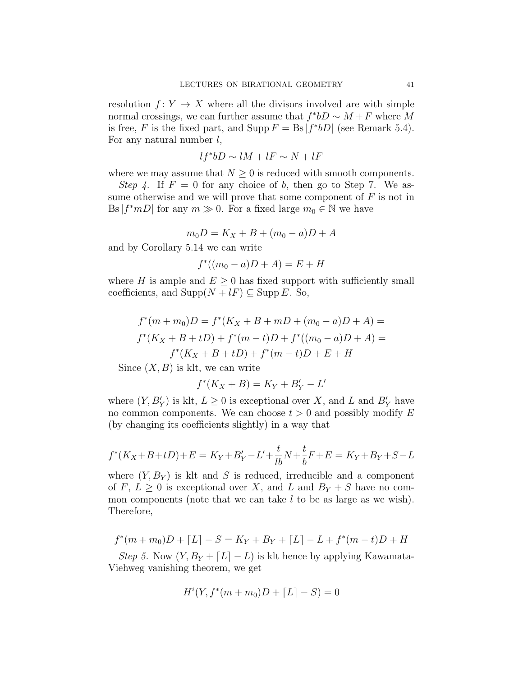resolution  $f: Y \to X$  where all the divisors involved are with simple normal crossings, we can further assume that  $f^*bD \sim M + F$  where M is free, F is the fixed part, and Supp  $F = \text{Bs} |f^*bD|$  (see Remark 5.4). For any natural number  $l$ ,

$$
lf^*bD \sim lM + lF \sim N + lF
$$

where we may assume that  $N \geq 0$  is reduced with smooth components.

Step 4. If  $F = 0$  for any choice of b, then go to Step 7. We assume otherwise and we will prove that some component of  $F$  is not in Bs  $|f^*mD|$  for any  $m \gg 0$ . For a fixed large  $m_0 \in \mathbb{N}$  we have

$$
m_0 D = K_X + B + (m_0 - a)D + A
$$

and by Corollary 5.14 we can write

$$
f^*((m_0 - a)D + A) = E + H
$$

where H is ample and  $E \geq 0$  has fixed support with sufficiently small coefficients, and  $\text{Supp}(N + lF) \subseteq \text{Supp } E$ . So,

$$
f^*(m + m_0)D = f^*(K_X + B + mD + (m_0 - a)D + A) =
$$
  

$$
f^*(K_X + B + tD) + f^*(m - t)D + f^*((m_0 - a)D + A) =
$$
  

$$
f^*(K_X + B + tD) + f^*(m - t)D + E + H
$$

Since  $(X, B)$  is klt, we can write

$$
f^*(K_X + B) = K_Y + B'_Y - L'
$$

where  $(Y, B'_Y)$  is klt,  $L \geq 0$  is exceptional over X, and L and  $B'_Y$  have no common components. We can choose  $t > 0$  and possibly modify E (by changing its coefficients slightly) in a way that

$$
f^*(K_X + B + tD) + E = K_Y + B'_Y - L' + \frac{t}{lb}N + \frac{t}{b}F + E = K_Y + B_Y + S - L
$$

where  $(Y, B_Y)$  is klt and S is reduced, irreducible and a component of F,  $L \geq 0$  is exceptional over X, and L and  $B_Y + S$  have no common components (note that we can take  $l$  to be as large as we wish). Therefore,

$$
f^*(m+m_0)D + [L] - S = K_Y + B_Y + [L] - L + f^*(m-t)D + H
$$

Step 5. Now  $(Y, B_Y + [L] - L)$  is klt hence by applying Kawamata-Viehweg vanishing theorem, we get

$$
H^{i}(Y, f^{*}(m + m_{0})D + [L] - S) = 0
$$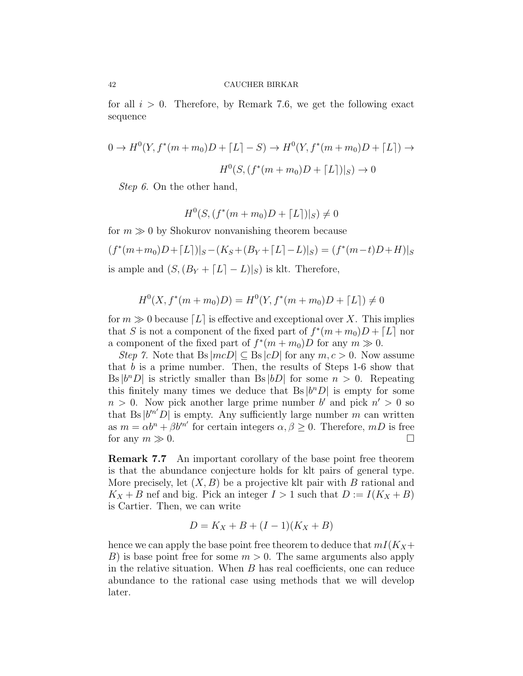for all  $i > 0$ . Therefore, by Remark 7.6, we get the following exact sequence

$$
0 \to H^0(Y, f^*(m+m_0)D + [L] - S) \to H^0(Y, f^*(m+m_0)D + [L]) \to
$$
  

$$
H^0(S, (f^*(m+m_0)D + [L])|_S) \to 0
$$

Step 6. On the other hand,

$$
H^{0}(S, (f^{*}(m+m_{0})D + \lceil L \rceil)|_{S}) \neq 0
$$

for  $m \gg 0$  by Shokurov nonvanishing theorem because

$$
(f^*(m+m_0)D + [L])|_S - (K_S + (B_Y + [L] - L)|_S) = (f^*(m-t)D + H)|_S
$$
  
is ample and  $(S, (B_Y + [L] - L)|_S)$  is klt. Therefore,

$$
H^{0}(X, f^{*}(m+m_{0})D) = H^{0}(Y, f^{*}(m+m_{0})D + [L]) \neq 0
$$

for  $m \gg 0$  because  $[L]$  is effective and exceptional over X. This implies that S is not a component of the fixed part of  $f^*(m+m_0)D + [L]$  nor a component of the fixed part of  $f^*(m+m_0)D$  for any  $m \gg 0$ .

Step 7. Note that Bs  $|mcD| \subseteq$  Bs  $|cD|$  for any  $m, c > 0$ . Now assume that b is a prime number. Then, the results of Steps  $1-6$  show that Bs  $|b^nD|$  is strictly smaller than Bs  $|bD|$  for some  $n > 0$ . Repeating this finitely many times we deduce that Bs  $|b^nD|$  is empty for some  $n > 0$ . Now pick another large prime number b' and pick  $n' > 0$  so that Bs  $|b^{\prime n'}D|$  is empty. Any sufficiently large number m can written as  $m = \alpha b^{n} + \beta b'^{n'}$  for certain integers  $\alpha, \beta \geq 0$ . Therefore, mD is free for any  $m \gg 0$ .

Remark 7.7 An important corollary of the base point free theorem is that the abundance conjecture holds for klt pairs of general type. More precisely, let  $(X, B)$  be a projective klt pair with B rational and  $K_X + B$  nef and big. Pick an integer  $I > 1$  such that  $D := I(K_X + B)$ is Cartier. Then, we can write

$$
D = K_X + B + (I - 1)(K_X + B)
$$

hence we can apply the base point free theorem to deduce that  $mI(K_X+$ B) is base point free for some  $m > 0$ . The same arguments also apply in the relative situation. When B has real coefficients, one can reduce abundance to the rational case using methods that we will develop later.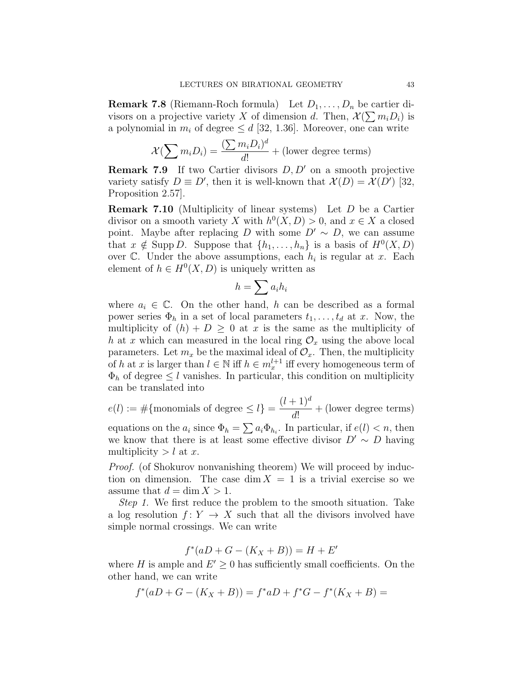**Remark 7.8** (Riemann-Roch formula) Let  $D_1, \ldots, D_n$  be cartier divisors on a projective variety X of dimension d. Then,  $\mathcal{X}(\sum m_i D_i)$  is a polynomial in  $m_i$  of degree  $\leq d$  [32, 1.36]. Moreover, one can write

$$
\mathcal{X}(\sum m_i D_i) = \frac{(\sum m_i D_i)^d}{d!} + (\text{lower degree terms})
$$

**Remark 7.9** If two Cartier divisors  $D, D'$  on a smooth projective variety satisfy  $D \equiv D'$ , then it is well-known that  $\mathcal{X}(D) = \mathcal{X}(D')$  [32, Proposition 2.57].

Remark 7.10 (Multiplicity of linear systems) Let D be a Cartier divisor on a smooth variety X with  $h^0(X, D) > 0$ , and  $x \in X$  a closed point. Maybe after replacing D with some  $D' \sim D$ , we can assume that  $x \notin \text{Supp } D$ . Suppose that  $\{h_1, \ldots, h_n\}$  is a basis of  $H^0(X, D)$ over  $\mathbb{C}$ . Under the above assumptions, each  $h_i$  is regular at x. Each element of  $h \in H^0(X, D)$  is uniquely written as

$$
h=\sum a_ih_i
$$

where  $a_i \in \mathbb{C}$ . On the other hand, h can be described as a formal power series  $\Phi_h$  in a set of local parameters  $t_1, \ldots, t_d$  at x. Now, the multiplicity of  $(h) + D \geq 0$  at x is the same as the multiplicity of h at x which can measured in the local ring  $\mathcal{O}_x$  using the above local parameters. Let  $m_x$  be the maximal ideal of  $\mathcal{O}_x$ . Then, the multiplicity of h at x is larger than  $l \in \mathbb{N}$  iff  $h \in m_x^{l+1}$  iff every homogeneous term of  $\Phi_h$  of degree  $\leq l$  vanishes. In particular, this condition on multiplicity can be translated into

 $e(l) := \#\{\text{monomials of degree } \leq l\} =$  $(l + 1)^{d}$ d! + (lower degree terms) equations on the  $a_i$  since  $\Phi_h = \sum a_i \Phi_{h_i}$ . In particular, if  $e(l) < n$ , then we know that there is at least some effective divisor  $D' \sim D$  having multiplicity  $> l$  at x.

Proof. (of Shokurov nonvanishing theorem) We will proceed by induction on dimension. The case dim  $X = 1$  is a trivial exercise so we assume that  $d = \dim X > 1$ .

Step 1. We first reduce the problem to the smooth situation. Take a log resolution  $f: Y \to X$  such that all the divisors involved have simple normal crossings. We can write

$$
f^*(aD + G - (K_X + B)) = H + E'
$$

where H is ample and  $E' \geq 0$  has sufficiently small coefficients. On the other hand, we can write

$$
f^*(aD+G - (K_X + B)) = f^*aD + f^*G - f^*(K_X + B) =
$$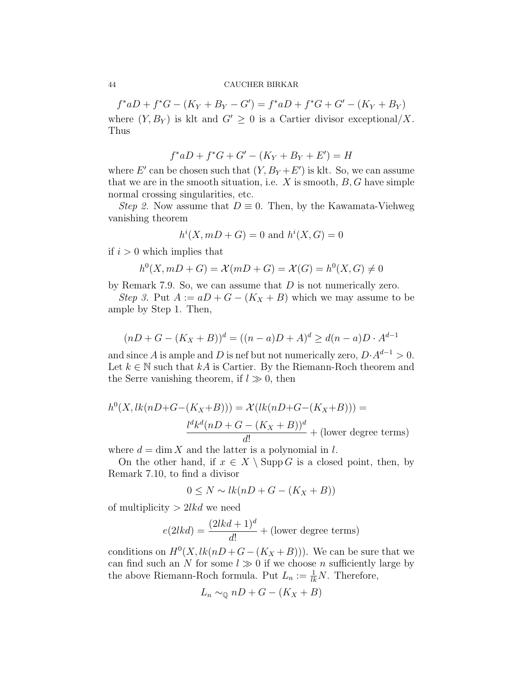$f^*aD + f^*G - (K_Y + B_Y - G') = f^*aD + f^*G + G' - (K_Y + B_Y)$ where  $(Y, B_Y)$  is klt and  $G' \geq 0$  is a Cartier divisor exceptional/X. Thus

$$
f^*aD + f^*G + G' - (K_Y + B_Y + E') = H
$$

where  $E'$  can be chosen such that  $(Y, B_Y + E')$  is klt. So, we can assume that we are in the smooth situation, i.e.  $X$  is smooth,  $B, G$  have simple normal crossing singularities, etc.

Step 2. Now assume that  $D \equiv 0$ . Then, by the Kawamata-Viehweg vanishing theorem

$$
h^{i}(X, mD + G) = 0
$$
 and  $h^{i}(X, G) = 0$ 

if  $i > 0$  which implies that

$$
h^{0}(X, mD + G) = \mathcal{X}(mD + G) = \mathcal{X}(G) = h^{0}(X, G) \neq 0
$$

by Remark 7.9. So, we can assume that  $D$  is not numerically zero.

Step 3. Put  $A := aD + G - (K_X + B)$  which we may assume to be ample by Step 1. Then,

$$
(nD + G - (K_X + B))^d = ((n - a)D + A)^d \ge d(n - a)D \cdot A^{d-1}
$$

and since A is ample and D is nef but not numerically zero,  $D \cdot A^{d-1} > 0$ . Let  $k \in \mathbb{N}$  such that  $kA$  is Cartier. By the Riemann-Roch theorem and the Serre vanishing theorem, if  $l \gg 0$ , then

$$
h^{0}(X, lk(nD+G-(K_{X}+B))) = \mathcal{X}(lk(nD+G-(K_{X}+B))) =
$$

$$
\frac{l^{d}k^{d}(nD+G-(K_{X}+B))^{d}}{d!} + \text{(lower degree terms)}
$$

where  $d = \dim X$  and the latter is a polynomial in l.

On the other hand, if  $x \in X \setminus \text{Supp } G$  is a closed point, then, by Remark 7.10, to find a divisor

$$
0 \le N \sim lk(nD + G - (K_X + B))
$$

of multiplicity  $> 2$ lkd we need

$$
e(2lkd) = \frac{(2lkd + 1)^d}{d!} + (\text{lower degree terms})
$$

conditions on  $H^0(X, lk(nD+G-(K_X+B)))$ . We can be sure that we can find such an N for some  $l \gg 0$  if we choose n sufficiently large by the above Riemann-Roch formula. Put  $L_n := \frac{1}{lk}N$ . Therefore,

$$
L_n \sim_{\mathbb{Q}} nD + G - (K_X + B)
$$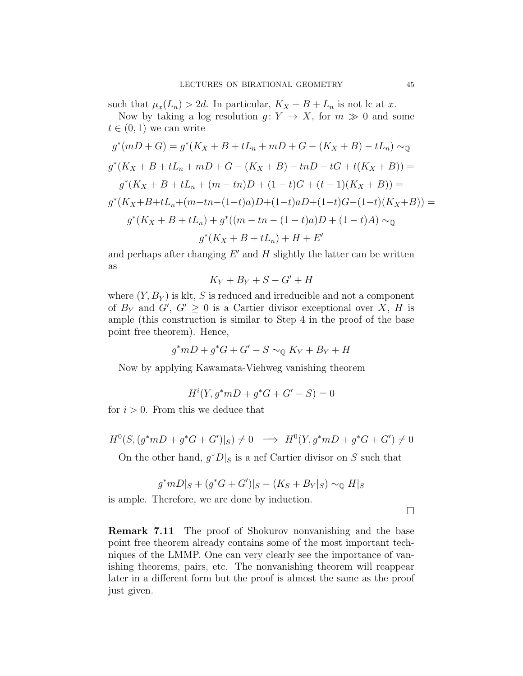such that  $\mu_x(L_n) > 2d$ . In particular,  $K_X + B + L_n$  is not lc at x.

Now by taking a log resolution  $g: Y \to X$ , for  $m \gg 0$  and some  $t \in (0, 1)$  we can write

$$
g^*(mD+G) = g^*(K_X + B + tL_n + mD + G - (K_X + B) - tL_n) \sim_{\mathbb{Q}}
$$
  

$$
g^*(K_X + B + tL_n + mD + G - (K_X + B) - t nD - tG + t(K_X + B)) =
$$
  

$$
g^*(K_X + B + tL_n + (m - t n)D + (1 - t)G + (t - 1)(K_X + B)) =
$$
  

$$
g^*(K_X + B + tL_n + (m - t n - (1 - t)a)D + (1 - t)aD + (1 - t)G - (1 - t)(K_X + B)) =
$$
  

$$
g^*(K_X + B + tL_n) + g^*((m - t n - (1 - t)a)D + (1 - t)A) \sim_{\mathbb{Q}}
$$
  

$$
g^*(K_X + B + tL_n) + H + E'
$$

and perhaps after changing  $E'$  and  $H$  slightly the latter can be written as

$$
K_Y+B_Y+S-G'+H
$$

where  $(Y, B_Y)$  is klt, S is reduced and irreducible and not a component of  $B_Y$  and  $G'$ ,  $G' \geq 0$  is a Cartier divisor exceptional over X, H is ample (this construction is similar to Step 4 in the proof of the base point free theorem). Hence,

$$
g^*mD + g^*G + G' - S \sim_{\mathbb{Q}} K_Y + B_Y + H
$$

Now by applying Kawamata-Viehweg vanishing theorem

$$
H^{i}(Y, g^{*}mD + g^{*}G + G' - S) = 0
$$

for  $i > 0$ . From this we deduce that

$$
H^{0}(S, (g^{*}mD + g^{*}G + G')|_{S}) \neq 0 \implies H^{0}(Y, g^{*}mD + g^{*}G + G') \neq 0
$$

On the other hand,  $g^*D|_S$  is a nef Cartier divisor on S such that

$$
g^*mD|_S + (g^*G + G')|_S - (K_S + B_Y|_S) \sim_{\mathbb{Q}} H|_S
$$

is ample. Therefore, we are done by induction.

 $\Box$ 

Remark 7.11 The proof of Shokurov nonvanishing and the base point free theorem already contains some of the most important techniques of the LMMP. One can very clearly see the importance of vanishing theorems, pairs, etc. The nonvanishing theorem will reappear later in a different form but the proof is almost the same as the proof just given.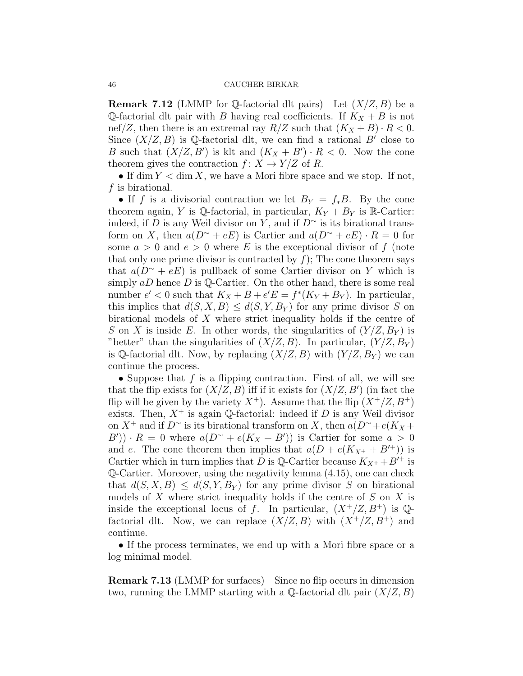**Remark 7.12** (LMMP for Q-factorial dlt pairs) Let  $(X/Z, B)$  be a Q-factorial dlt pair with B having real coefficients. If  $K_X + B$  is not nef/Z, then there is an extremal ray  $R/Z$  such that  $(K_X + B) \cdot R < 0$ . Since  $(X/Z, B)$  is Q-factorial dlt, we can find a rational B' close to B such that  $(X/Z, B')$  is klt and  $(K_X + B') \cdot R < 0$ . Now the cone theorem gives the contraction  $f: X \to Y/Z$  of R.

• If dim  $Y < \dim X$ , we have a Mori fibre space and we stop. If not,  $f$  is birational.

• If f is a divisorial contraction we let  $B_Y = f_*B$ . By the cone theorem again, Y is Q-factorial, in particular,  $K_Y + B_Y$  is R-Cartier: indeed, if D is any Weil divisor on Y, and if  $D^{\sim}$  is its birational transform on X, then  $a(D^{\sim} + eE)$  is Cartier and  $a(D^{\sim} + eE) \cdot R = 0$  for some  $a > 0$  and  $e > 0$  where E is the exceptional divisor of f (note that only one prime divisor is contracted by  $f$ ); The cone theorem says that  $a(D^{\sim} + eE)$  is pullback of some Cartier divisor on Y which is simply  $aD$  hence D is Q-Cartier. On the other hand, there is some real number  $e' < 0$  such that  $K_X + B + e'E = f^*(K_Y + B_Y)$ . In particular, this implies that  $d(S, X, B) \leq d(S, Y, B_Y)$  for any prime divisor S on birational models of  $X$  where strict inequality holds if the centre of S on X is inside E. In other words, the singularities of  $(Y/Z, B_Y)$  is "better" than the singularities of  $(X/Z, B)$ . In particular,  $(Y/Z, B_Y)$ is Q-factorial dlt. Now, by replacing  $(X/Z, B)$  with  $(Y/Z, B<sub>Y</sub>)$  we can continue the process.

• Suppose that  $f$  is a flipping contraction. First of all, we will see that the flip exists for  $(X/Z, B)$  iff if it exists for  $(X/Z, B')$  (in fact the flip will be given by the variety  $X^+$ ). Assume that the flip  $(X^+/Z, B^+)$ exists. Then,  $X^+$  is again Q-factorial: indeed if D is any Weil divisor on  $X^+$  and if  $D^{\sim}$  is its birational transform on X, then  $a(D^{\sim} + e(K_X +$  $(B')\cdot R = 0$  where  $a(D^{\sim} + e(K_X + B'))$  is Cartier for some  $a > 0$ and e. The cone theorem then implies that  $a(D + e(K_{X^+} + B'^+))$  is Cartier which in turn implies that D is Q-Cartier because  $K_{X^+} + B'^+$  is Q-Cartier. Moreover, using the negativity lemma (4.15), one can check that  $d(S, X, B) \leq d(S, Y, B_Y)$  for any prime divisor S on birational models of  $X$  where strict inequality holds if the centre of  $S$  on  $X$  is inside the exceptional locus of f. In particular,  $(X^+/Z, B^+)$  is  $\mathbb{Q}$ factorial dlt. Now, we can replace  $(X/Z, B)$  with  $(X^+/Z, B^+)$  and continue.

• If the process terminates, we end up with a Mori fibre space or a log minimal model.

Remark 7.13 (LMMP for surfaces) Since no flip occurs in dimension two, running the LMMP starting with a  $\mathbb{Q}$ -factorial dlt pair  $(X/Z, B)$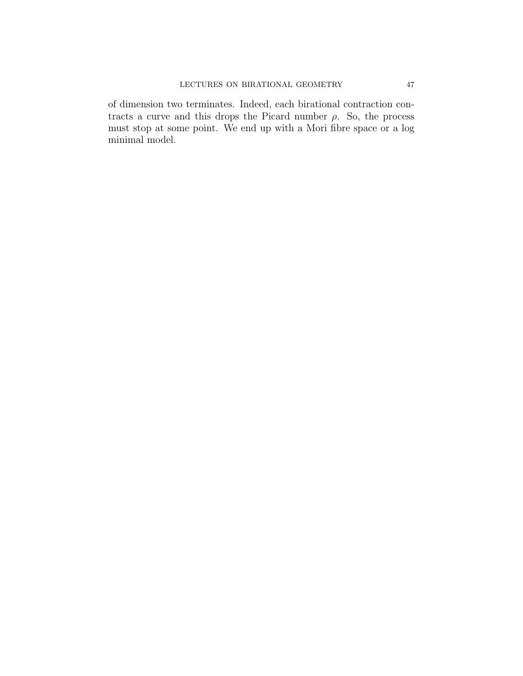of dimension two terminates. Indeed, each birational contraction contracts a curve and this drops the Picard number  $\rho$ . So, the process must stop at some point. We end up with a Mori fibre space or a log minimal model.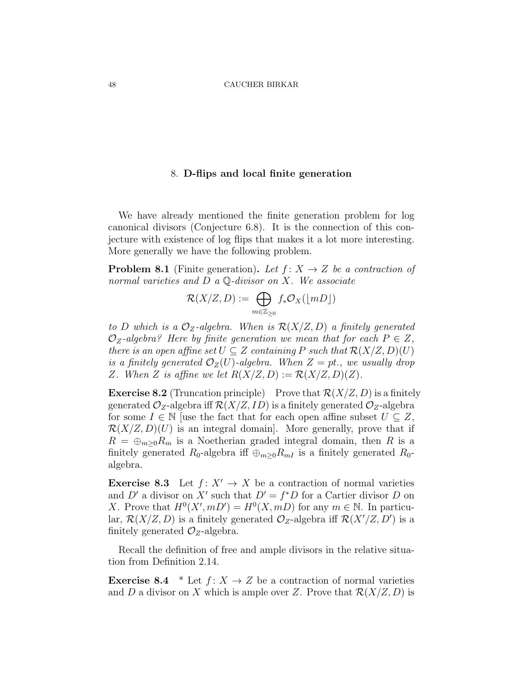# 8. D-flips and local finite generation

We have already mentioned the finite generation problem for log canonical divisors (Conjecture 6.8). It is the connection of this conjecture with existence of log flips that makes it a lot more interesting. More generally we have the following problem.

**Problem 8.1** (Finite generation). Let  $f: X \rightarrow Z$  be a contraction of normal varieties and  $D$  a  $\mathbb Q$ -divisor on X. We associate

$$
\mathcal{R}(X/Z,D):=\bigoplus_{m\in\mathbb{Z}_{\geq 0}}f_*\mathcal{O}_X(\lfloor mD\rfloor)
$$

to D which is a  $\mathcal{O}_Z$ -algebra. When is  $\mathcal{R}(X/Z, D)$  a finitely generated  $\mathcal{O}_Z$ -algebra? Here by finite generation we mean that for each  $P \in Z$ , there is an open affine set  $U \subseteq Z$  containing P such that  $\mathcal{R}(X/Z, D)(U)$ is a finitely generated  $\mathcal{O}_Z(U)$ -algebra. When  $Z = pt$ , we usually drop Z. When Z is affine we let  $R(X/Z, D) := R(X/Z, D)(Z)$ .

**Exercise 8.2** (Truncation principle) Prove that  $\mathcal{R}(X/Z, D)$  is a finitely generated  $\mathcal{O}_Z$ -algebra iff  $\mathcal{R}(X/Z, ID)$  is a finitely generated  $\mathcal{O}_Z$ -algebra for some  $I \in \mathbb{N}$  [use the fact that for each open affine subset  $U \subseteq Z$ ,  $\mathcal{R}(X/Z, D)(U)$  is an integral domain. More generally, prove that if  $R = \bigoplus_{m>0} R_m$  is a Noetherian graded integral domain, then R is a finitely generated  $R_0$ -algebra iff  $\bigoplus_{m\geq 0}R_{m}$  is a finitely generated  $R_0$ algebra.

**Exercise 8.3** Let  $f: X' \to X$  be a contraction of normal varieties and D' a divisor on X' such that  $D' = f^*D$  for a Cartier divisor D on X. Prove that  $H^0(X', mD') = H^0(X, mD)$  for any  $m \in \mathbb{N}$ . In particular,  $\mathcal{R}(X/Z, D)$  is a finitely generated  $\mathcal{O}_Z$ -algebra iff  $\mathcal{R}(X'/Z, D')$  is a finitely generated  $\mathcal{O}_Z$ -algebra.

Recall the definition of free and ample divisors in the relative situation from Definition 2.14.

**Exercise 8.4** \* Let  $f: X \to Z$  be a contraction of normal varieties and D a divisor on X which is ample over Z. Prove that  $\mathcal{R}(X/Z, D)$  is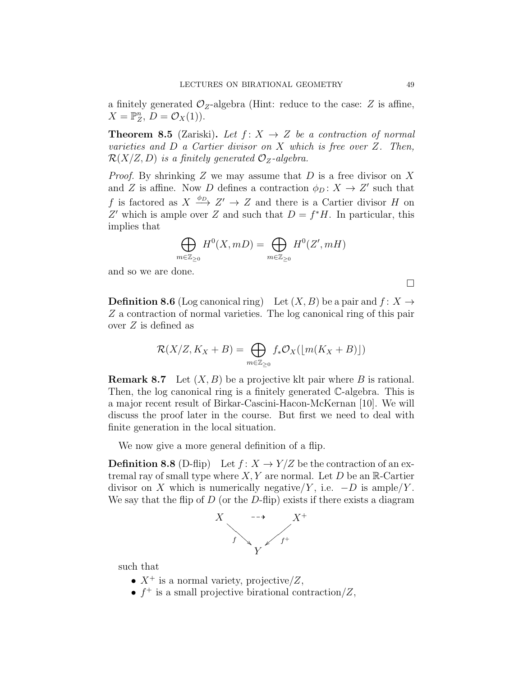a finitely generated  $\mathcal{O}_Z$ -algebra (Hint: reduce to the case: Z is affine,  $X=\mathbb{P}^n_Z, \ \tilde{D}=\mathcal{O}_X(1)).$ 

**Theorem 8.5** (Zariski). Let  $f: X \rightarrow Z$  be a contraction of normal varieties and  $D$  a Cartier divisor on  $X$  which is free over  $Z$ . Then,  $\mathcal{R}(X/Z, D)$  is a finitely generated  $\mathcal{O}_Z$ -algebra.

*Proof.* By shrinking  $Z$  we may assume that  $D$  is a free divisor on  $X$ and Z is affine. Now D defines a contraction  $\phi_D: X \to Z'$  such that f is factored as  $X \xrightarrow{\phi_D} Z' \to Z$  and there is a Cartier divisor H on Z' which is ample over Z and such that  $D = f^*H$ . In particular, this implies that

$$
\bigoplus_{m\in\mathbb{Z}_{\geq 0}}H^0(X,mD)=\bigoplus_{m\in\mathbb{Z}_{\geq 0}}H^0(Z',mH)
$$

and so we are done.

**Definition 8.6** (Log canonical ring) Let  $(X, B)$  be a pair and  $f: X \rightarrow$ Z a contraction of normal varieties. The log canonical ring of this pair over Z is defined as

$$
\mathcal{R}(X/Z, K_X + B) = \bigoplus_{m \in \mathbb{Z}_{\geq 0}} f_* \mathcal{O}_X(\lfloor m(K_X + B) \rfloor)
$$

**Remark 8.7** Let  $(X, B)$  be a projective klt pair where B is rational. Then, the log canonical ring is a finitely generated C-algebra. This is a major recent result of Birkar-Cascini-Hacon-McKernan [10]. We will discuss the proof later in the course. But first we need to deal with finite generation in the local situation.

We now give a more general definition of a flip.

**Definition 8.8** (D-flip) Let  $f: X \to Y/Z$  be the contraction of an extremal ray of small type where  $X, Y$  are normal. Let D be an R-Cartier divisor on X which is numerically negative/Y, i.e.  $-D$  is ample/Y. We say that the flip of  $D$  (or the  $D$ -flip) exists if there exists a diagram



such that

- $X^+$  is a normal variety, projective/Z,
- $f^+$  is a small projective birational contraction/Z,

 $\Box$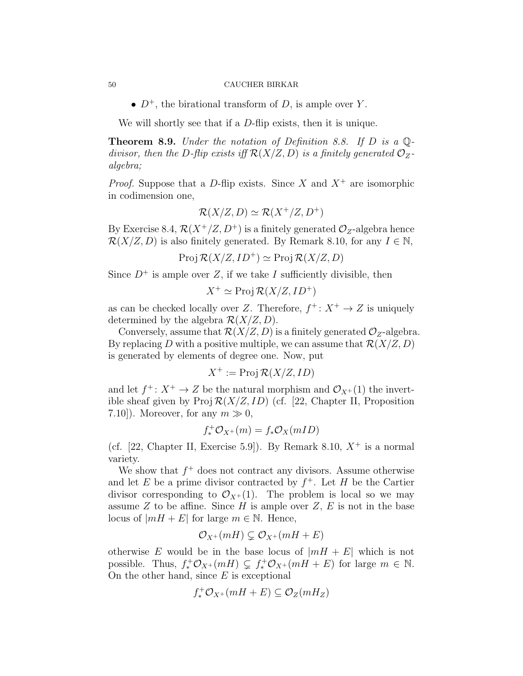•  $D^+$ , the birational transform of D, is ample over Y.

We will shortly see that if a D-flip exists, then it is unique.

**Theorem 8.9.** Under the notation of Definition 8.8. If D is a  $\mathbb{Q}$ divisor, then the D-flip exists iff  $\mathcal{R}(X/Z, D)$  is a finitely generated  $\mathcal{O}_Z$ algebra;

*Proof.* Suppose that a D-flip exists. Since X and  $X^+$  are isomorphic in codimension one,

$$
\mathcal{R}(X/Z, D) \simeq \mathcal{R}(X^+/Z, D^+)
$$

By Exercise 8.4,  $\mathcal{R}(X^+/Z, D^+)$  is a finitely generated  $\mathcal{O}_Z$ -algebra hence  $\mathcal{R}(X/Z, D)$  is also finitely generated. By Remark 8.10, for any  $I \in \mathbb{N}$ ,

$$
Proj \mathcal{R}(X/Z, ID^{+}) \simeq Proj \mathcal{R}(X/Z, D)
$$

Since  $D^+$  is ample over Z, if we take I sufficiently divisible, then

$$
X^+ \simeq \text{Proj } \mathcal{R}(X/Z, ID^+)
$$

as can be checked locally over Z. Therefore,  $f^+$ :  $X^+ \to Z$  is uniquely determined by the algebra  $\mathcal{R}(X/Z, D)$ .

Conversely, assume that  $\mathcal{R}(X/Z, D)$  is a finitely generated  $\mathcal{O}_Z$ -algebra. By replacing D with a positive multiple, we can assume that  $\mathcal{R}(X/Z, D)$ is generated by elements of degree one. Now, put

$$
X^+ := \operatorname{Proj} \mathcal{R}(X/Z, ID)
$$

and let  $f^{\dagger}: X^{\dagger} \to Z$  be the natural morphism and  $\mathcal{O}_{X^{\dagger}}(1)$  the invertible sheaf given by  $\text{Proj } R(X/Z, ID)$  (cf. [22, Chapter II, Proposition 7.10]). Moreover, for any  $m \gg 0$ ,

$$
f_*^+ \mathcal{O}_{X^+}(m) = f_* \mathcal{O}_X(mID)
$$

(cf. [22, Chapter II, Exercise 5.9]). By Remark 8.10,  $X^+$  is a normal variety.

We show that  $f^+$  does not contract any divisors. Assume otherwise and let E be a prime divisor contracted by  $f^+$ . Let H be the Cartier divisor corresponding to  $\mathcal{O}_{X^+}(1)$ . The problem is local so we may assume  $Z$  to be affine. Since  $H$  is ample over  $Z, E$  is not in the base locus of  $|mH + E|$  for large  $m \in \mathbb{N}$ . Hence,

$$
\mathcal{O}_{X^+}(mH) \subsetneq \mathcal{O}_{X^+}(mH+E)
$$

otherwise E would be in the base locus of  $|mH + E|$  which is not possible. Thus,  $f^+_* \mathcal{O}_{X^+}(mH) \subsetneq f^+_* \mathcal{O}_{X^+}(mH+E)$  for large  $m \in \mathbb{N}$ . On the other hand, since  $E$  is exceptional

$$
f^+_* \mathcal{O}_{X^+}(mH+E) \subseteq \mathcal{O}_Z(mH_Z)
$$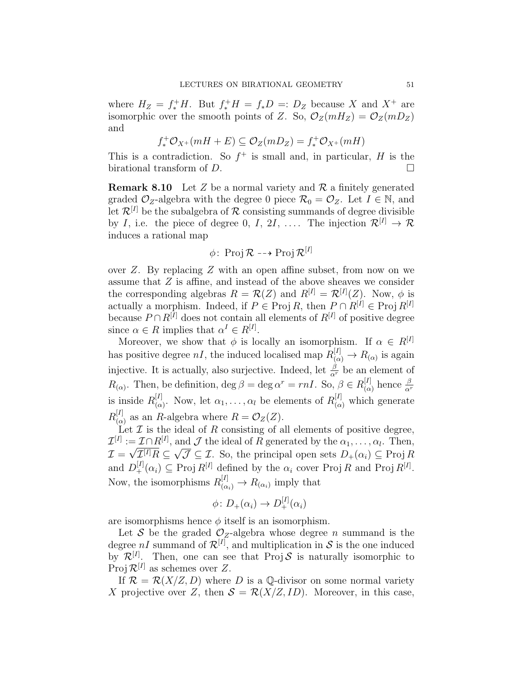where  $H_Z = f_*^+ H$ . But  $f_*^+ H = f_* D =: D_Z$  because X and  $X^+$  are isomorphic over the smooth points of Z. So,  $\mathcal{O}_Z(mH_Z) = \mathcal{O}_Z(mD_Z)$ and

$$
f^+_*\mathcal{O}_{X^+}(mH+E) \subseteq \mathcal{O}_Z(mD_Z) = f^+_*\mathcal{O}_{X^+}(mH)
$$

This is a contradiction. So  $f^+$  is small and, in particular, H is the birational transform of  $D$ .

**Remark 8.10** Let Z be a normal variety and  $\mathcal{R}$  a finitely generated graded  $\mathcal{O}_Z$ -algebra with the degree 0 piece  $\mathcal{R}_0 = \mathcal{O}_Z$ . Let  $I \in \mathbb{N}$ , and let  $\mathcal{R}^{[I]}$  be the subalgebra of  $\mathcal R$  consisting summands of degree divisible by I, i.e. the piece of degree 0, I, 2I, .... The injection  $\mathcal{R}^{[I]} \to \mathcal{R}$ induces a rational map

$$
\phi\colon \operatorname{Proj} \mathcal{R} \dashrightarrow \operatorname{Proj} \mathcal{R}^{[I]}
$$

over Z. By replacing Z with an open affine subset, from now on we assume that Z is affine, and instead of the above sheaves we consider the corresponding algebras  $R = \mathcal{R}(Z)$  and  $R^{[I]} = \mathcal{R}^{[I]}(Z)$ . Now,  $\phi$  is actually a morphism. Indeed, if  $P \in \text{Proj } R$ , then  $P \cap R^{[I]} \in \text{Proj } R^{[I]}$ because  $P \cap R^{[I]}$  does not contain all elements of  $R^{[I]}$  of positive degree since  $\alpha \in R$  implies that  $\alpha^I \in R^{[I]}$ .

Moreover, we show that  $\phi$  is locally an isomorphism. If  $\alpha \in R^{[I]}$ has positive degree  $nI$ , the induced localised map  $R_{(\alpha)}^{[I]} \to R_{(\alpha)}$  is again injective. It is actually, also surjective. Indeed, let  $\frac{\beta}{\alpha^r}$  be an element of  $R_{(\alpha)}$ . Then, be definition, deg  $\beta = \text{deg }\alpha^r = rnI$ . So,  $\beta \in R_{(\alpha)}^{[I]}$  $\frac{[I]}{(\alpha)}$  hence  $\frac{\beta}{\alpha^r}$ is inside  $R_{\alpha}^{[I]}$  $\alpha_{(\alpha)}^{[I]}$ . Now, let  $\alpha_1, \ldots, \alpha_l$  be elements of  $R_{(\alpha)}^{[I]}$  which generate  $R^{[I]}_{\alpha}$  $\binom{[I]}{(\alpha)}$  as an R-algebra where  $R = \mathcal{O}_Z(Z)$ .

Let  $\mathcal I$  is the ideal of  $R$  consisting of all elements of positive degree,  $\mathcal{I}^{[I]} := \mathcal{I} \cap R^{[I]},$  and  $\mathcal{J}$  the ideal of R generated by the  $\alpha_1, \ldots, \alpha_l$ . Then,  $\mathcal{I}=\sqrt{\mathcal{I}^{[I]}}R\subseteq$ √  $\overline{\mathcal{J}} \subseteq \mathcal{I}$ . So, the principal open sets  $D_{+}(\alpha_i) \subseteq \text{Proj } R$ and  $D^{[I]}_{+}(\alpha_i) \subseteq \text{Proj } R^{[I]}$  defined by the  $\alpha_i$  cover Proj R and Proj  $R^{[I]}$ . Now, the isomorphisms  $R_{(\alpha_i)}^{[I]} \to R_{(\alpha_i)}$  imply that

$$
\phi\colon D_+(\alpha_i)\to D_+^{[I]}(\alpha_i)
$$

are isomorphisms hence  $\phi$  itself is an isomorphism.

Let S be the graded  $\mathcal{O}_Z$ -algebra whose degree n summand is the degree nI summand of  $\mathcal{R}^{[I]}$ , and multiplication in S is the one induced by  $\mathcal{R}^{[I]}$ . Then, one can see that Proj S is naturally isomorphic to Proj  $\mathcal{R}^{[I]}$  as schemes over Z.

If  $\mathcal{R} = \mathcal{R}(X/Z, D)$  where D is a Q-divisor on some normal variety X projective over Z, then  $S = \mathcal{R}(X/Z, ID)$ . Moreover, in this case,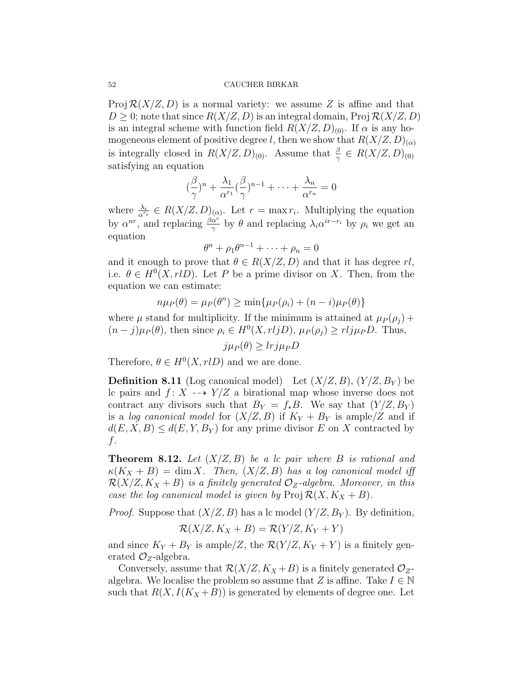Proj  $\mathcal{R}(X/Z, D)$  is a normal variety: we assume Z is affine and that  $D \geq 0$ ; note that since  $R(X/Z, D)$  is an integral domain, Proj  $R(X/Z, D)$ is an integral scheme with function field  $R(X/Z, D)_{(0)}$ . If  $\alpha$  is any homogeneous element of positive degree l, then we show that  $R(X/Z, D)_{(\alpha)}$ is integrally closed in  $R(X/Z, D)_{(0)}$ . Assume that  $\frac{\beta}{\gamma} \in R(X/Z, D)_{(0)}$ satisfying an equation

$$
(\frac{\beta}{\gamma})^n + \frac{\lambda_1}{\alpha^{r_1}}(\frac{\beta}{\gamma})^{n-1} + \dots + \frac{\lambda_n}{\alpha^{r_n}} = 0
$$

where  $\frac{\lambda_i}{\alpha^{r_i}} \in R(X/Z, D)_{(\alpha)}$ . Let  $r = \max r_i$ . Multiplying the equation by  $\alpha^{nr}$ , and replacing  $\frac{\beta \alpha^{r}}{\gamma}$  by  $\theta$  and replacing  $\lambda_i \alpha^{ir-r_i}$  by  $\rho_i$  we get an equation

$$
\theta^n + \rho_1 \theta^{n-1} + \dots + \rho_n = 0
$$

and it enough to prove that  $\theta \in R(X/Z, D)$  and that it has degree rl, i.e.  $\theta \in H^0(X,rlD)$ . Let P be a prime divisor on X. Then, from the equation we can estimate:

$$
n\mu_P(\theta) = \mu_P(\theta^n) \ge \min\{\mu_P(\rho_i) + (n-i)\mu_P(\theta)\}
$$

where  $\mu$  stand for multiplicity. If the minimum is attained at  $\mu_P(\rho_j)$  +  $(n-j)\mu_P(\theta)$ , then since  $\rho_i \in H^0(X, r l j D)$ ,  $\mu_P(\rho_j) \geq r l j \mu_P D$ . Thus,

 $j\mu_P(\theta) \geq lrj\mu_P D$ 

Therefore,  $\theta \in H^0(X, rlD)$  and we are done.

**Definition 8.11** (Log canonical model) Let  $(X/Z, B)$ ,  $(Y/Z, B_Y)$  be lc pairs and  $f: X \dashrightarrow Y/Z$  a birational map whose inverse does not contract any divisors such that  $B_Y = f_*B$ . We say that  $(Y/Z, B_Y)$ is a log canonical model for  $(X/Z, B)$  if  $K_Y + B_Y$  is ample Z and if  $d(E, X, B) \leq d(E, Y, B_Y)$  for any prime divisor E on X contracted by  $f$ .

**Theorem 8.12.** Let  $(X/Z, B)$  be a lc pair where B is rational and  $\kappa(K_X + B) = \dim X$ . Then,  $(X/Z, B)$  has a log canonical model iff  $\mathcal{R}(X/Z, K_X + B)$  is a finitely generated  $\mathcal{O}_Z$ -algebra. Moreover, in this case the log canonical model is given by  $\text{Proj } R(X, K_X + B)$ .

*Proof.* Suppose that  $(X/Z, B)$  has a lc model  $(Y/Z, B_Y)$ . By definition,

$$
\mathcal{R}(X/Z, K_X + B) = \mathcal{R}(Y/Z, K_Y + Y)
$$

and since  $K_Y + B_Y$  is ample/Z, the  $\mathcal{R}(Y/Z, K_Y + Y)$  is a finitely generated  $\mathcal{O}_Z$ -algebra.

Conversely, assume that  $\mathcal{R}(X/Z, K_X + B)$  is a finitely generated  $\mathcal{O}_Z$ algebra. We localise the problem so assume that Z is affine. Take  $I \in \mathbb{N}$ such that  $R(X, I(K_X + B))$  is generated by elements of degree one. Let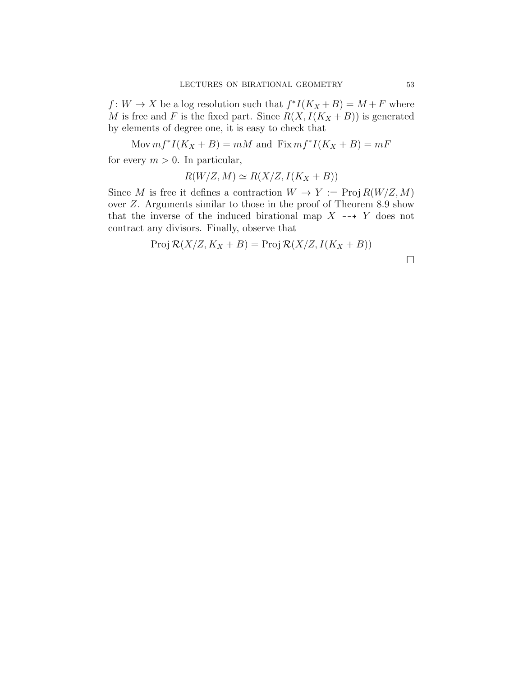$f: W \to X$  be a log resolution such that  $f^*I(K_X + B) = M + F$  where M is free and F is the fixed part. Since  $R(X, I(K_X + B))$  is generated by elements of degree one, it is easy to check that

Mov  $mf^*I(K_X + B) = mM$  and  $Fix mf^*I(K_X + B) = mF$ for every  $m > 0$ . In particular,

 $R(W/Z, M) \simeq R(X/Z, I(K_X + B))$ 

Since M is free it defines a contraction  $W \to Y := \text{Proj } R(W/Z, M)$ over Z. Arguments similar to those in the proof of Theorem 8.9 show that the inverse of the induced birational map  $X \dashrightarrow Y$  does not contract any divisors. Finally, observe that

$$
Proj \mathcal{R}(X/Z, K_X + B) = Proj \mathcal{R}(X/Z, I(K_X + B))
$$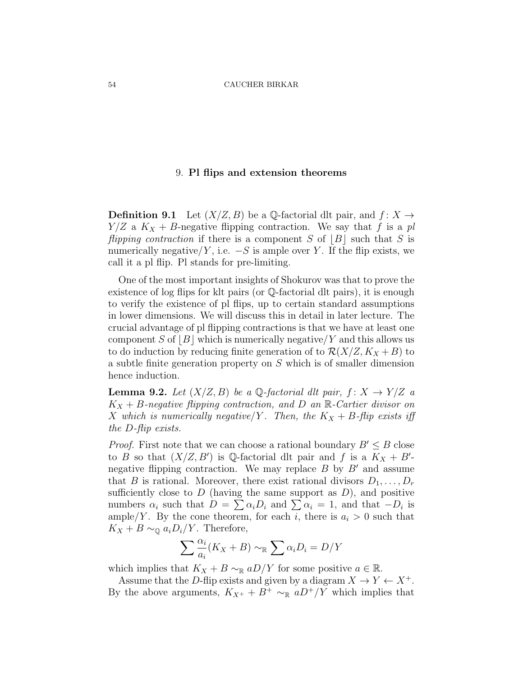## 9. Pl flips and extension theorems

**Definition 9.1** Let  $(X/Z, B)$  be a Q-factorial dlt pair, and  $f: X \rightarrow$  $Y/Z$  a  $K_X + B$ -negative flipping contraction. We say that f is a pl flipping contraction if there is a component S of  $|B|$  such that S is numerically negative/Y, i.e.  $-S$  is ample over Y. If the flip exists, we call it a pl flip. Pl stands for pre-limiting.

One of the most important insights of Shokurov was that to prove the existence of log flips for klt pairs (or Q-factorial dlt pairs), it is enough to verify the existence of pl flips, up to certain standard assumptions in lower dimensions. We will discuss this in detail in later lecture. The crucial advantage of pl flipping contractions is that we have at least one component S of  $|B|$  which is numerically negative/Y and this allows us to do induction by reducing finite generation of to  $\mathcal{R}(X/Z, K_X + B)$  to a subtle finite generation property on S which is of smaller dimension hence induction.

**Lemma 9.2.** Let  $(X/Z, B)$  be a Q-factorial dlt pair,  $f: X \rightarrow Y/Z$  a  $K_X + B$ -negative flipping contraction, and D an R-Cartier divisor on X which is numerically negative/Y. Then, the  $K_X + B$ -flip exists iff the D-flip exists.

*Proof.* First note that we can choose a rational boundary  $B' \leq B$  close to B so that  $(X/Z, B')$  is Q-factorial dlt pair and f is a  $K_X + B'$ negative flipping contraction. We may replace  $B$  by  $B'$  and assume that B is rational. Moreover, there exist rational divisors  $D_1, \ldots, D_r$ sufficiently close to  $D$  (having the same support as  $D$ ), and positive numbers  $\alpha_i$  such that  $D = \sum \alpha_i D_i$  and  $\sum \alpha_i = 1$ , and that  $-D_i$  is ample/Y. By the cone theorem, for each i, there is  $a_i > 0$  such that  $K_X + B \sim_{\mathbb{Q}} a_i D_i/Y$ . Therefore,

$$
\sum \frac{\alpha_i}{a_i}(K_X + B) \sim_{\mathbb{R}} \sum \alpha_i D_i = D/Y
$$

which implies that  $K_X + B \sim_R aD/Y$  for some positive  $a \in \mathbb{R}$ .

Assume that the D-flip exists and given by a diagram  $X \to Y \leftarrow X^+$ . By the above arguments,  $K_{X^+} + B^+ \sim_{\mathbb{R}} aD^+/Y$  which implies that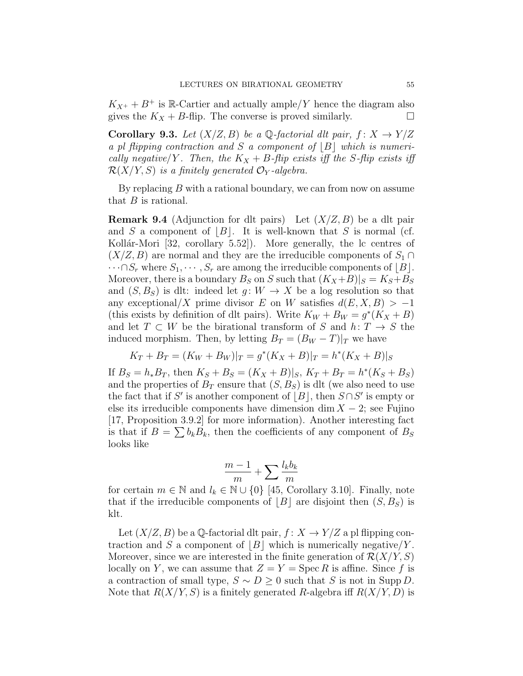$K_{X^+} + B^+$  is R-Cartier and actually ample/Y hence the diagram also gives the  $K_X + B$ -flip. The converse is proved similarly.

**Corollary 9.3.** Let  $(X/Z, B)$  be a Q-factorial dlt pair,  $f: X \to Y/Z$ a pl flipping contraction and S a component of  $|B|$  which is numerically negative/Y. Then, the  $K_X + B$ -flip exists iff the S-flip exists iff  $\mathcal{R}(X/Y, S)$  is a finitely generated  $\mathcal{O}_Y$ -algebra.

By replacing  $B$  with a rational boundary, we can from now on assume that  $B$  is rational.

**Remark 9.4** (Adjunction for dlt pairs) Let  $(X/Z, B)$  be a dlt pair and S a component of  $|B|$ . It is well-known that S is normal (cf. Kollár-Mori [32, corollary 5.52]). More generally, the lc centres of  $(X/Z, B)$  are normal and they are the irreducible components of  $S_1 \cap$  $\cdots \cap S_r$  where  $S_1, \cdots, S_r$  are among the irreducible components of  $|B|$ . Moreover, there is a boundary  $B_S$  on S such that  $(K_X+B)|_S = K_S+B_S$ and  $(S, B_S)$  is dlt: indeed let  $g: W \to X$  be a log resolution so that any exceptional/X prime divisor E on W satisfies  $d(E, X, B) > -1$ (this exists by definition of dlt pairs). Write  $K_W + B_W = g^*(K_X + B)$ and let  $T \subset W$  be the birational transform of S and  $h: T \to S$  the induced morphism. Then, by letting  $B_T = (B_W - T)|_T$  we have

$$
K_T + B_T = (K_W + B_W)|_T = g^*(K_X + B)|_T = h^*(K_X + B)|_S
$$

If  $B_S = h_* B_T$ , then  $K_S + B_S = (K_X + B)|_S$ ,  $K_T + B_T = h^*(K_S + B_S)$ and the properties of  $B_T$  ensure that  $(S, B_S)$  is dlt (we also need to use the fact that if S' is another component of  $\lfloor B \rfloor$ , then  $S \cap S'$  is empty or else its irreducible components have dimension dim  $X - 2$ ; see Fujino [17, Proposition 3.9.2] for more information). Another interesting fact is that if  $B = \sum b_k B_k$ , then the coefficients of any component of  $B_S$ looks like

$$
\frac{m-1}{m} + \sum \frac{l_k b_k}{m}
$$

for certain  $m \in \mathbb{N}$  and  $l_k \in \mathbb{N} \cup \{0\}$  [45, Corollary 3.10]. Finally, note that if the irreducible components of  $|B|$  are disjoint then  $(S, B_S)$  is klt.

Let  $(X/Z, B)$  be a Q-factorial dlt pair,  $f: X \to Y/Z$  a pl flipping contraction and S a component of  $|B|$  which is numerically negative/Y. Moreover, since we are interested in the finite generation of  $\mathcal{R}(X/Y, S)$ locally on Y, we can assume that  $Z = Y = \text{Spec } R$  is affine. Since f is a contraction of small type,  $S \sim D \geq 0$  such that S is not in Supp D. Note that  $R(X/Y, S)$  is a finitely generated R-algebra iff  $R(X/Y, D)$  is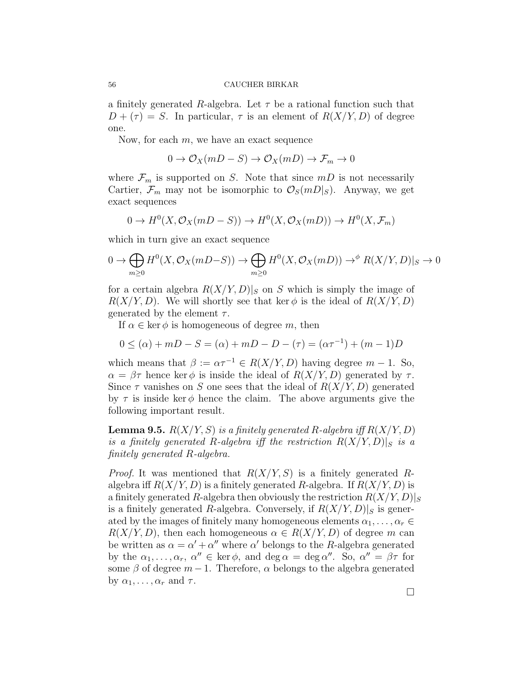a finitely generated R-algebra. Let  $\tau$  be a rational function such that  $D + (\tau) = S$ . In particular,  $\tau$  is an element of  $R(X/Y, D)$  of degree one.

Now, for each  $m$ , we have an exact sequence

$$
0 \to \mathcal{O}_X(mD - S) \to \mathcal{O}_X(mD) \to \mathcal{F}_m \to 0
$$

where  $\mathcal{F}_m$  is supported on S. Note that since  $mD$  is not necessarily Cartier,  $\mathcal{F}_m$  may not be isomorphic to  $\mathcal{O}_S(mD|_S)$ . Anyway, we get exact sequences

$$
0 \to H^0(X, \mathcal{O}_X(mD - S)) \to H^0(X, \mathcal{O}_X(mD)) \to H^0(X, \mathcal{F}_m)
$$

which in turn give an exact sequence

$$
0 \to \bigoplus_{m\geq 0} H^0(X, \mathcal{O}_X(mD-S)) \to \bigoplus_{m\geq 0} H^0(X, \mathcal{O}_X(mD)) \to^{\phi} R(X/Y, D)|_S \to 0
$$

for a certain algebra  $R(X/Y, D)|_S$  on S which is simply the image of  $R(X/Y, D)$ . We will shortly see that ker  $\phi$  is the ideal of  $R(X/Y, D)$ generated by the element  $\tau$ .

If  $\alpha \in \ker \phi$  is homogeneous of degree m, then

$$
0 \le (\alpha) + mD - S = (\alpha) + mD - D - (\tau) = (\alpha \tau^{-1}) + (m - 1)D
$$

which means that  $\beta := \alpha \tau^{-1} \in R(X/Y, D)$  having degree  $m - 1$ . So,  $\alpha = \beta \tau$  hence ker  $\phi$  is inside the ideal of  $R(X/Y, D)$  generated by  $\tau$ . Since  $\tau$  vanishes on S one sees that the ideal of  $R(X/Y, D)$  generated by  $\tau$  is inside ker  $\phi$  hence the claim. The above arguments give the following important result.

**Lemma 9.5.**  $R(X/Y, S)$  is a finitely generated R-algebra iff  $R(X/Y, D)$ is a finitely generated R-algebra iff the restriction  $R(X/Y, D)|_S$  is a finitely generated R-algebra.

*Proof.* It was mentioned that  $R(X/Y, S)$  is a finitely generated Ralgebra iff  $R(X/Y, D)$  is a finitely generated R-algebra. If  $R(X/Y, D)$  is a finitely generated R-algebra then obviously the restriction  $R(X/Y, D)|_S$ is a finitely generated R-algebra. Conversely, if  $R(X/Y, D)|_S$  is generated by the images of finitely many homogeneous elements  $\alpha_1, \ldots, \alpha_r \in$  $R(X/Y, D)$ , then each homogeneous  $\alpha \in R(X/Y, D)$  of degree m can be written as  $\alpha = \alpha' + \alpha''$  where  $\alpha'$  belongs to the R-algebra generated by the  $\alpha_1, \ldots, \alpha_r, \alpha'' \in \ker \phi$ , and  $\deg \alpha = \deg \alpha''$ . So,  $\alpha'' = \beta \tau$  for some  $\beta$  of degree  $m-1$ . Therefore,  $\alpha$  belongs to the algebra generated by  $\alpha_1, \ldots, \alpha_r$  and  $\tau$ .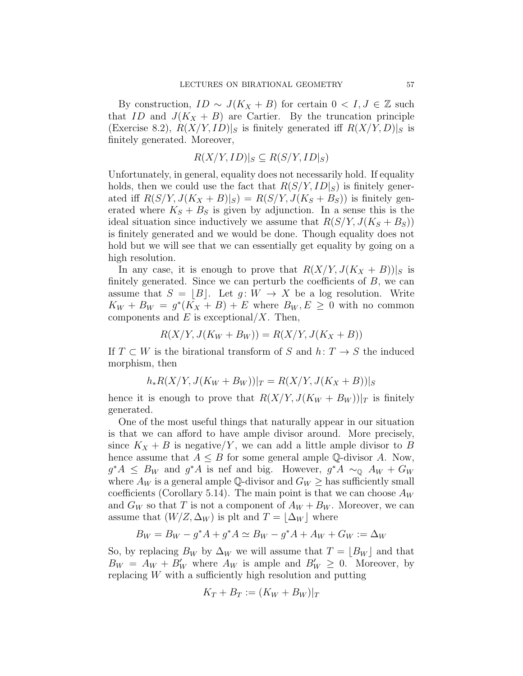By construction,  $ID \sim J(K_X + B)$  for certain  $0 < I, J \in \mathbb{Z}$  such that ID and  $J(K_X + B)$  are Cartier. By the truncation principle (Exercise 8.2),  $R(X/Y, ID)|_S$  is finitely generated iff  $R(X/Y, D)|_S$  is finitely generated. Moreover,

$$
R(X/Y, ID)|_S \subseteq R(S/Y, ID|_S)
$$

Unfortunately, in general, equality does not necessarily hold. If equality holds, then we could use the fact that  $R(S/Y, ID|_S)$  is finitely generated iff  $R(S/Y, J(K_X + B)|_S) = R(S/Y, J(K_S + B_S))$  is finitely generated where  $K_S + B_S$  is given by adjunction. In a sense this is the ideal situation since inductively we assume that  $R(S/Y, J(K_S + B_S))$ is finitely generated and we would be done. Though equality does not hold but we will see that we can essentially get equality by going on a high resolution.

In any case, it is enough to prove that  $R(X/Y, J(K_X + B))|_S$  is finitely generated. Since we can perturb the coefficients of  $B$ , we can assume that  $S = |B|$ . Let  $g : W \to X$  be a log resolution. Write  $K_W + B_W = g^*(K_X + B) + E$  where  $B_W, E \geq 0$  with no common components and  $E$  is exceptional/X. Then,

$$
R(X/Y, J(K_W + B_W)) = R(X/Y, J(K_X + B))
$$

If  $T \subset W$  is the birational transform of S and  $h: T \to S$  the induced morphism, then

$$
h_*R(X/Y, J(K_W + B_W))|_T = R(X/Y, J(K_X + B))|_S
$$

hence it is enough to prove that  $R(X/Y, J(K_W + B_W))|_T$  is finitely generated.

One of the most useful things that naturally appear in our situation is that we can afford to have ample divisor around. More precisely, since  $K_X + B$  is negative/Y, we can add a little ample divisor to B hence assume that  $A \leq B$  for some general ample Q-divisor A. Now,  $g^*A \leq B_W$  and  $g^*A$  is nef and big. However,  $g^*A \sim_{\mathbb{Q}} A_W + G_W$ where  $A_W$  is a general ample Q-divisor and  $G_W \ge$  has sufficiently small coefficients (Corollary 5.14). The main point is that we can choose  $A_W$ and  $G_W$  so that T is not a component of  $A_W + B_W$ . Moreover, we can assume that  $(W/Z, \Delta_W)$  is plt and  $T = |\Delta_W|$  where

$$
B_W = B_W - g^*A + g^*A \simeq B_W - g^*A + A_W + G_W := \Delta_W
$$

So, by replacing  $B_W$  by  $\Delta_W$  we will assume that  $T = \lfloor B_W \rfloor$  and that  $B_W = A_W + B'_W$  where  $A_W$  is ample and  $B'_W \geq 0$ . Moreover, by replacing W with a sufficiently high resolution and putting

$$
K_T + B_T := (K_W + B_W)|_T
$$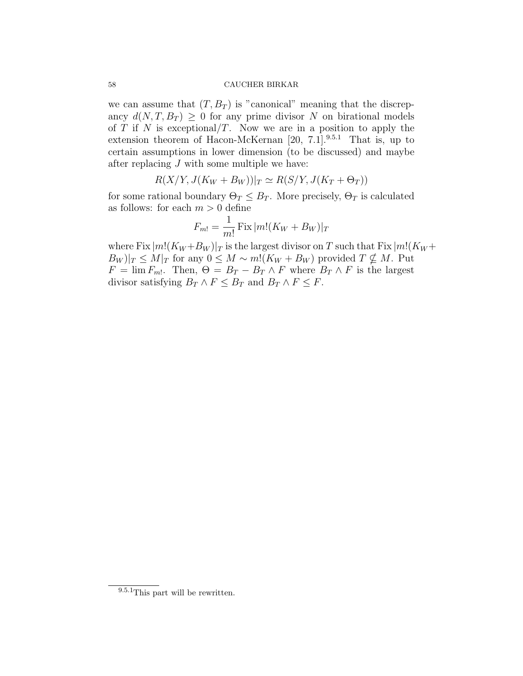we can assume that  $(T, B_T)$  is "canonical" meaning that the discrepancy  $d(N, T, B_T) \geq 0$  for any prime divisor N on birational models of T if N is exceptional/T. Now we are in a position to apply the extension theorem of Hacon-McKernan  $[20, 7.1]$ .<sup>9.5.1</sup> That is, up to certain assumptions in lower dimension (to be discussed) and maybe after replacing  $J$  with some multiple we have:

 $R(X/Y, J(K_W + B_W))|_T \simeq R(S/Y, J(K_T + \Theta_T))$ 

for some rational boundary  $\Theta_T \leq B_T$ . More precisely,  $\Theta_T$  is calculated as follows: for each  $m > 0$  define

$$
F_{m!} = \frac{1}{m!} \operatorname{Fix} |m!(K_W + B_W)|_T
$$

where Fix  $|m!(K_W+B_W)|_T$  is the largest divisor on T such that Fix  $|m!(K_W+$  $|B_W|_T \leq M|_T$  for any  $0 \leq M \sim m!(K_W + B_W)$  provided  $T \nsubseteq M$ . Put  $F = \lim F_{m!}$ . Then,  $\Theta = B_T - B_T \wedge F$  where  $B_T \wedge F$  is the largest divisor satisfying  $B_T \wedge F \leq B_T$  and  $B_T \wedge F \leq F$ .

<sup>9.5.1</sup>This part will be rewritten.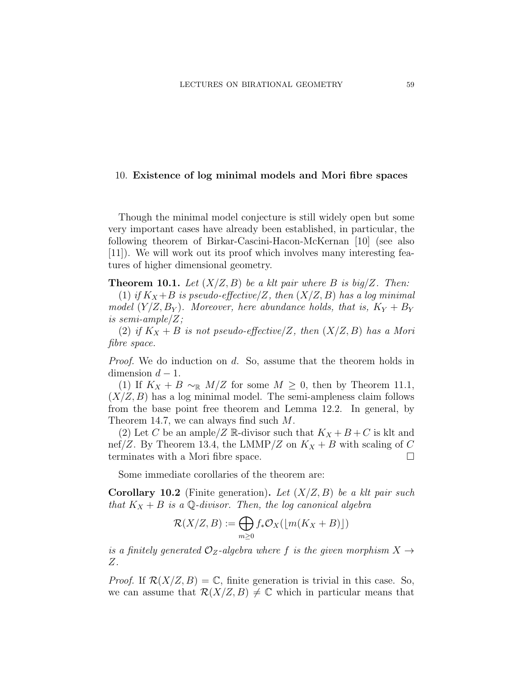### 10. Existence of log minimal models and Mori fibre spaces

Though the minimal model conjecture is still widely open but some very important cases have already been established, in particular, the following theorem of Birkar-Cascini-Hacon-McKernan [10] (see also [11]). We will work out its proof which involves many interesting features of higher dimensional geometry.

**Theorem 10.1.** Let  $(X/Z, B)$  be a klt pair where B is big/Z. Then:

(1) if  $K_X+B$  is pseudo-effective/Z, then  $(X/Z, B)$  has a log minimal model  $(Y/Z, B_Y)$ . Moreover, here abundance holds, that is,  $K_Y + B_Y$ is semi-ample/ $Z$ ;

(2) if  $K_X + B$  is not pseudo-effective/Z, then  $(X/Z, B)$  has a Mori fibre space.

Proof. We do induction on d. So, assume that the theorem holds in dimension  $d-1$ .

(1) If  $K_X + B \sim_{\mathbb{R}} M/Z$  for some  $M \geq 0$ , then by Theorem 11.1,  $(X/Z, B)$  has a log minimal model. The semi-ampleness claim follows from the base point free theorem and Lemma 12.2. In general, by Theorem 14.7, we can always find such M.

(2) Let C be an ample/Z R-divisor such that  $K_X + B + C$  is klt and nef/Z. By Theorem 13.4, the LMMP/Z on  $K_X + B$  with scaling of C terminates with a Mori fibre space.

Some immediate corollaries of the theorem are:

**Corollary 10.2** (Finite generation). Let  $(X/Z, B)$  be a klt pair such that  $K_X + B$  is a Q-divisor. Then, the log canonical algebra

$$
\mathcal{R}(X/Z, B) := \bigoplus_{m \ge 0} f_* \mathcal{O}_X(\lfloor m(K_X + B) \rfloor)
$$

is a finitely generated  $\mathcal{O}_Z$ -algebra where f is the given morphism  $X \rightarrow$ Z.

*Proof.* If  $\mathcal{R}(X/Z, B) = \mathbb{C}$ , finite generation is trivial in this case. So, we can assume that  $\mathcal{R}(X/Z, B) \neq \mathbb{C}$  which in particular means that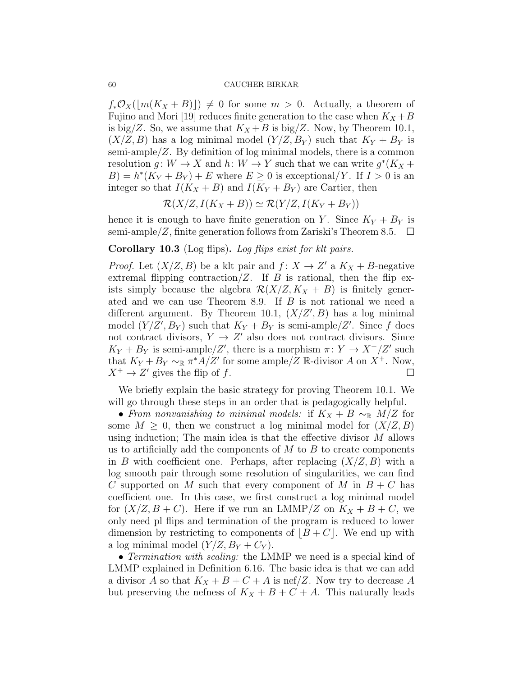$f_*\mathcal{O}_X(|m(K_X + B)|) \neq 0$  for some  $m > 0$ . Actually, a theorem of Fujino and Mori [19] reduces finite generation to the case when  $K_X + B$ is big/Z. So, we assume that  $K_X + B$  is big/Z. Now, by Theorem 10.1,  $(X/Z, B)$  has a log minimal model  $(Y/Z, B_Y)$  such that  $K_Y + B_Y$  is semi-ample/ $Z$ . By definition of log minimal models, there is a common resolution  $g: W \to X$  and  $h: W \to Y$  such that we can write  $g^*(K_X +$  $B$ ) =  $h^*(K_Y + B_Y) + E$  where  $E \ge 0$  is exceptional/Y. If  $I > 0$  is an integer so that  $I(K_X + B)$  and  $I(K_Y + B_Y)$  are Cartier, then

$$
\mathcal{R}(X/Z, I(K_X + B)) \simeq \mathcal{R}(Y/Z, I(K_Y + B_Y))
$$

hence it is enough to have finite generation on Y. Since  $K_Y + B_Y$  is semi-ample/Z, finite generation follows from Zariski's Theorem 8.5.  $\Box$ 

# Corollary 10.3 (Log flips). Log flips exist for klt pairs.

*Proof.* Let  $(X/Z, B)$  be a klt pair and  $f: X \to Z'$  a  $K_X + B$ -negative extremal flipping contraction/ $Z$ . If  $B$  is rational, then the flip exists simply because the algebra  $\mathcal{R}(X/Z, K_X + B)$  is finitely generated and we can use Theorem 8.9. If B is not rational we need a different argument. By Theorem 10.1,  $(X/Z', B)$  has a log minimal model  $(Y/Z', B_Y)$  such that  $K_Y + B_Y$  is semi-ample/Z'. Since f does not contract divisors,  $Y \to Z'$  also does not contract divisors. Since  $K_Y + B_Y$  is semi-ample/Z', there is a morphism  $\pi: Y \to X^+/Z'$  such that  $K_Y + B_Y \sim_{\mathbb{R}} \pi^* A/Z'$  for some ample/Z  $\mathbb{R}$ -divisor A on  $X^+$ . Now,  $X^+ \to Z'$  gives the flip of f.

We briefly explain the basic strategy for proving Theorem 10.1. We will go through these steps in an order that is pedagogically helpful.

• From nonvanishing to minimal models: if  $K_X + B \sim_{\mathbb{R}} M/Z$  for some  $M \geq 0$ , then we construct a log minimal model for  $(X/Z, B)$ using induction; The main idea is that the effective divisor  $M$  allows us to artificially add the components of  $M$  to  $B$  to create components in B with coefficient one. Perhaps, after replacing  $(X/Z, B)$  with a log smooth pair through some resolution of singularities, we can find C supported on M such that every component of M in  $B + C$  has coefficient one. In this case, we first construct a log minimal model for  $(X/Z, B + C)$ . Here if we run an LMMP/Z on  $K_X + B + C$ , we only need pl flips and termination of the program is reduced to lower dimension by restricting to components of  $\vert B+C \vert$ . We end up with a log minimal model  $(Y/Z, B_Y + C_Y)$ .

• *Termination with scaling:* the LMMP we need is a special kind of LMMP explained in Definition 6.16. The basic idea is that we can add a divisor A so that  $K_X + B + C + A$  is nef/Z. Now try to decrease A but preserving the nefness of  $K_X + B + C + A$ . This naturally leads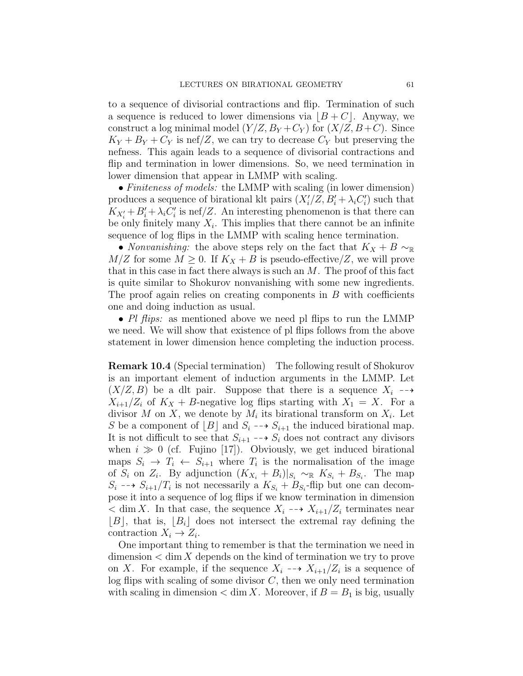to a sequence of divisorial contractions and flip. Termination of such a sequence is reduced to lower dimensions via  $\vert B+C \vert$ . Anyway, we construct a log minimal model  $(Y/Z, B_Y + C_Y)$  for  $(X/Z, B + C)$ . Since  $K_Y + B_Y + C_Y$  is nef/Z, we can try to decrease  $C_Y$  but preserving the nefness. This again leads to a sequence of divisorial contractions and flip and termination in lower dimensions. So, we need termination in lower dimension that appear in LMMP with scaling.

• Finiteness of models: the LMMP with scaling (in lower dimension) produces a sequence of birational klt pairs  $(X_i'/Z, B_i' + \lambda_i C_i')$  such that  $K_{X_i'} + B_i' + \lambda_i C_i'$  is nef/Z. An interesting phenomenon is that there can be only finitely many  $X_i$ . This implies that there cannot be an infinite sequence of log flips in the LMMP with scaling hence termination.

• Nonvanishing: the above steps rely on the fact that  $K_X + B \sim_{\mathbb{R}}$  $M/Z$  for some  $M \geq 0$ . If  $K_X + B$  is pseudo-effective/Z, we will prove that in this case in fact there always is such an  $M$ . The proof of this fact is quite similar to Shokurov nonvanishing with some new ingredients. The proof again relies on creating components in  $B$  with coefficients one and doing induction as usual.

• Pl flips: as mentioned above we need pl flips to run the LMMP we need. We will show that existence of pl flips follows from the above statement in lower dimension hence completing the induction process.

Remark 10.4 (Special termination) The following result of Shokurov is an important element of induction arguments in the LMMP. Let  $(X/Z, B)$  be a dlt pair. Suppose that there is a sequence  $X_i \dashrightarrow$  $X_{i+1}/Z_i$  of  $K_X + B$ -negative log flips starting with  $X_1 = X$ . For a divisor M on X, we denote by  $M_i$  its birational transform on  $X_i$ . Let S be a component of  $[B]$  and  $S_i \dashrightarrow S_{i+1}$  the induced birational map. It is not difficult to see that  $S_{i+1} \dashrightarrow S_i$  does not contract any divisors when  $i \gg 0$  (cf. Fujino [17]). Obviously, we get induced birational maps  $S_i \to T_i \leftarrow S_{i+1}$  where  $T_i$  is the normalisation of the image of  $S_i$  on  $Z_i$ . By adjunction  $(K_{X_i} + B_i)|_{S_i} \sim_{\mathbb{R}} K_{S_i} + B_{S_i}$ . The map  $S_i \dashrightarrow S_{i+1}/T_i$  is not necessarily a  $K_{S_i} + B_{S_i}$ -flip but one can decompose it into a sequence of log flips if we know termination in dimension  $\langle \dim X$ . In that case, the sequence  $X_i \dashrightarrow X_{i+1}/Z_i$  terminates near  $|B|$ , that is,  $|B_i|$  does not intersect the extremal ray defining the contraction  $X_i \to Z_i$ .

One important thing to remember is that the termination we need in  $dimension < dim X$  depends on the kind of termination we try to prove on X. For example, if the sequence  $X_i \dashrightarrow X_{i+1}/Z_i$  is a sequence of log flips with scaling of some divisor  $C$ , then we only need termination with scaling in dimension  $\langle \dim X$ . Moreover, if  $B = B_1$  is big, usually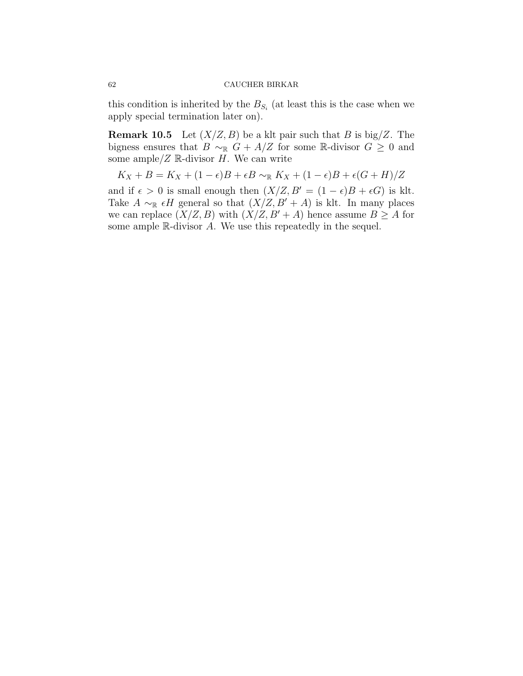this condition is inherited by the  $B_{S_i}$  (at least this is the case when we apply special termination later on).

**Remark 10.5** Let  $(X/Z, B)$  be a klt pair such that B is big/Z. The bigness ensures that  $B \sim_{\mathbb{R}} G + A/Z$  for some R-divisor  $G \geq 0$  and some ample/ $Z \mathbb{R}$ -divisor  $H$ . We can write

$$
K_X + B = K_X + (1 - \epsilon)B + \epsilon B \sim_{\mathbb{R}} K_X + (1 - \epsilon)B + \epsilon(G + H)/Z
$$

and if  $\epsilon > 0$  is small enough then  $(X/Z, B' = (1 - \epsilon)B + \epsilon G)$  is klt. Take  $A \sim_{\mathbb{R}} \epsilon H$  general so that  $(X/Z, B' + A)$  is klt. In many places we can replace  $(X/Z, B)$  with  $(X/Z, B' + A)$  hence assume  $B \geq A$  for some ample R-divisor A. We use this repeatedly in the sequel.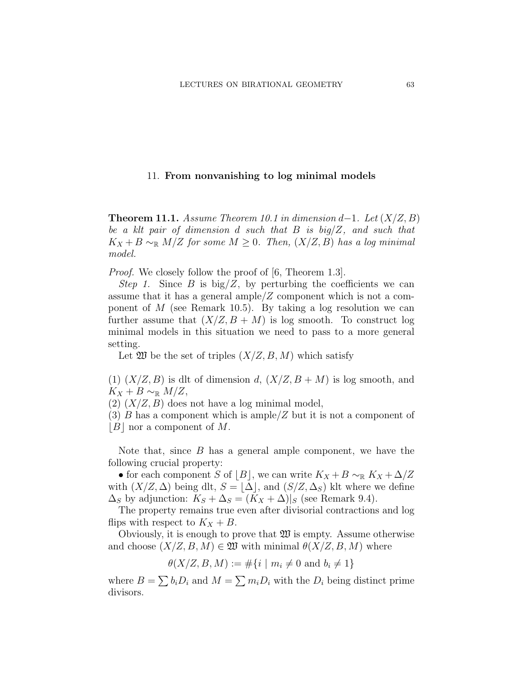# 11. From nonvanishing to log minimal models

**Theorem 11.1.** Assume Theorem 10.1 in dimension d−1. Let  $(X/Z, B)$ be a klt pair of dimension d such that  $B$  is big/ $Z$ , and such that  $K_X + B \sim_{\mathbb{R}} M/Z$  for some  $M \geq 0$ . Then,  $(X/Z, B)$  has a log minimal model.

*Proof.* We closely follow the proof of [6, Theorem 1.3].

Step 1. Since B is  $\text{big}/\text{Z}$ , by perturbing the coefficients we can assume that it has a general ample  $Z$  component which is not a component of  $M$  (see Remark 10.5). By taking a log resolution we can further assume that  $(X/Z, B + M)$  is log smooth. To construct log minimal models in this situation we need to pass to a more general setting.

Let  $\mathfrak W$  be the set of triples  $(X/Z, B, M)$  which satisfy

(1)  $(X/Z, B)$  is dlt of dimension d,  $(X/Z, B + M)$  is log smooth, and  $K_X + B \sim_{\mathbb{R}} M/Z$ ,

 $(2)$   $(X/Z, B)$  does not have a log minimal model,

 $(3)$  B has a component which is ample  $\mathbb{Z}$  but it is not a component of  $|B|$  nor a component of M.

Note that, since  $B$  has a general ample component, we have the following crucial property:

• for each component S of  $\lfloor B \rfloor$ , we can write  $K_X + B \sim_{\mathbb{R}} K_X + \Delta/Z$ with  $(X/Z, \Delta)$  being dlt,  $S = \Delta$ , and  $(S/Z, \Delta_S)$  klt where we define  $\Delta_S$  by adjunction:  $K_S + \Delta_S = (K_X + \Delta)|_S$  (see Remark 9.4).

The property remains true even after divisorial contractions and log flips with respect to  $K_X + B$ .

Obviously, it is enough to prove that  $\mathfrak W$  is empty. Assume otherwise and choose  $(X/Z, B, M) \in \mathfrak{W}$  with minimal  $\theta(X/Z, B, M)$  where

$$
\theta(X/Z, B, M) := \#\{i \mid m_i \neq 0 \text{ and } b_i \neq 1\}
$$

where  $B = \sum b_i D_i$  and  $M = \sum m_i D_i$  with the  $D_i$  being distinct prime divisors.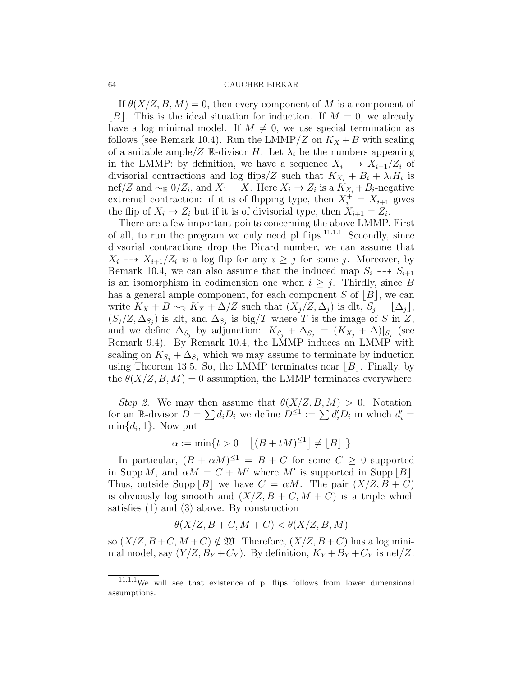If  $\theta(X/Z, B, M) = 0$ , then every component of M is a component of  $|B|$ . This is the ideal situation for induction. If  $M = 0$ , we already have a log minimal model. If  $M \neq 0$ , we use special termination as follows (see Remark 10.4). Run the LMMP/Z on  $K_X + B$  with scaling of a suitable ample/Z R-divisor H. Let  $\lambda_i$  be the numbers appearing in the LMMP: by definition, we have a sequence  $X_i \dashrightarrow X_{i+1}/Z_i$  of divisorial contractions and log flips/Z such that  $K_{X_i} + B_i + \lambda_i H_i$  is nef/Z and  $\sim_{\mathbb{R}} 0/Z_i$ , and  $X_1 = X$ . Here  $X_i \to Z_i$  is a  $K_{X_i} + B_i$ -negative extremal contraction: if it is of flipping type, then  $X_i^+ = X_{i+1}$  gives the flip of  $X_i \to Z_i$  but if it is of divisorial type, then  $X_{i+1} = Z_i$ .

There are a few important points concerning the above LMMP. First of all, to run the program we only need pl flips. $11.1.1$  Secondly, since divsorial contractions drop the Picard number, we can assume that  $X_i \dashrightarrow X_{i+1}/Z_i$  is a log flip for any  $i \geq j$  for some j. Moreover, by Remark 10.4, we can also assume that the induced map  $S_i \dashrightarrow S_{i+1}$ is an isomorphism in codimension one when  $i \geq j$ . Thirdly, since B has a general ample component, for each component  $S$  of  $[B]$ , we can write  $K_X + B \sim_{\mathbb{R}} K_X + \Delta/Z$  such that  $(X_j/Z, \Delta_j)$  is dlt,  $S_j = \Delta_j$ ,  $(S_j/Z, \Delta_{S_j})$  is klt, and  $\Delta_{S_j}$  is big/T where T is the image of S in Z, and we define  $\Delta_{S_j}$  by adjunction:  $K_{S_j} + \Delta_{S_j} = (K_{X_j} + \Delta)|_{S_j}$  (see Remark 9.4). By Remark 10.4, the LMMP induces an LMMP with scaling on  $K_{S_j} + \Delta_{S_j}$  which we may assume to terminate by induction using Theorem 13.5. So, the LMMP terminates near  $|B|$ . Finally, by the  $\theta(X/Z, B, M) = 0$  assumption, the LMMP terminates everywhere.

Step 2. We may then assume that  $\theta(X/Z, B, M) > 0$ . Notation: for an R-divisor  $D = \sum d_i D_i$  we define  $D^{\leq 1} := \sum d_i D_i$  in which  $d_i' =$  $\min\{d_i, 1\}$ . Now put

$$
\alpha := \min\{t > 0 \mid \left\lfloor (B + tM)^{\leq 1} \right\rfloor \neq \lfloor B \rfloor \}
$$

In particular,  $(B + \alpha M)^{\leq 1} = B + C$  for some  $C \geq 0$  supported in Supp M, and  $\alpha M = C + M'$  where M' is supported in Supp  $|B|$ . Thus, outside Supp | B | we have  $C = \alpha M$ . The pair  $(X/Z, B + C)$ is obviously log smooth and  $(X/Z, B + C, M + C)$  is a triple which satisfies (1) and (3) above. By construction

$$
\theta(X/Z, B + C, M + C) < \theta(X/Z, B, M)
$$

so  $(X/Z, B+C, M+C) \notin \mathfrak{W}$ . Therefore,  $(X/Z, B+C)$  has a log minimal model, say  $(Y/Z, B_Y + C_Y)$ . By definition,  $K_Y + B_Y + C_Y$  is nef/Z.

<sup>11.1.1</sup>We will see that existence of pl flips follows from lower dimensional assumptions.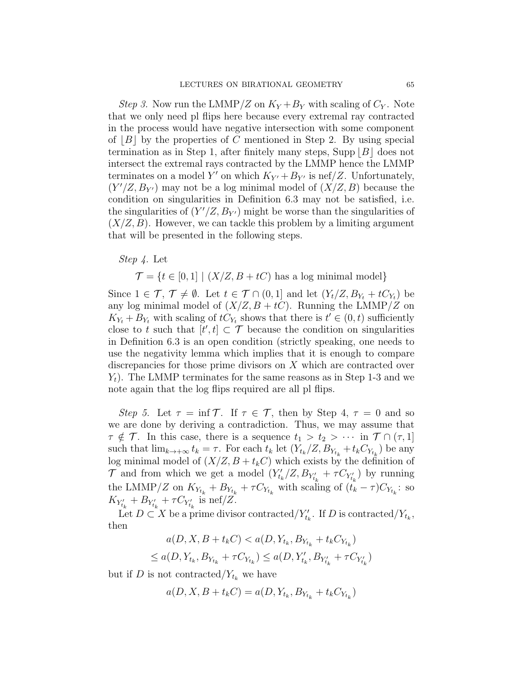*Step 3.* Now run the LMMP/Z on  $K_Y + B_Y$  with scaling of  $C_Y$ . Note that we only need pl flips here because every extremal ray contracted in the process would have negative intersection with some component of  $|B|$  by the properties of C mentioned in Step 2. By using special termination as in Step 1, after finitely many steps, Supp  $|B|$  does not intersect the extremal rays contracted by the LMMP hence the LMMP terminates on a model Y' on which  $K_{Y'} + B_{Y'}$  is nef/Z. Unfortunately,  $(Y'/Z, B_{Y'})$  may not be a log minimal model of  $(X/Z, B)$  because the condition on singularities in Definition 6.3 may not be satisfied, i.e. the singularities of  $(Y'/Z, B_{Y'})$  might be worse than the singularities of  $(X/Z, B)$ . However, we can tackle this problem by a limiting argument that will be presented in the following steps.

Step 4. Let

 $\mathcal{T} = \{t \in [0, 1] \mid (X/Z, B + tC) \text{ has a log minimal model}\}\$ 

Since  $1 \in \mathcal{T}$ ,  $\mathcal{T} \neq \emptyset$ . Let  $t \in \mathcal{T} \cap (0,1]$  and let  $(Y_t/Z, B_{Y_t} + tC_{Y_t})$  be any log minimal model of  $(X/Z, B + tC)$ . Running the LMMP/Z on  $K_{Y_t} + B_{Y_t}$  with scaling of  $tC_{Y_t}$  shows that there is  $t' \in (0, t)$  sufficiently close to t such that  $[t', t] \subset \mathcal{T}$  because the condition on singularities in Definition 6.3 is an open condition (strictly speaking, one needs to use the negativity lemma which implies that it is enough to compare discrepancies for those prime divisors on X which are contracted over  $Y_t$ ). The LMMP terminates for the same reasons as in Step 1-3 and we note again that the log flips required are all pl flips.

Step 5. Let  $\tau = \inf \mathcal{T}$ . If  $\tau \in \mathcal{T}$ , then by Step 4,  $\tau = 0$  and so we are done by deriving a contradiction. Thus, we may assume that  $\tau \notin \mathcal{T}$ . In this case, there is a sequence  $t_1 > t_2 > \cdots$  in  $\mathcal{T} \cap (\tau, 1]$ such that  $\lim_{k \to +\infty} t_k = \tau$ . For each  $t_k$  let  $(Y_{t_k}/Z, B_{Y_{t_k}} + t_k C_{Y_{t_k}})$  be any log minimal model of  $(X/Z, B + t_kC)$  which exists by the definition of  $\mathcal{T}$  and from which we get a model  $(Y'_{t_k}/Z, B_{Y'_{t_k}} + \tau C_{Y'_{t_k}})$  by running the LMMP/Z on  $K_{Y_{t_k}} + B_{Y_{t_k}} + \tau C_{Y_{t_k}}$  with scaling of  $(t_k - \tau)C_{Y_{t_k}}$ : so  $K_{Y'_{t_k}} + B_{Y'_{t_k}} + \tau C_{Y'_{t_k}}$  is nef/Z.

Let  $D \subset X$  be a prime divisor contracted/ $Y_{t_k}$ . If D is contracted/ $Y_{t_k}$ , then

$$
a(D, X, B + t_k C) < a(D, Y_{t_k}, B_{Y_{t_k}} + t_k C_{Y_{t_k}})
$$
\n
$$
\le a(D, Y_{t_k}, B_{Y_{t_k}} + \tau C_{Y_{t_k}}) \le a(D, Y'_{t_k}, B_{Y'_{t_k}} + \tau C_{Y'_{t_k}})
$$

but if D is not contracted/ $Y_{t_k}$  we have

$$
a(D, X, B + t_k C) = a(D, Y_{t_k}, B_{Y_{t_k}} + t_k C_{Y_{t_k}})
$$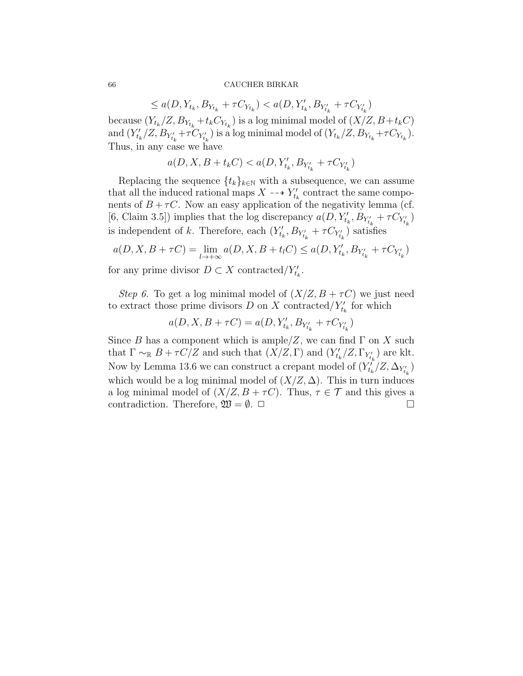$\leq a(D, Y_{t_k}, B_{Y_{t_k}} + \tau C_{Y_{t_k}}) < a(D, Y_{t_k}', B_{Y_{t_k}'} + \tau C_{Y_{t_k}'} )$ because  $(Y_{t_k}/Z, B_{Y_{t_k}}+t_kC_{Y_{t_k}})$  is a log minimal model of  $(X/Z, B+t_kC)$ and  $(Y'_{t_k}/Z, B_{Y'_{t_k}} + \tau C_{Y'_{t_k}})$  is a log minimal model of  $(Y_{t_k}/Z, B_{Y_{t_k}} + \tau C_{Y_{t_k}})$ . Thus, in any case we have

$$
a(D,X,B+t_kC) < a(D, Y'_{t_k}, B_{Y'_{t_k}} + \tau C_{Y'_{t_k}})
$$

Replacing the sequence  $\{t_k\}_{k\in\mathbb{N}}$  with a subsequence, we can assume that all the induced rational maps  $X \dashrightarrow Y'_{t_k}$  contract the same components of  $B + \tau C$ . Now an easy application of the negativity lemma (cf. [6, Claim 3.5]) implies that the log discrepancy  $a(D, Y_{t_k}', B_{Y_{t_k}'} + \tau C_{Y_{t_k}'} )$ is independent of k. Therefore, each  $(Y'_{t_k}, B_{Y'_{t_k}} + \tau C_{Y'_{t_k}})$  satisfies

$$
a(D, X, B + \tau C) = \lim_{l \to +\infty} a(D, X, B + t_l C) \le a(D, Y'_{t_k}, B_{Y'_{t_k}} + \tau C_{Y'_{t_k}})
$$

for any prime divisor  $D \subset X$  contracted/ $Y'_{t_k}$ .

Step 6. To get a log minimal model of  $(X/Z, B + \tau C)$  we just need to extract those prime divisors  $D$  on  $X$  contracted/ $Y'_{t_k}$  for which

$$
a(D, X, B + \tau C) = a(D, Y'_{t_k}, B_{Y'_{t_k}} + \tau C_{Y'_{t_k}})
$$

Since B has a component which is ample/Z, we can find  $\Gamma$  on X such that  $\Gamma \sim_{\mathbb{R}} B + \tau C/Z$  and such that  $(X/Z, \Gamma)$  and  $(Y'_{t_k}/Z, \Gamma_{Y'_{t_k}})$  are klt. Now by Lemma 13.6 we can construct a crepant model of  $(Y_{t_k}^{\tilde{t}}/Z, \Delta_{Y_{t_k}^{\prime}})$ which would be a log minimal model of  $(X/Z, \Delta)$ . This in turn induces a log minimal model of  $(X/Z, B + \tau C)$ . Thus,  $\tau \in \mathcal{T}$  and this gives a contradiction. Therefore,  $\mathfrak{W} = \emptyset$ .  $\Box$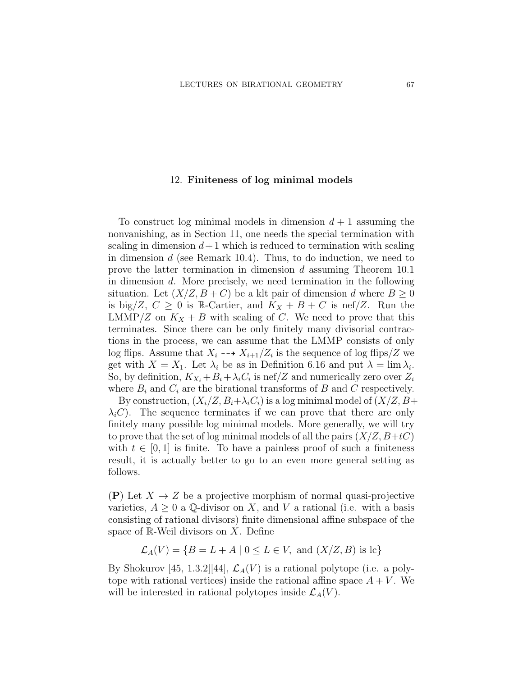### 12. Finiteness of log minimal models

To construct log minimal models in dimension  $d+1$  assuming the nonvanishing, as in Section 11, one needs the special termination with scaling in dimension  $d+1$  which is reduced to termination with scaling in dimension d (see Remark 10.4). Thus, to do induction, we need to prove the latter termination in dimension d assuming Theorem 10.1 in dimension d. More precisely, we need termination in the following situation. Let  $(X/Z, B + C)$  be a klt pair of dimension d where  $B \ge 0$ is big/Z,  $C \geq 0$  is R-Cartier, and  $K_X + B + C$  is nef/Z. Run the LMMP/Z on  $K_X + B$  with scaling of C. We need to prove that this terminates. Since there can be only finitely many divisorial contractions in the process, we can assume that the LMMP consists of only log flips. Assume that  $X_i \dashrightarrow X_{i+1}/Z_i$  is the sequence of log flips/Z we get with  $X = X_1$ . Let  $\lambda_i$  be as in Definition 6.16 and put  $\lambda = \lim \lambda_i$ . So, by definition,  $K_{X_i} + B_i + \lambda_i C_i$  is nef/Z and numerically zero over  $Z_i$ where  $B_i$  and  $C_i$  are the birational transforms of B and C respectively.

By construction,  $(X_i/Z, B_i+\lambda_i C_i)$  is a log minimal model of  $(X/Z, B+i$  $\lambda_i$ C). The sequence terminates if we can prove that there are only finitely many possible log minimal models. More generally, we will try to prove that the set of log minimal models of all the pairs  $(X/Z, B+tC)$ with  $t \in [0, 1]$  is finite. To have a painless proof of such a finiteness result, it is actually better to go to an even more general setting as follows.

(P) Let  $X \to Z$  be a projective morphism of normal quasi-projective varieties,  $A \geq 0$  a Q-divisor on X, and V a rational (i.e. with a basis consisting of rational divisors) finite dimensional affine subspace of the space of  $\mathbb{R}$ -Weil divisors on X. Define

$$
\mathcal{L}_A(V) = \{ B = L + A \mid 0 \le L \in V, \text{ and } (X/Z, B) \text{ is lc} \}
$$

By Shokurov [45, 1.3.2][44],  $\mathcal{L}_A(V)$  is a rational polytope (i.e. a polytope with rational vertices) inside the rational affine space  $A + V$ . We will be interested in rational polytopes inside  $\mathcal{L}_A(V)$ .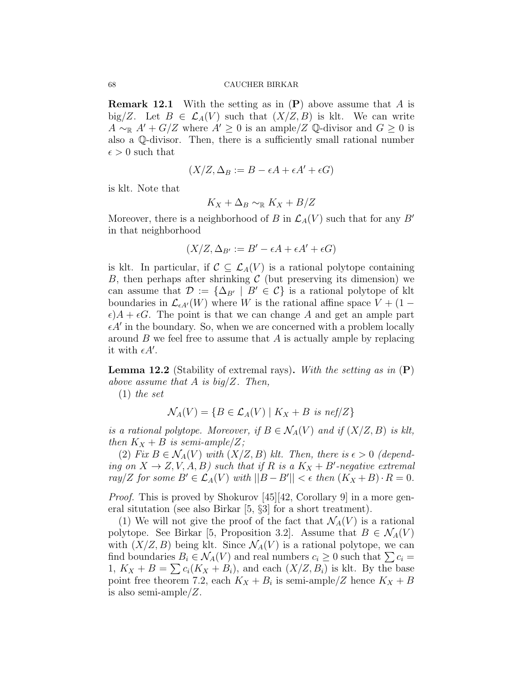**Remark 12.1** With the setting as in  $(P)$  above assume that A is big/Z. Let  $B \in \mathcal{L}_A(V)$  such that  $(X/Z, B)$  is klt. We can write  $A \sim_{\mathbb{R}} A' + G/Z$  where  $A' \geq 0$  is an ample/Z Q-divisor and  $G \geq 0$  is also a Q-divisor. Then, there is a sufficiently small rational number  $\epsilon > 0$  such that

$$
(X/Z, \Delta_B := B - \epsilon A + \epsilon A' + \epsilon G)
$$

is klt. Note that

$$
K_X+\Delta_B\sim_{\mathbb{R}} K_X+B/Z
$$

Moreover, there is a neighborhood of B in  $\mathcal{L}_A(V)$  such that for any B' in that neighborhood

$$
(X/Z, \Delta_{B'} := B' - \epsilon A + \epsilon A' + \epsilon G)
$$

is klt. In particular, if  $\mathcal{C} \subseteq \mathcal{L}_A(V)$  is a rational polytope containing B, then perhaps after shrinking  $C$  (but preserving its dimension) we can assume that  $\mathcal{D} := {\Delta_{B'} | B' \in C}$  is a rational polytope of klt boundaries in  $\mathcal{L}_{\epsilon A'}(W)$  where W is the rational affine space  $V + (1 \epsilon$ ) $A + \epsilon G$ . The point is that we can change A and get an ample part  $\epsilon A'$  in the boundary. So, when we are concerned with a problem locally around  $B$  we feel free to assume that  $A$  is actually ample by replacing it with  $\epsilon A'$ .

**Lemma 12.2** (Stability of extremal rays). With the setting as in  $(P)$ above assume that A is  $big/Z$ . Then,

(1) the set

$$
\mathcal{N}_A(V) = \{ B \in \mathcal{L}_A(V) \mid K_X + B \text{ is nef}/Z \}
$$

is a rational polytope. Moreover, if  $B \in \mathcal{N}_A(V)$  and if  $(X/Z, B)$  is klt, then  $K_X + B$  is semi-ample/Z;

(2) Fix  $B \in \mathcal{N}_A(V)$  with  $(X/Z, B)$  klt. Then, there is  $\epsilon > 0$  (depending on  $X \to Z, V, A, B$ ) such that if R is a  $K_X + B'$ -negative extremal ray/Z for some  $B' \in \mathcal{L}_A(V)$  with  $||B - B'|| < \epsilon$  then  $(K_X + B) \cdot R = 0$ .

*Proof.* This is proved by Shokurov [45][42, Corollary 9] in a more general situtation (see also Birkar [5, §3] for a short treatment).

(1) We will not give the proof of the fact that  $\mathcal{N}_A(V)$  is a rational polytope. See Birkar [5, Proposition 3.2]. Assume that  $B \in \mathcal{N}_A(V)$ with  $(X/Z, B)$  being klt. Since  $\mathcal{N}_A(V)$  is a rational polytope, we can find boundaries  $B_i \in \mathcal{N}_A(V)$  and real numbers  $c_i \geq 0$  such that  $\sum c_i =$ 1,  $K_X + B = \sum c_i (K_X + B_i)$ , and each  $(X/Z, B_i)$  is klt. By the base point free theorem 7.2, each  $K_X + B_i$  is semi-ample/Z hence  $K_X + B_i$ is also semi-ample/Z.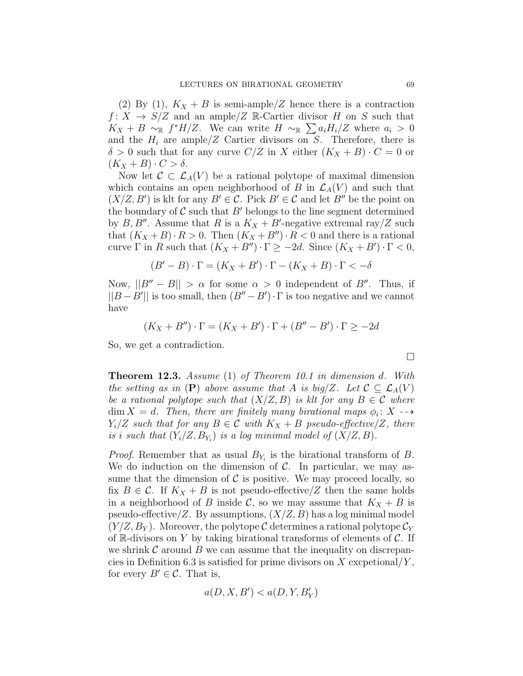(2) By (1),  $K_X + B$  is semi-ample/Z hence there is a contraction  $f: X \to S/Z$  and an ample/Z R-Cartier divisor H on S such that  $K_X + B \sim_{\mathbb{R}} f^*H/Z$ . We can write  $H \sim_{\mathbb{R}} \sum a_i H_i/Z$  where  $a_i > 0$ and the  $H_i$  are ample/Z Cartier divisors on S. Therefore, there is  $\delta > 0$  such that for any curve  $C/Z$  in X either  $(K_X + B) \cdot C = 0$  or  $(K_X + B) \cdot C > \delta.$ 

Now let  $\mathcal{C} \subset \mathcal{L}_A(V)$  be a rational polytope of maximal dimension which contains an open neighborhood of B in  $\mathcal{L}_A(V)$  and such that  $(X/Z, B')$  is klt for any  $B' \in \mathcal{C}$ . Pick  $B' \in \mathcal{C}$  and let  $B''$  be the point on the boundary of  $C$  such that  $B'$  belongs to the line segment determined by  $B, B''$ . Assume that R is a  $K_X + B'$ -negative extremal ray/Z such that  $(K_X + B) \cdot R > 0$ . Then  $(K_X + B'') \cdot R < 0$  and there is a rational curve  $\Gamma$  in R such that  $(K_X + B'') \cdot \Gamma \ge -2d$ . Since  $(K_X + B') \cdot \Gamma < 0$ ,

$$
(B'-B)\cdot\Gamma=(K_X+B')\cdot\Gamma-(K_X+B)\cdot\Gamma<-\delta
$$

Now,  $||B'' - B|| > \alpha$  for some  $\alpha > 0$  independent of B''. Thus, if  $||B - B'||$  is too small, then  $(B'' - B') \cdot \Gamma$  is too negative and we cannot have

$$
(K_X + B'') \cdot \Gamma = (K_X + B') \cdot \Gamma + (B'' - B') \cdot \Gamma \ge -2d
$$

So, we get a contradiction.

**Theorem 12.3.** Assume (1) of Theorem 10.1 in dimension d. With the setting as in  $(P)$  above assume that A is big/Z. Let  $C \subseteq \mathcal{L}_A(V)$ be a rational polytope such that  $(X/Z, B)$  is klt for any  $B \in \mathcal{C}$  where  $\dim X = d$ . Then, there are finitely many birational maps  $\phi_i : X \dashrightarrow$  $Y_i/Z$  such that for any  $B \in \mathcal{C}$  with  $K_X + B$  pseudo-effective/Z, there is i such that  $(Y_i/Z, B_{Y_i})$  is a log minimal model of  $(X/Z, B)$ .

*Proof.* Remember that as usual  $B_{Y_i}$  is the birational transform of B. We do induction on the dimension of  $\mathcal{C}$ . In particular, we may assume that the dimension of  $\mathcal C$  is positive. We may proceed locally, so fix  $B \in \mathcal{C}$ . If  $K_X + B$  is not pseudo-effective/Z then the same holds in a neighborhood of B inside C, so we may assume that  $K_X + B$  is pseudo-effective/Z. By assumptions,  $(X/Z, B)$  has a log minimal model  $(Y/Z, B_Y)$ . Moreover, the polytope C determines a rational polytope  $\mathcal{C}_Y$ of R-divisors on Y by taking birational transforms of elements of  $\mathcal{C}$ . If we shrink  $\mathcal C$  around  $B$  we can assume that the inequality on discrepancies in Definition 6.3 is satisfied for prime divisors on X excpetional/ $Y$ , for every  $B' \in \mathcal{C}$ . That is,

$$
a(D,X,B^{\prime}) < a(D,Y,B_Y^{\prime})
$$

$$
\Box
$$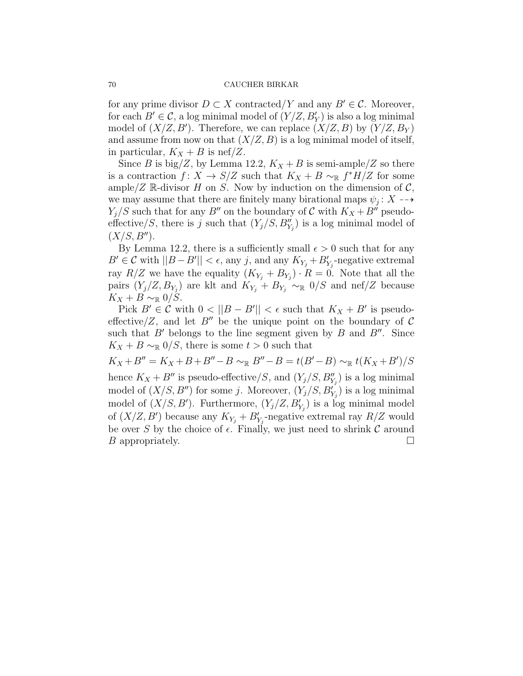for any prime divisor  $D \subset X$  contracted/Y and any  $B' \in \mathcal{C}$ . Moreover, for each  $B' \in \mathcal{C}$ , a log minimal model of  $(Y/Z, B'_Y)$  is also a log minimal model of  $(X/Z, B')$ . Therefore, we can replace  $(X/Z, B)$  by  $(Y/Z, B<sub>Y</sub>)$ and assume from now on that  $(X/Z, B)$  is a log minimal model of itself, in particular,  $K_X + B$  is nef/Z.

Since B is big/Z, by Lemma 12.2,  $K_X + B$  is semi-ample/Z so there is a contraction  $f: X \to S/Z$  such that  $K_X + B \sim_{\mathbb{R}} f^*H/Z$  for some ample/Z R-divisor H on S. Now by induction on the dimension of  $\mathcal{C}$ , we may assume that there are finitely many birational maps  $\psi_j \colon X \dashrightarrow$  $Y_i/S$  such that for any B'' on the boundary of C with  $K_X + B''$  pseudoeffective/S, there is j such that  $(Y_j/S, B''_{Y_j})$  is a log minimal model of  $(X/S, B'')$ .

By Lemma 12.2, there is a sufficiently small  $\epsilon > 0$  such that for any  $B' \in \mathcal{C}$  with  $||B - B'|| < \epsilon$ , any j, and any  $K_{Y_j} + B'_{Y_j}$ -negative extremal ray  $R/Z$  we have the equality  $(K_{Y_j} + B_{Y_j}) \cdot R = 0$ . Note that all the pairs  $(Y_j/Z, B_{Y_j})$  are klt and  $K_{Y_j} + B_{Y_j} \sim_{\mathbb{R}} 0/S$  and nef/Z because  $K_X + B \sim_{\mathbb{R}} 0/S$ .

Pick  $B' \in \mathcal{C}$  with  $0 < ||B - B'|| < \epsilon$  such that  $K_X + B'$  is pseudoeffective/Z, and let B<sup> $\prime\prime$ </sup> be the unique point on the boundary of C such that  $B'$  belongs to the line segment given by B and  $B''$ . Since  $K_X + B \sim_{\mathbb{R}} 0/S$ , there is some  $t > 0$  such that

 $K_X + B'' = K_X + B + B'' - B \sim_{\mathbb{R}} B'' - B = t(B' - B) \sim_{\mathbb{R}} t(K_X + B')/S$ 

hence  $K_X + B''$  is pseudo-effective/S, and  $(Y_j/S, B''_{Y_j})$  is a log minimal model of  $(X/S, B'')$  for some j. Moreover,  $(Y_j/S, B'_{Y_j})$  is a log minimal model of  $(X/S, B')$ . Furthermore,  $(Y_j/Z, B'_{Y_j})$  is a log minimal model of  $(X/Z, B')$  because any  $K_{Y_j} + B'_{Y_j}$ -negative extremal ray  $R/Z$  would be over S by the choice of  $\epsilon$ . Finally, we just need to shrink C around  $B$  appropriately.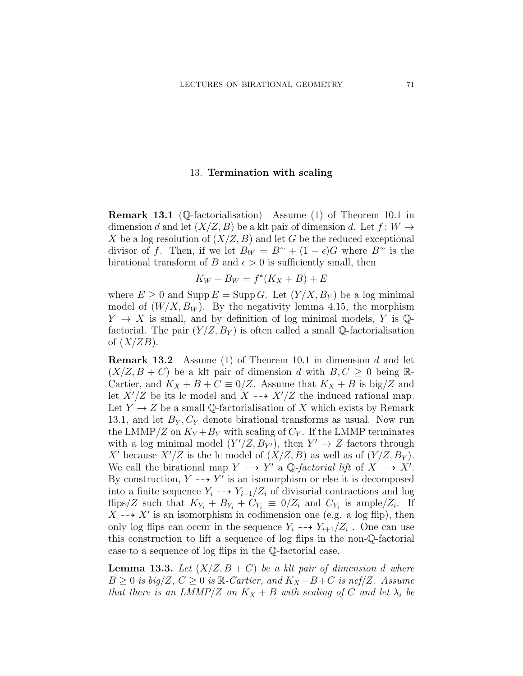## 13. Termination with scaling

Remark 13.1 (Q-factorialisation) Assume (1) of Theorem 10.1 in dimension d and let  $(X/Z, B)$  be a klt pair of dimension d. Let  $f: W \rightarrow$ X be a log resolution of  $(X/Z, B)$  and let G be the reduced exceptional divisor of f. Then, if we let  $B_W = B^{\sim} + (1 - \epsilon)G$  where  $B^{\sim}$  is the birational transform of B and  $\epsilon > 0$  is sufficiently small, then

$$
K_W + B_W = f^*(K_X + B) + E
$$

where  $E \geq 0$  and Supp  $E = \text{Supp } G$ . Let  $(Y/X, B_Y)$  be a log minimal model of  $(W/X, B_W)$ . By the negativity lemma 4.15, the morphism  $Y \rightarrow X$  is small, and by definition of log minimal models, Y is Qfactorial. The pair  $(Y/Z, B_Y)$  is often called a small Q-factorialisation of  $(X/ZB)$ .

**Remark 13.2** Assume (1) of Theorem 10.1 in dimension d and let  $(X/Z, B + C)$  be a klt pair of dimension d with  $B, C \geq 0$  being R-Cartier, and  $K_X + B + C \equiv 0/Z$ . Assume that  $K_X + B$  is big/Z and let  $X'/Z$  be its lc model and  $X \dashrightarrow X'/Z$  the induced rational map. Let  $Y \to Z$  be a small Q-factorialisation of X which exists by Remark 13.1, and let  $B_Y, C_Y$  denote birational transforms as usual. Now run the LMMP/Z on  $K_Y + B_Y$  with scaling of  $C_Y$ . If the LMMP terminates with a log minimal model  $(Y'/Z, B_{Y'})$ , then  $Y' \to Z$  factors through X' because  $X'/Z$  is the lc model of  $(X/Z, B)$  as well as of  $(Y/Z, B_Y)$ . We call the birational map  $Y \dashrightarrow Y'$  a Q-factorial lift of  $X \dashrightarrow X'$ . By construction,  $Y \dashrightarrow Y'$  is an isomorphism or else it is decomposed into a finite sequence  $Y_i \dashrightarrow Y_{i+1}/Z_i$  of divisorial contractions and log flips/Z such that  $K_{Y_i} + B_{Y_i} + C_{Y_i} \equiv 0/Z_i$  and  $C_{Y_i}$  is ample/Z<sub>i</sub>. If  $X \dashrightarrow X'$  is an isomorphism in codimension one (e.g. a log flip), then only log flips can occur in the sequence  $Y_i \dashrightarrow Y_{i+1}/Z_i$ . One can use this construction to lift a sequence of log flips in the non-Q-factorial case to a sequence of log flips in the Q-factorial case.

**Lemma 13.3.** Let  $(X/Z, B + C)$  be a klt pair of dimension d where  $B \geq 0$  is big/Z,  $C \geq 0$  is  $\mathbb{R}$ -Cartier, and  $K_X + B + C$  is nef/Z. Assume that there is an LMMP/Z on  $K_X + B$  with scaling of C and let  $\lambda_i$  be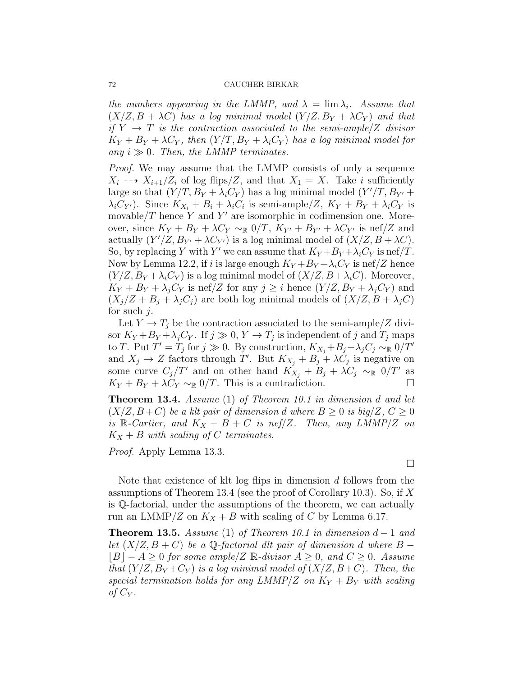the numbers appearing in the LMMP, and  $\lambda = \lim_{i} \lambda_i$ . Assume that  $(X/Z, B + \lambda C)$  has a log minimal model  $(Y/Z, B_Y + \lambda C_Y)$  and that if  $Y \rightarrow T$  is the contraction associated to the semi-ample/Z divisor  $K_Y + B_Y + \lambda C_Y$ , then  $(Y/T, B_Y + \lambda_i C_Y)$  has a log minimal model for any  $i \gg 0$ . Then, the LMMP terminates.

Proof. We may assume that the LMMP consists of only a sequence  $X_i \dashrightarrow X_{i+1}/Z_i$  of log flips/Z, and that  $X_1 = X$ . Take i sufficiently large so that  $(Y/T, B_Y + \lambda_i C_Y)$  has a log minimal model  $(Y'/T, B_{Y'} + \lambda_i C_Y)$  $\lambda_i C_{Y'}$ ). Since  $K_{X_i} + B_i + \lambda_i C_i$  is semi-ample/Z,  $K_Y + B_Y + \lambda_i C_Y$  is movable/ $T$  hence  $Y$  and  $Y'$  are isomorphic in codimension one. Moreover, since  $K_Y + B_Y + \lambda C_Y \sim_{\mathbb{R}} 0/T$ ,  $K_{Y'} + B_{Y'} + \lambda C_{Y'}$  is nef/Z and actually  $(Y'/Z, B_{Y'} + \lambda C_{Y'})$  is a log minimal model of  $(X/Z, B + \lambda C)$ . So, by replacing Y with Y' we can assume that  $K_Y + B_Y + \lambda_i C_Y$  is nef/T. Now by Lemma 12.2, if i is large enough  $K_Y + B_Y + \lambda_i C_Y$  is nef/Z hence  $(Y/Z, B_Y + \lambda_i C_Y)$  is a log minimal model of  $(X/Z, B + \lambda_i C)$ . Moreover,  $K_Y + B_Y + \lambda_j C_Y$  is nef/Z for any  $j \geq i$  hence  $(Y/Z, B_Y + \lambda_j C_Y)$  and  $(X_i/Z + B_i + \lambda_i C_i)$  are both log minimal models of  $(X/Z, B + \lambda_i C)$ for such  $i$ .

Let  $Y \to T_i$  be the contraction associated to the semi-ample/Z divisor  $K_Y + B_Y + \lambda_j C_Y$ . If  $j \gg 0, Y \to T_j$  is independent of j and  $T_j$  maps to T. Put  $T' = T_j$  for  $j \gg 0$ . By construction,  $K_{X_j} + B_j + \lambda_j C_j \sim_{\mathbb{R}} 0/T'$ and  $X_j \to Z$  factors through T'. But  $K_{X_j} + B_j + \lambda C_j$  is negative on some curve  $C_j/T'$  and on other hand  $K_{X_j} + B_j + \lambda C_j \sim_R 0/T'$  as  $K_Y + B_Y + \lambda C_Y \sim_{\mathbb{R}} 0/T$ . This is a contradiction.

Theorem 13.4. Assume (1) of Theorem 10.1 in dimension d and let  $(X/Z, B+C)$  be a klt pair of dimension d where  $B \geq 0$  is big/Z,  $C \geq 0$ is R-Cartier, and  $K_X + B + C$  is nef/Z. Then, any LMMP/Z on  $K_X + B$  with scaling of C terminates.

Proof. Apply Lemma 13.3.

Note that existence of klt log flips in dimension d follows from the assumptions of Theorem 13.4 (see the proof of Corollary 10.3). So, if  $X$ is Q-factorial, under the assumptions of the theorem, we can actually run an LMMP/Z on  $K_X + B$  with scaling of C by Lemma 6.17.

**Theorem 13.5.** Assume (1) of Theorem 10.1 in dimension  $d-1$  and let  $(X/Z, B + C)$  be a Q-factorial dlt pair of dimension d where  $B |B| - A \geq 0$  for some ample/Z R-divisor  $A \geq 0$ , and  $C \geq 0$ . Assume that  $(Y/Z, B_Y+C_Y)$  is a log minimal model of  $(X/Z, B+C)$ . Then, the special termination holds for any LMMP/Z on  $K_Y + B_Y$  with scaling of  $C_Y$ .

 $\Box$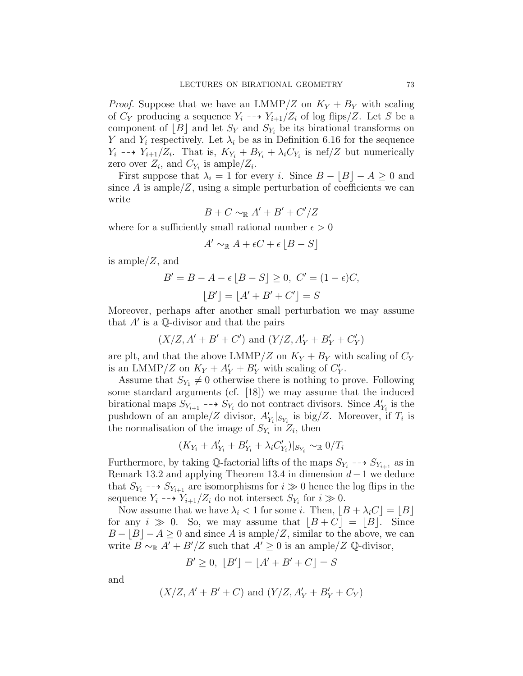*Proof.* Suppose that we have an LMMP/Z on  $K_Y + B_Y$  with scaling of  $C_Y$  producing a sequence  $Y_i \dashrightarrow Y_{i+1}/Z_i$  of log flips/Z. Let S be a component of  $|B|$  and let  $S_Y$  and  $S_{Y_i}$  be its birational transforms on Y and  $Y_i$  respectively. Let  $\lambda_i$  be as in Definition 6.16 for the sequence  $Y_i \dashrightarrow Y_{i+1}/Z_i$ . That is,  $K_{Y_i} + B_{Y_i} + \lambda_i C_{Y_i}$  is nef/Z but numerically zero over  $Z_i$ , and  $C_{Y_i}$  is ample/ $Z_i$ .

First suppose that  $\lambda_i = 1$  for every i. Since  $B - \lfloor B \rfloor - A \geq 0$  and since A is ample/Z, using a simple perturbation of coefficients we can write

$$
B + C \sim_{\mathbb{R}} A' + B' + C'/Z
$$

where for a sufficiently small rational number  $\epsilon > 0$ 

$$
A' \sim_{\mathbb{R}} A + \epsilon C + \epsilon \left[ B - S \right]
$$

is ample/Z, and

$$
B' = B - A - \epsilon [B - S] \ge 0, \ C' = (1 - \epsilon)C,
$$
  

$$
[B'] = [A' + B' + C'] = S
$$

Moreover, perhaps after another small perturbation we may assume that  $A'$  is a Q-divisor and that the pairs

$$
(X/Z, A' + B' + C')
$$
 and  $(Y/Z, A'_{Y} + B'_{Y} + C'_{Y})$ 

are plt, and that the above LMMP/Z on  $K_Y + B_Y$  with scaling of  $C_Y$ is an LMMP/Z on  $K_Y + A'_Y + B'_Y$  with scaling of  $C'_Y$ .

Assume that  $S_{Y_1} \neq 0$  otherwise there is nothing to prove. Following some standard arguments (cf. [18]) we may assume that the induced birational maps  $S_{Y_{i+1}} \dashrightarrow S_{Y_i}$  do not contract divisors. Since  $A'_{Y_i}$  is the pushdown of an ample/Z divisor,  $A'_{Y_i}|_{S_{Y_i}}$  is big/Z. Moreover, if  $T_i$  is the normalisation of the image of  $S_{Y_i}$  in  $Z_i$ , then

$$
(K_{Y_i} + A'_{Y_i} + B'_{Y_i} + \lambda_i C'_{Y_i})|_{S_{Y_i}} \sim_{\mathbb{R}} 0/T_i
$$

Furthermore, by taking  $\mathbb{Q}$ -factorial lifts of the maps  $S_{Y_i} \dashrightarrow S_{Y_{i+1}}$  as in Remark 13.2 and applying Theorem 13.4 in dimension  $d-1$  we deduce that  $S_{Y_i} \dashrightarrow S_{Y_{i+1}}$  are isomorphisms for  $i \gg 0$  hence the log flips in the sequence  $Y_i \dashrightarrow Y_{i+1}/Z_i$  do not intersect  $S_{Y_i}$  for  $i \gg 0$ .

Now assume that we have  $\lambda_i < 1$  for some i. Then,  $|B + \lambda_i C| = |B|$ for any  $i \gg 0$ . So, we may assume that  $|B + C| = |B|$ . Since  $B - |B| - A \geq 0$  and since A is ample/Z, similar to the above, we can write  $B \sim_{\mathbb{R}} A' + B'/Z$  such that  $A' \geq 0$  is an ample/Z Q-divisor,

$$
B' \ge 0, \ [B'] = [A' + B' + C] = S
$$

and

$$
(X/Z, A' + B' + C)
$$
 and  $(Y/Z, A'_{Y} + B'_{Y} + C_{Y})$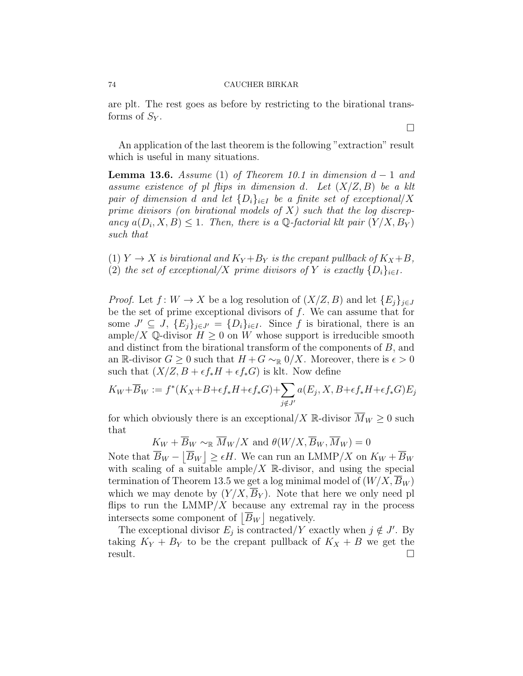are plt. The rest goes as before by restricting to the birational transforms of  $S_Y$ .

An application of the last theorem is the following "extraction" result which is useful in many situations.

**Lemma 13.6.** Assume (1) of Theorem 10.1 in dimension  $d-1$  and assume existence of pl flips in dimension d. Let  $(X/Z, B)$  be a klt pair of dimension d and let  $\{D_i\}_{i\in I}$  be a finite set of exceptional/X prime divisors (on birational models of  $X$ ) such that the log discrepancy  $a(D_i, X, B) \leq 1$ . Then, there is a Q-factorial klt pair  $(Y/X, B_Y)$ such that

(1)  $Y \to X$  is birational and  $K_Y + B_Y$  is the crepant pullback of  $K_X + B$ , (2) the set of exceptional/X prime divisors of Y is exactly  $\{D_i\}_{i\in I}$ .

*Proof.* Let  $f: W \to X$  be a log resolution of  $(X/Z, B)$  and let  $\{E_i\}_{i \in J}$ be the set of prime exceptional divisors of  $f$ . We can assume that for some  $J' \subseteq J$ ,  $\{E_j\}_{j \in J'} = \{D_i\}_{i \in I}$ . Since f is birational, there is an ample/X Q-divisor  $H \geq 0$  on W whose support is irreducible smooth and distinct from the birational transform of the components of B, and an R-divisor  $G \geq 0$  such that  $H + G \sim_{\mathbb{R}} 0/X$ . Moreover, there is  $\epsilon > 0$ such that  $(X/Z, B + \epsilon f_* H + \epsilon f_* G)$  is klt. Now define

$$
K_W + \overline{B}_W := f^*(K_X + B + \epsilon f_* H + \epsilon f_* G) + \sum_{j \notin J'} a(E_j, X, B + \epsilon f_* H + \epsilon f_* G) E_j
$$

for which obviously there is an exceptional/X R-divisor  $\overline{M}_W \geq 0$  such that

 $K_W + \overline{B}_W \sim_{\mathbb{R}} \overline{M}_W/X$  and  $\theta(W/X, \overline{B}_W, \overline{M}_W) = 0$ 

Note that  $\overline{B}_W - \left| \overline{B}_W \right| \ge \epsilon H$ . We can run an LMMP/X on  $K_W + \overline{B}_W$ with scaling of a suitable ample/ $X$  R-divisor, and using the special termination of Theorem 13.5 we get a log minimal model of  $(W/X, B_W)$ which we may denote by  $(Y/X, \overline{B}_Y)$ . Note that here we only need pl flips to run the  $LMMP/X$  because any extremal ray in the process intersects some component of  $|\overline{B}_W|$  negatively.

The exceptional divisor  $E_j$  is contracted/Y exactly when  $j \notin J'$ . By taking  $K_Y + B_Y$  to be the crepant pullback of  $K_X + B$  we get the result. □

 $\Box$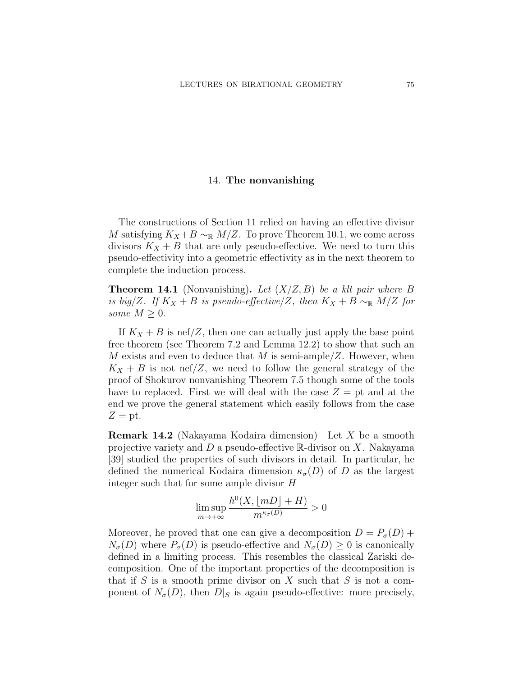## 14. The nonvanishing

The constructions of Section 11 relied on having an effective divisor M satisfying  $K_X + B \sim_{\mathbb{R}} M/Z$ . To prove Theorem 10.1, we come across divisors  $K_X + B$  that are only pseudo-effective. We need to turn this pseudo-effectivity into a geometric effectivity as in the next theorem to complete the induction process.

**Theorem 14.1** (Nonvanishing). Let  $(X/Z, B)$  be a klt pair where B is big/Z. If  $K_X + B$  is pseudo-effective/Z, then  $K_X + B \sim_{\mathbb{R}} M/Z$  for some  $M \geq 0$ .

If  $K_X + B$  is nef/Z, then one can actually just apply the base point free theorem (see Theorem 7.2 and Lemma 12.2) to show that such an M exists and even to deduce that M is semi-ample/Z. However, when  $K_X + B$  is not nef/Z, we need to follow the general strategy of the proof of Shokurov nonvanishing Theorem 7.5 though some of the tools have to replaced. First we will deal with the case  $Z =$  pt and at the end we prove the general statement which easily follows from the case  $Z = pt$ .

Remark 14.2 (Nakayama Kodaira dimension) Let X be a smooth projective variety and  $D$  a pseudo-effective R-divisor on  $X$ . Nakayama [39] studied the properties of such divisors in detail. In particular, he defined the numerical Kodaira dimension  $\kappa_{\sigma}(D)$  of D as the largest integer such that for some ample divisor H

$$
\limsup_{m \to +\infty} \frac{h^0(X, \lfloor mD \rfloor + H)}{m^{\kappa_\sigma(D)}} > 0
$$

Moreover, he proved that one can give a decomposition  $D = P_{\sigma}(D)$  +  $N_{\sigma}(D)$  where  $P_{\sigma}(D)$  is pseudo-effective and  $N_{\sigma}(D) \geq 0$  is canonically defined in a limiting process. This resembles the classical Zariski decomposition. One of the important properties of the decomposition is that if  $S$  is a smooth prime divisor on  $X$  such that  $S$  is not a component of  $N_{\sigma}(D)$ , then  $D|_{S}$  is again pseudo-effective: more precisely,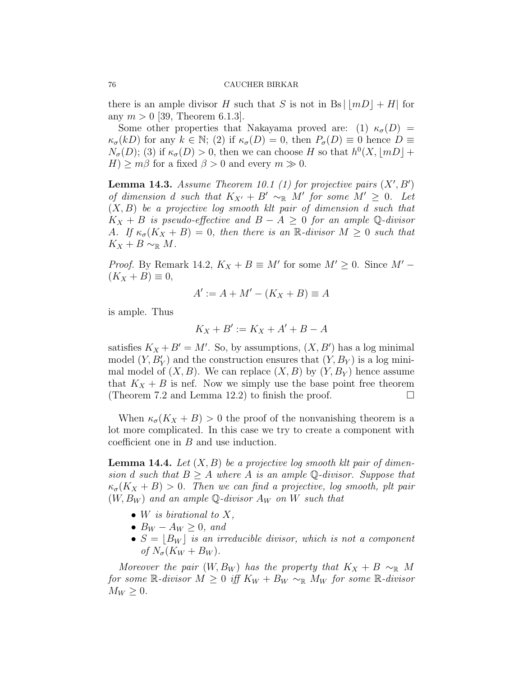there is an ample divisor H such that S is not in Bs  $\vert mD \vert + H$  for any  $m > 0$  [39, Theorem 6.1.3].

Some other properties that Nakayama proved are: (1)  $\kappa_{\sigma}(D)$  =  $\kappa_{\sigma}(kD)$  for any  $k \in \mathbb{N}$ ; (2) if  $\kappa_{\sigma}(D) = 0$ , then  $P_{\sigma}(D) \equiv 0$  hence  $D \equiv$  $N_{\sigma}(D)$ ; (3) if  $\kappa_{\sigma}(D) > 0$ , then we can choose H so that  $h^0(X, \lfloor mD \rfloor +$  $H$ )  $\geq$  m $\beta$  for a fixed  $\beta$   $>$  0 and every  $m \gg 0$ .

**Lemma 14.3.** Assume Theorem 10.1 (1) for projective pairs  $(X', B')$ of dimension d such that  $K_{X'} + B' \sim_{\mathbb{R}} M'$  for some  $M' \geq 0$ . Let  $(X, B)$  be a projective log smooth klt pair of dimension d such that  $K_X + B$  is pseudo-effective and  $B - A \geq 0$  for an ample Q-divisor A. If  $\kappa_{\sigma}(K_X + B) = 0$ , then there is an R-divisor  $M \geq 0$  such that  $K_X + B \sim_{\mathbb{R}} M$ .

*Proof.* By Remark 14.2,  $K_X + B \equiv M'$  for some  $M' \geq 0$ . Since  $M' (K_X + B) \equiv 0,$ 

$$
A' := A + M' - (K_X + B) \equiv A
$$

is ample. Thus

$$
K_X + B' := K_X + A' + B - A
$$

satisfies  $K_X + B' = M'$ . So, by assumptions,  $(X, B')$  has a log minimal model  $(Y, B'_Y)$  and the construction ensures that  $(Y, B_Y)$  is a log minimal model of  $(X, B)$ . We can replace  $(X, B)$  by  $(Y, B<sub>Y</sub>)$  hence assume that  $K_X + B$  is nef. Now we simply use the base point free theorem (Theorem 7.2 and Lemma 12.2) to finish the proof.  $\Box$ 

When  $\kappa_{\sigma}(K_X + B) > 0$  the proof of the nonvanishing theorem is a lot more complicated. In this case we try to create a component with coefficient one in B and use induction.

**Lemma 14.4.** Let  $(X, B)$  be a projective log smooth klt pair of dimension d such that  $B \geq A$  where A is an ample Q-divisor. Suppose that  $\kappa_{\sigma}(K_X + B) > 0$ . Then we can find a projective, log smooth, plt pair  $(W, B_W)$  and an ample Q-divisor  $A_W$  on W such that

- W is birational to  $X$ ,
- $B_W A_W \geq 0$ , and
- $S = \lfloor B_W \rfloor$  is an irreducible divisor, which is not a component of  $N_{\sigma}(K_W + B_W)$ .

Moreover the pair  $(W, B_W)$  has the property that  $K_X + B \sim_{\mathbb{R}} M$ for some R-divisor  $M \geq 0$  iff  $K_W + B_W \sim_{\mathbb{R}} M_W$  for some R-divisor  $M_W \geq 0$ .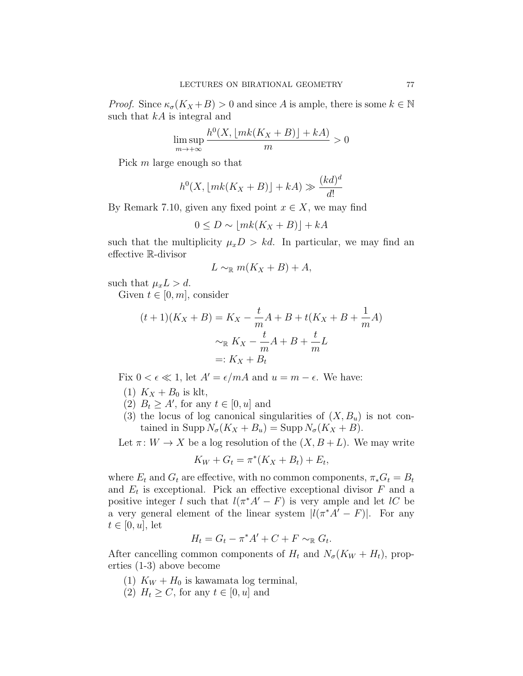*Proof.* Since  $\kappa_{\sigma}(K_X + B) > 0$  and since A is ample, there is some  $k \in \mathbb{N}$ such that  $kA$  is integral and

$$
\limsup_{m \to +\infty} \frac{h^0(X, \lfloor mk(K_X + B) \rfloor + kA)}{m} > 0
$$

Pick m large enough so that

$$
h^{0}(X, \lfloor mk(K_X + B) \rfloor + kA) \gg \frac{(kd)^{d}}{d!}
$$

By Remark 7.10, given any fixed point  $x \in X$ , we may find

$$
0 \le D \sim \lfloor mk(K_X + B) \rfloor + kA
$$

such that the multiplicity  $\mu_x D > k d$ . In particular, we may find an effective R-divisor

$$
L \sim_{\mathbb{R}} m(K_X + B) + A,
$$

such that  $\mu_x L > d$ .

Given  $t \in [0, m]$ , consider

$$
(t+1)(K_X + B) = K_X - \frac{t}{m}A + B + t(K_X + B + \frac{1}{m}A)
$$
  

$$
\sim_{\mathbb{R}} K_X - \frac{t}{m}A + B + \frac{t}{m}L
$$
  

$$
=: K_X + B_t
$$

Fix  $0 < \epsilon \ll 1$ , let  $A' = \epsilon/mA$  and  $u = m - \epsilon$ . We have:

- (1)  $K_X + B_0$  is klt,
- (2)  $B_t \geq A'$ , for any  $t \in [0, u]$  and
- (3) the locus of log canonical singularities of  $(X, B_u)$  is not contained in Supp  $N_{\sigma}(K_X + B_u) = \text{Supp } N_{\sigma}(K_X + B).$

Let  $\pi: W \to X$  be a log resolution of the  $(X, B+L)$ . We may write

$$
K_W + G_t = \pi^*(K_X + B_t) + E_t,
$$

where  $E_t$  and  $G_t$  are effective, with no common components,  $\pi_* G_t = B_t$ and  $E_t$  is exceptional. Pick an effective exceptional divisor  $F$  and a positive integer l such that  $l(\pi^*A'-F)$  is very ample and let lC be a very general element of the linear system  $|l(\pi^*A' - F)|$ . For any  $t \in [0, u]$ , let

$$
H_t = G_t - \pi^* A' + C + F \sim_{\mathbb{R}} G_t.
$$

After cancelling common components of  $H_t$  and  $N_{\sigma}(K_W + H_t)$ , properties (1-3) above become

- (1)  $K_W + H_0$  is kawamata log terminal,
- (2)  $H_t \ge C$ , for any  $t \in [0, u]$  and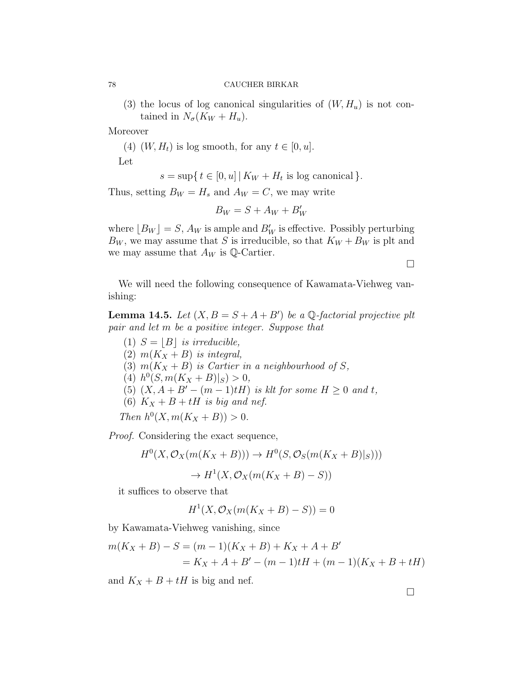(3) the locus of log canonical singularities of  $(W, H_u)$  is not contained in  $N_{\sigma}(K_W + H_u)$ .

Moreover

(4)  $(W, H_t)$  is log smooth, for any  $t \in [0, u]$ . Let

 $s = \sup\{t \in [0, u] | K_W + H_t \text{ is log canonical}\}.$ 

Thus, setting  $B_W = H_s$  and  $A_W = C$ , we may write

$$
B_W = S + A_W + B'_W
$$

where  $[B_W] = S$ ,  $A_W$  is ample and  $B'_W$  is effective. Possibly perturbing  $B_W$ , we may assume that S is irreducible, so that  $K_W + B_W$  is plt and we may assume that  $A_W$  is  $\mathbb{Q}$ -Cartier.

 $\Box$ 

We will need the following consequence of Kawamata-Viehweg vanishing:

**Lemma 14.5.** Let  $(X, B = S + A + B')$  be a Q-factorial projective plt pair and let m be a positive integer. Suppose that

(1)  $S = |B|$  is irreducible, (2)  $m(K_X + B)$  is integral, (3)  $m(K_X + B)$  is Cartier in a neighbourhood of S, (4)  $h^0(S, m(K_X + B)|_S) > 0$ , (5)  $(X, A + B' - (m - 1)tH)$  is klt for some  $H \ge 0$  and t, (6)  $K_X + B + tH$  is big and nef. Then  $h^0(X, m(K_X + B)) > 0$ .

Proof. Considering the exact sequence,

$$
H^{0}(X, \mathcal{O}_{X}(m(K_{X} + B))) \to H^{0}(S, \mathcal{O}_{S}(m(K_{X} + B)|_{S})))
$$

$$
\to H^{1}(X, \mathcal{O}_{X}(m(K_{X} + B) - S))
$$

it suffices to observe that

 $H^1(X, \mathcal{O}_X(m(K_X + B) - S)) = 0$ 

by Kawamata-Viehweg vanishing, since

$$
m(K_X + B) - S = (m - 1)(K_X + B) + K_X + A + B'
$$
  
=  $K_X + A + B' - (m - 1)tH + (m - 1)(K_X + B + tH)$ 

and  $K_X + B + tH$  is big and nef.

 $\Box$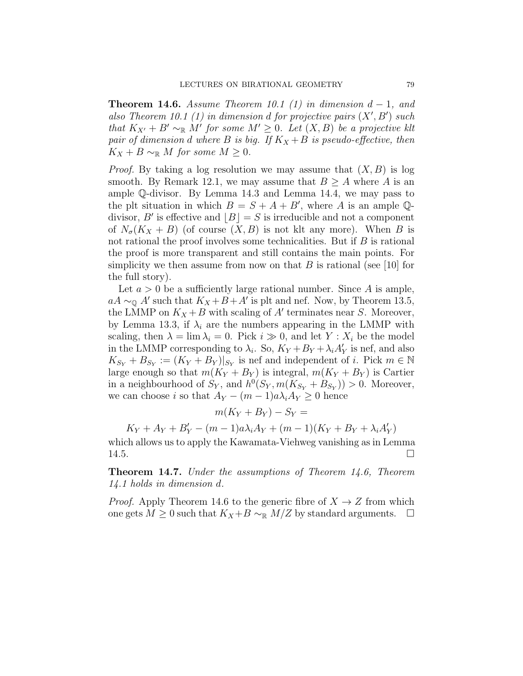**Theorem 14.6.** Assume Theorem 10.1 (1) in dimension  $d-1$ , and also Theorem 10.1 (1) in dimension d for projective pairs  $(X', B')$  such that  $K_{X'} + B' \sim_{\mathbb{R}} M'$  for some  $M' \geq 0$ . Let  $(X, B)$  be a projective klt pair of dimension d where B is big. If  $K_X + B$  is pseudo-effective, then  $K_X + B \sim_{\mathbb{R}} M$  for some  $M \geq 0$ .

*Proof.* By taking a log resolution we may assume that  $(X, B)$  is log smooth. By Remark 12.1, we may assume that  $B \geq A$  where A is an ample Q-divisor. By Lemma 14.3 and Lemma 14.4, we may pass to the plt situation in which  $B = S + A + B'$ , where A is an ample Qdivisor, B' is effective and  $\lfloor B \rfloor = S$  is irreducible and not a component of  $N_{\sigma}(K_X + B)$  (of course  $(X, B)$  is not klt any more). When B is not rational the proof involves some technicalities. But if  $B$  is rational the proof is more transparent and still contains the main points. For simplicity we then assume from now on that B is rational (see [10] for the full story).

Let  $a > 0$  be a sufficiently large rational number. Since A is ample,  $aA \sim_{\mathbb{Q}} A'$  such that  $K_X + B + A'$  is plt and nef. Now, by Theorem 13.5, the LMMP on  $K_X + B$  with scaling of  $A'$  terminates near S. Moreover, by Lemma 13.3, if  $\lambda_i$  are the numbers appearing in the LMMP with scaling, then  $\lambda = \lim_{i \to i} \lambda_i = 0$ . Pick  $i \gg 0$ , and let  $Y : X_i$  be the model in the LMMP corresponding to  $\lambda_i$ . So,  $K_Y + B_Y + \lambda_i A'_Y$  is nef, and also  $K_{S_Y} + B_{S_Y} := (K_Y + B_Y)|_{S_Y}$  is nef and independent of *i*. Pick  $m \in \mathbb{N}$ large enough so that  $m(K_Y + B_Y)$  is integral,  $m(K_Y + B_Y)$  is Cartier in a neighbourhood of  $S_Y$ , and  $h^0(S_Y, m(K_{S_Y} + B_{S_Y})) > 0$ . Moreover, we can choose i so that  $A_Y - (m-1)a\lambda_i A_Y \geq 0$  hence

$$
m(K_Y + B_Y) - S_Y =
$$

 $K_Y + A_Y + B'_Y - (m-1)a\lambda_i A_Y + (m-1)(K_Y + B_Y + \lambda_i A'_Y)$ 

which allows us to apply the Kawamata-Viehweg vanishing as in Lemma 14.5.

**Theorem 14.7.** Under the assumptions of Theorem 14.6, Theorem 14.1 holds in dimension d.

*Proof.* Apply Theorem 14.6 to the generic fibre of  $X \rightarrow Z$  from which one gets  $M \geq 0$  such that  $K_X + B \sim_{\mathbb{R}} M/Z$  by standard arguments.  $\Box$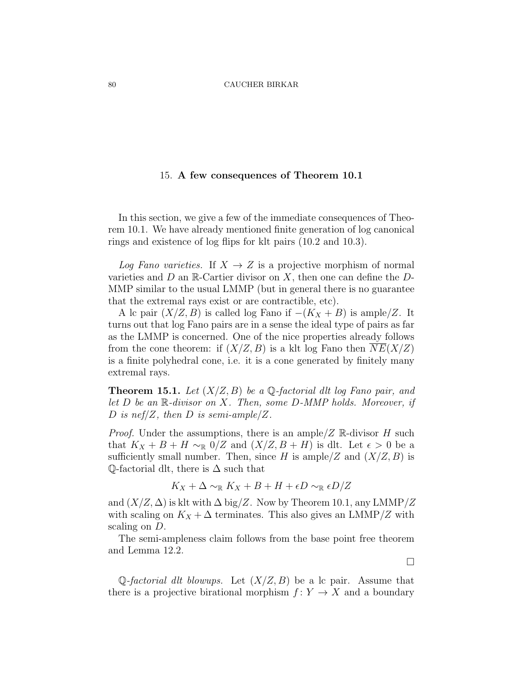# 15. A few consequences of Theorem 10.1

In this section, we give a few of the immediate consequences of Theorem 10.1. We have already mentioned finite generation of log canonical rings and existence of log flips for klt pairs (10.2 and 10.3).

Log Fano varieties. If  $X \to Z$  is a projective morphism of normal varieties and  $D$  an  $\mathbb{R}$ -Cartier divisor on X, then one can define the  $D$ -MMP similar to the usual LMMP (but in general there is no guarantee that the extremal rays exist or are contractible, etc).

A lc pair  $(X/Z, B)$  is called log Fano if  $-(K_X + B)$  is ample/Z. It turns out that log Fano pairs are in a sense the ideal type of pairs as far as the LMMP is concerned. One of the nice properties already follows from the cone theorem: if  $(X/Z, B)$  is a klt log Fano then  $NE(X/Z)$ is a finite polyhedral cone, i.e. it is a cone generated by finitely many extremal rays.

**Theorem 15.1.** Let  $(X/Z, B)$  be a Q-factorial dlt log Fano pair, and let  $D$  be an  $\mathbb{R}$ -divisor on  $X$ . Then, some  $D$ -MMP holds. Moreover, if D is nef/Z, then D is semi-ample/Z.

*Proof.* Under the assumptions, there is an ample  $/Z \mathbb{R}$ -divisor H such that  $K_X + B + H \sim_{\mathbb{R}} 0/Z$  and  $(X/Z, B + H)$  is dlt. Let  $\epsilon > 0$  be a sufficiently small number. Then, since H is ample/Z and  $(X/Z, B)$  is  $\mathbb Q$ -factorial dlt, there is  $\Delta$  such that

$$
K_X+\Delta\sim_{\mathbb{R}} K_X+B+H+\epsilon D\sim_{\mathbb{R}} \epsilon D/Z
$$

and  $(X/Z, \Delta)$  is klt with  $\Delta$  big/Z. Now by Theorem 10.1, any LMMP/Z with scaling on  $K_X + \Delta$  terminates. This also gives an LMMP/Z with scaling on  $D$ .

The semi-ampleness claim follows from the base point free theorem and Lemma 12.2.

 $\Box$ 

Q-factorial dlt blowups. Let  $(X/Z, B)$  be a lc pair. Assume that there is a projective birational morphism  $f: Y \to X$  and a boundary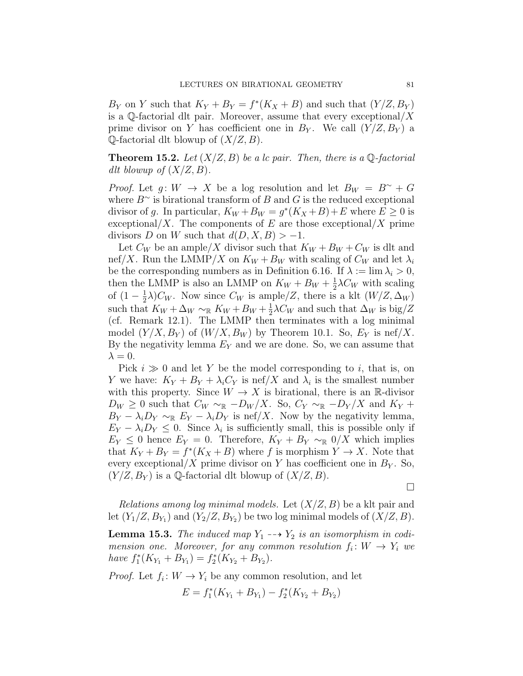$B_Y$  on Y such that  $K_Y + B_Y = f^*(K_X + B)$  and such that  $(Y/Z, B_Y)$ is a Q-factorial dlt pair. Moreover, assume that every exceptional  $/X$ prime divisor on Y has coefficient one in  $B_Y$ . We call  $(Y/Z, B_Y)$  a  $\mathbb Q$ -factorial dlt blowup of  $(X/Z, B)$ .

**Theorem 15.2.** Let  $(X/Z, B)$  be a lc pair. Then, there is a Q-factorial dlt blowup of  $(X/Z, B)$ .

*Proof.* Let  $g: W \to X$  be a log resolution and let  $B_W = B^{\sim} + G$ where  $B^{\sim}$  is birational transform of B and G is the reduced exceptional divisor of g. In particular,  $K_W + B_W = g^*(K_X + B) + E$  where  $E \ge 0$  is exceptional/X. The components of E are those exceptional/X prime divisors D on W such that  $d(D, X, B) > -1$ .

Let  $C_W$  be an ample/X divisor such that  $K_W + B_W + C_W$  is dlt and nef/X. Run the LMMP/X on  $K_W + B_W$  with scaling of  $C_W$  and let  $\lambda_i$ be the corresponding numbers as in Definition 6.16. If  $\lambda := \lim \lambda_i > 0$ , then the LMMP is also an LMMP on  $K_W + B_W + \frac{1}{2}$  $\frac{1}{2}\lambda C_W$  with scaling of  $(1 - \frac{1}{2})$  $\frac{1}{2}\lambda$ ) $C_W$ . Now since  $C_W$  is ample/Z, there is a klt  $(W/Z, \Delta_W)$ such that  $K_W + \Delta_W \sim_{\mathbb{R}} K_W + B_W + \frac{1}{2}$  $\frac{1}{2}\lambda C_W$  and such that  $\Delta_W$  is big/Z (cf. Remark 12.1). The LMMP then terminates with a log minimal model  $(Y/X, B_Y)$  of  $(W/X, B_W)$  by Theorem 10.1. So,  $E_Y$  is nef/X. By the negativity lemma  $E_Y$  and we are done. So, we can assume that  $\lambda = 0$ .

Pick  $i \gg 0$  and let Y be the model corresponding to i, that is, on Y we have:  $K_Y + B_Y + \lambda_i C_Y$  is nef/X and  $\lambda_i$  is the smallest number with this property. Since  $W \to X$  is birational, there is an R-divisor  $D_W \geq 0$  such that  $C_W \sim_{\mathbb{R}} -D_W/X$ . So,  $C_Y \sim_{\mathbb{R}} -D_Y/X$  and  $K_Y +$  $B_Y - \lambda_i D_Y \sim_{\mathbb{R}} E_Y - \lambda_i D_Y$  is nef/X. Now by the negativity lemma,  $E_Y - \lambda_i D_Y \leq 0$ . Since  $\lambda_i$  is sufficiently small, this is possible only if  $E_Y \leq 0$  hence  $E_Y = 0$ . Therefore,  $K_Y + B_Y \sim_{\mathbb{R}} 0/X$  which implies that  $K_Y + B_Y = f^*(K_X + B)$  where f is morphism  $Y \to X$ . Note that every exceptional/X prime divisor on Y has coefficient one in  $B<sub>Y</sub>$ . So,  $(Y/Z, B_Y)$  is a Q-factorial dlt blowup of  $(X/Z, B)$ .

 $\Box$ 

Relations among log minimal models. Let  $(X/Z, B)$  be a klt pair and let  $(Y_1/Z, B_{Y_1})$  and  $(Y_2/Z, B_{Y_2})$  be two log minimal models of  $(X/Z, B)$ .

**Lemma 15.3.** The induced map  $Y_1 \dashrightarrow Y_2$  is an isomorphism in codimension one. Moreover, for any common resolution  $f_i: W \to Y_i$  we have  $f_1^*(K_{Y_1} + B_{Y_1}) = f_2^*(K_{Y_2} + B_{Y_2}).$ 

*Proof.* Let  $f_i: W \to Y_i$  be any common resolution, and let

$$
E = f_1^*(K_{Y_1} + B_{Y_1}) - f_2^*(K_{Y_2} + B_{Y_2})
$$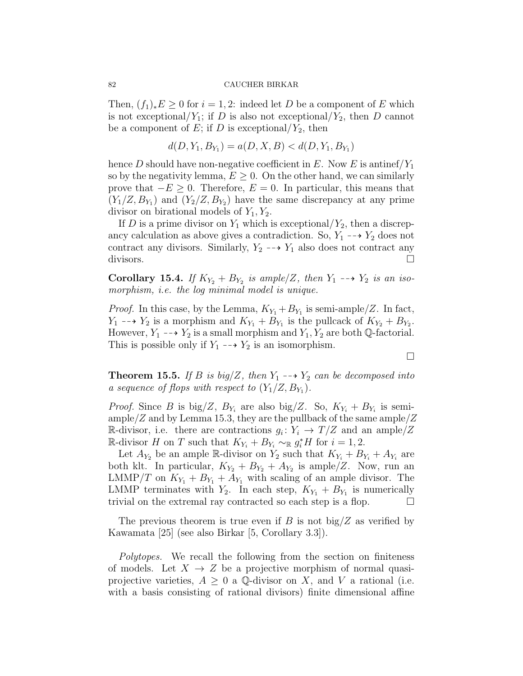Then,  $(f_1)_*E \geq 0$  for  $i = 1, 2$ : indeed let D be a component of E which is not exceptional/ $Y_1$ ; if D is also not exceptional/ $Y_2$ , then D cannot be a component of E; if D is exceptional/ $Y_2$ , then

$$
d(D, Y_1, B_{Y_1}) = a(D, X, B) < d(D, Y_1, B_{Y_1})
$$

hence D should have non-negative coefficient in E. Now E is antinef  $Y_1$ so by the negativity lemma,  $E \geq 0$ . On the other hand, we can similarly prove that  $-E \geq 0$ . Therefore,  $E = 0$ . In particular, this means that  $(Y_1/Z, B_{Y_1})$  and  $(Y_2/Z, B_{Y_2})$  have the same discrepancy at any prime divisor on birational models of  $Y_1, Y_2$ .

If D is a prime divisor on  $Y_1$  which is exceptional/ $Y_2$ , then a discrepancy calculation as above gives a contradiction. So,  $Y_1 \dashrightarrow Y_2$  does not contract any divisors. Similarly,  $Y_2 \dashrightarrow Y_1$  also does not contract any divisors.  $\Box$ 

Corollary 15.4. If  $K_{Y_2} + B_{Y_2}$  is ample/Z, then  $Y_1 \dashrightarrow Y_2$  is an isomorphism, i.e. the log minimal model is unique.

*Proof.* In this case, by the Lemma,  $K_{Y_1} + B_{Y_1}$  is semi-ample/Z. In fact,  $Y_1 \dashrightarrow Y_2$  is a morphism and  $K_{Y_1} + B_{Y_1}$  is the pullcack of  $K_{Y_2} + B_{Y_2}$ . However,  $Y_1 \dashrightarrow Y_2$  is a small morphism and  $Y_1, Y_2$  are both Q-factorial. This is possible only if  $Y_1 \dashrightarrow Y_2$  is an isomorphism.

**Theorem 15.5.** If B is big/Z, then  $Y_1 \rightarrow Y_2$  can be decomposed into a sequence of flops with respect to  $(Y_1/Z, B_{Y_1})$ .

*Proof.* Since B is big/Z,  $B_{Y_i}$  are also big/Z. So,  $K_{Y_i} + B_{Y_i}$  is semiample/Z and by Lemma 15.3, they are the pullback of the same ample/Z R-divisor, i.e. there are contractions  $g_i: Y_i \to T/Z$  and an ample  $/Z$ R-divisor *H* on *T* such that  $K_{Y_i} + B_{Y_i} \sim_{\mathbb{R}} g_i^* H$  for  $i = 1, 2$ .

Let  $A_{Y_2}$  be an ample R-divisor on  $Y_2$  such that  $K_{Y_i} + B_{Y_i} + A_{Y_i}$  are both klt. In particular,  $K_{Y_2} + B_{Y_2} + A_{Y_2}$  is ample/Z. Now, run an LMMP/T on  $K_{Y_1} + B_{Y_1} + A_{Y_1}$  with scaling of an ample divisor. The LMMP terminates with  $Y_2$ . In each step,  $K_{Y_1} + B_{Y_1}$  is numerically trivial on the extremal ray contracted so each step is a flop.  $\Box$ 

The previous theorem is true even if B is not big/Z as verified by Kawamata [25] (see also Birkar [5, Corollary 3.3]).

Polytopes. We recall the following from the section on finiteness of models. Let  $X \to Z$  be a projective morphism of normal quasiprojective varieties,  $A \geq 0$  a Q-divisor on X, and V a rational (i.e. with a basis consisting of rational divisors) finite dimensional affine

 $\Box$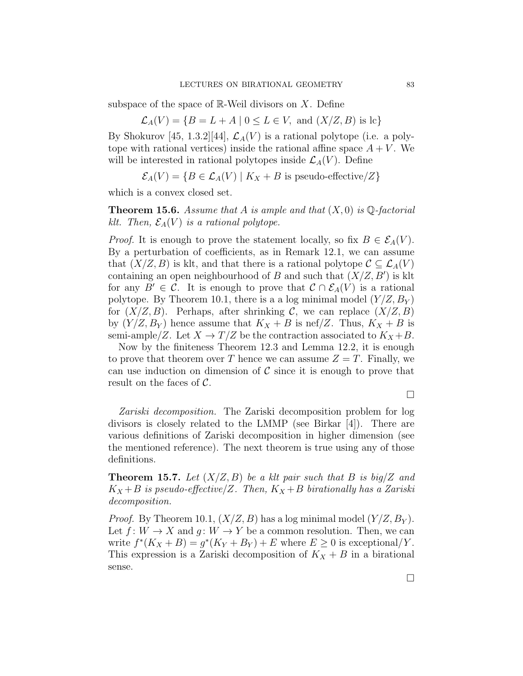subspace of the space of  $\mathbb{R}$ -Weil divisors on X. Define

$$
\mathcal{L}_A(V) = \{ B = L + A \mid 0 \le L \in V, \text{ and } (X/Z, B) \text{ is lc} \}
$$

By Shokurov [45, 1.3.2][44],  $\mathcal{L}_A(V)$  is a rational polytope (i.e. a polytope with rational vertices) inside the rational affine space  $A + V$ . We will be interested in rational polytopes inside  $\mathcal{L}_A(V)$ . Define

$$
\mathcal{E}_A(V) = \{ B \in \mathcal{L}_A(V) \mid K_X + B \text{ is pseudo-effective}/Z \}
$$

which is a convex closed set.

**Theorem 15.6.** Assume that A is ample and that  $(X,0)$  is  $\mathbb{Q}$ -factorial klt. Then,  $\mathcal{E}_A(V)$  is a rational polytope.

*Proof.* It is enough to prove the statement locally, so fix  $B \in \mathcal{E}_A(V)$ . By a perturbation of coefficients, as in Remark 12.1, we can assume that  $(X/Z, B)$  is klt, and that there is a rational polytope  $\mathcal{C} \subseteq \mathcal{L}_A(V)$ containing an open neighbourhood of B and such that  $(X/Z, B')$  is klt for any  $B' \in \mathcal{C}$ . It is enough to prove that  $\mathcal{C} \cap \mathcal{E}_A(V)$  is a rational polytope. By Theorem 10.1, there is a a log minimal model  $(Y/Z, B_Y)$ for  $(X/Z, B)$ . Perhaps, after shrinking C, we can replace  $(X/Z, B)$ by  $(Y/Z, B_Y)$  hence assume that  $K_X + B$  is nef/Z. Thus,  $K_X + B$  is semi-ample/Z. Let  $X \to T/Z$  be the contraction associated to  $K_X + B$ .

Now by the finiteness Theorem 12.3 and Lemma 12.2, it is enough to prove that theorem over T hence we can assume  $Z = T$ . Finally, we can use induction on dimension of  $\mathcal C$  since it is enough to prove that result on the faces of C.

 $\Box$ 

Zariski decomposition. The Zariski decomposition problem for log divisors is closely related to the LMMP (see Birkar [4]). There are various definitions of Zariski decomposition in higher dimension (see the mentioned reference). The next theorem is true using any of those definitions.

**Theorem 15.7.** Let  $(X/Z, B)$  be a klt pair such that B is big/Z and  $K_X + B$  is pseudo-effective/Z. Then,  $K_X + B$  birationally has a Zariski decomposition.

*Proof.* By Theorem 10.1,  $(X/Z, B)$  has a log minimal model  $(Y/Z, B_Y)$ . Let  $f: W \to X$  and  $g: W \to Y$  be a common resolution. Then, we can write  $f^*(K_X + B) = g^*(K_Y + B_Y) + E$  where  $E \ge 0$  is exceptional/Y. This expression is a Zariski decomposition of  $K_X + B$  in a birational sense.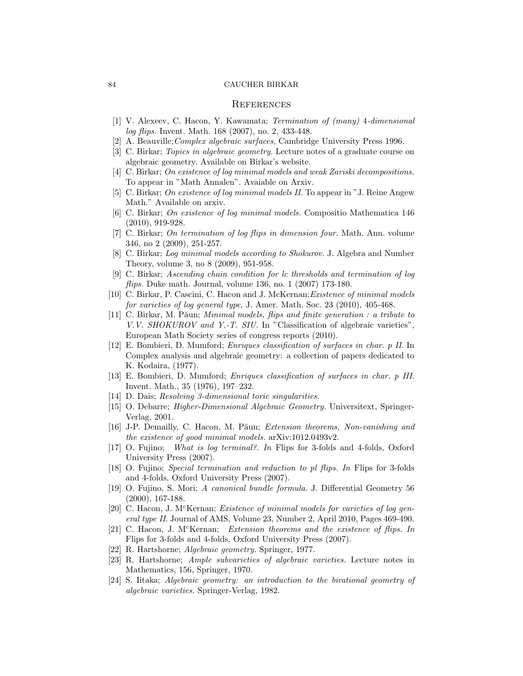## **REFERENCES**

- [1] V. Alexeev, C. Hacon, Y. Kawamata; Termination of (many) 4-dimensional log flips. Invent. Math. 168 (2007), no. 2, 433-448.
- [2] A. Beauville;Complex algebraic surfaces, Cambridge University Press 1996.
- [3] C. Birkar; Topics in algebraic geometry. Lecture notes of a graduate course on algebraic geometry. Available on Birkar's website.
- [4] C. Birkar; On existence of log minimal models and weak Zariski decompositions. To appear in "Math Annalen". Avaiable on Arxiv.
- [5] C. Birkar; On existence of log minimal models II. To appear in "J. Reine Angew Math." Available on arxiv.
- [6] C. Birkar; On existence of log minimal models. Compositio Mathematica 146 (2010), 919-928.
- [7] C. Birkar; On termination of log flips in dimension four. Math. Ann. volume 346, no 2 (2009), 251-257.
- [8] C. Birkar; Log minimal models according to Shokurov. J. Algebra and Number Theory, volume 3, no 8 (2009), 951-958.
- [9] C. Birkar; Ascending chain condition for lc thresholds and termination of log flips. Duke math. Journal, volume  $136$ , no.  $1$   $(2007)$   $173-180$ .
- [10] C. Birkar, P. Cascini, C. Hacon and J. McKernan;Existence of minimal models for varieties of log general type, J. Amer. Math. Soc. 23 (2010), 405-468.
- [11] C. Birkar, M. Păun; *Minimal models, flips and finite generation : a tribute to* V.V. SHOKUROV and Y.-T. SIU. In "Classification of algebraic varieties", European Math Society series of congress reports (2010).
- [12] E. Bombieri, D. Mumford; Enriques classification of surfaces in char. p II. In Complex analysis and algebraic geometry: a collection of papers dedicated to K. Kodaira, (1977).
- [13] E. Bombieri, D. Mumford; Enriques classification of surfaces in char. p III. Invent. Math., 35 (1976), 197–232.
- [14] D. Dais; Resolving 3-dimensional toric singularities.
- [15] O. Debarre; Higher-Dimensional Algebraic Geometry. Universitext, Springer-Verlag, 2001.
- [16] J-P. Demailly, C. Hacon, M. Păun; Extension theorems, Non-vanishing and the existence of good minimal models. arXiv:1012.0493v2.
- [17] O. Fujino; What is log terminal?. In Flips for 3-folds and 4-folds, Oxford University Press (2007).
- [18] O. Fujino; Special termination and reduction to pl flips. In Flips for 3-folds and 4-folds, Oxford University Press (2007).
- [19] O. Fujino, S. Mori; A canonical bundle formula. J. Differential Geometry 56 (2000), 167-188.
- [20] C. Hacon, J. M<sup>c</sup>Kernan; *Existence of minimal models for varieties of log gen*eral type II. Journal of AMS, Volume 23, Number 2, April 2010, Pages 469-490.
- [21] C. Hacon, J. M<sup>c</sup>Kernan; Extension theorems and the existence of flips. In Flips for 3-folds and 4-folds, Oxford University Press (2007).
- [22] R. Hartshorne; Algebraic geometry. Springer, 1977.
- [23] R. Hartshorne; Ample subvarieties of algebraic varieties. Lecture notes in Mathematics, 156, Springer, 1970.
- [24] S. Iitaka; Algebraic geometry: an introduction to the birational geometry of algebraic varieties. Springer-Verlag, 1982.